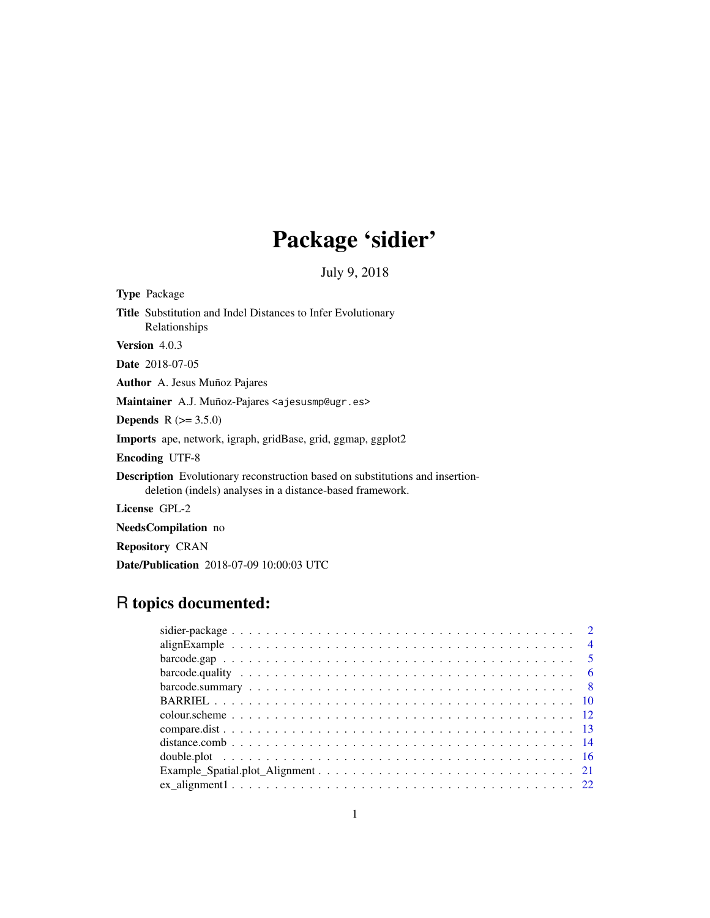# Package 'sidier'

July 9, 2018

| <b>Type Package</b>                                                                                                                               |
|---------------------------------------------------------------------------------------------------------------------------------------------------|
| <b>Title</b> Substitution and Indel Distances to Infer Evolutionary<br>Relationships                                                              |
| <b>Version</b> $4.0.3$                                                                                                                            |
| <b>Date</b> 2018-07-05                                                                                                                            |
| <b>Author</b> A. Jesus Muñoz Pajares                                                                                                              |
| Maintainer A.J. Muñoz-Pajares <ajesusmp@ugr.es></ajesusmp@ugr.es>                                                                                 |
| <b>Depends</b> $R (= 3.5.0)$                                                                                                                      |
| <b>Imports</b> ape, network, igraph, gridBase, grid, ggmap, ggplot2                                                                               |
| <b>Encoding UTF-8</b>                                                                                                                             |
| <b>Description</b> Evolutionary reconstruction based on substitutions and insertion-<br>deletion (indels) analyses in a distance-based framework. |

License GPL-2

NeedsCompilation no

Repository CRAN

Date/Publication 2018-07-09 10:00:03 UTC

# R topics documented: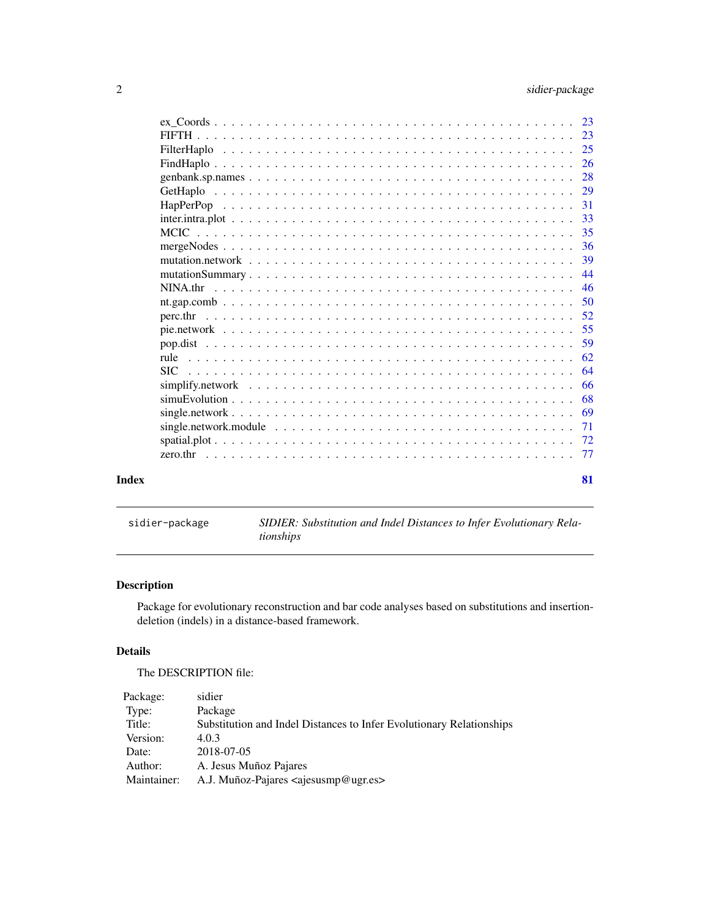<span id="page-1-0"></span>

| Index |                                                                                                                    | 81        |
|-------|--------------------------------------------------------------------------------------------------------------------|-----------|
|       |                                                                                                                    |           |
|       |                                                                                                                    |           |
|       | single.network.module $\ldots \ldots \ldots \ldots \ldots \ldots \ldots \ldots \ldots \ldots \ldots \ldots \ldots$ | 71        |
|       |                                                                                                                    | 69        |
|       |                                                                                                                    | 68        |
|       |                                                                                                                    | 66        |
|       | <b>SIC</b>                                                                                                         | 64        |
|       | rule                                                                                                               | 62        |
|       |                                                                                                                    | 59        |
|       |                                                                                                                    | 55        |
|       |                                                                                                                    | 52        |
|       |                                                                                                                    | .50       |
|       |                                                                                                                    | 46        |
|       |                                                                                                                    | 44        |
|       |                                                                                                                    | 39        |
|       |                                                                                                                    |           |
|       |                                                                                                                    |           |
|       |                                                                                                                    |           |
|       |                                                                                                                    | 31        |
|       |                                                                                                                    | 29        |
|       |                                                                                                                    | 28        |
|       |                                                                                                                    | <b>26</b> |
|       |                                                                                                                    | 25        |
|       |                                                                                                                    | 23        |
|       |                                                                                                                    | 23        |

|  |  | sidier-package |  |  |  |
|--|--|----------------|--|--|--|
|  |  |                |  |  |  |
|  |  |                |  |  |  |

SIDIER: Substitution and Indel Distances to Infer Evolutionary Rela*tionships*

# Description

Package for evolutionary reconstruction and bar code analyses based on substitutions and insertiondeletion (indels) in a distance-based framework.

# Details

The DESCRIPTION file:

| Package:    | sidier                                                               |
|-------------|----------------------------------------------------------------------|
| Type:       | Package                                                              |
| Title:      | Substitution and Indel Distances to Infer Evolutionary Relationships |
| Version:    | 4.0.3                                                                |
| Date:       | 2018-07-05                                                           |
| Author:     | A. Jesus Muñoz Pajares                                               |
| Maintainer: | A.J. Muñoz-Pajares <ajesusmp@ugr.es></ajesusmp@ugr.es>               |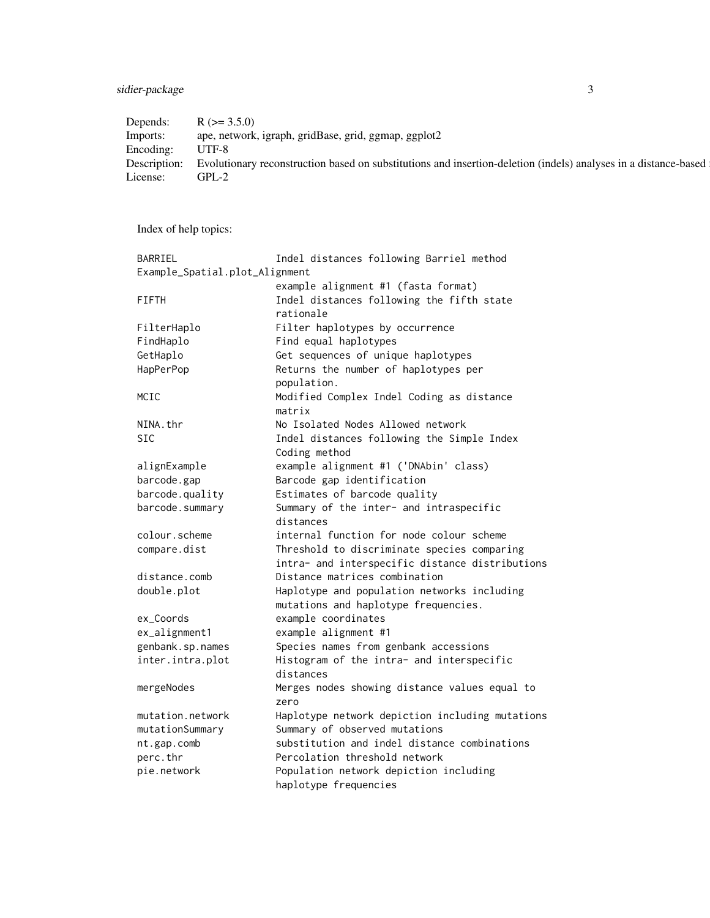# sidier-package 3

| Depends:  | $R$ ( $> = 3.5.0$ )                                                                                                          |
|-----------|------------------------------------------------------------------------------------------------------------------------------|
| Imports:  | ape, network, igraph, gridBase, grid, ggmap, ggplot2                                                                         |
| Encoding: | $I$ $T$ $F$ - $8$                                                                                                            |
|           | Description: Evolutionary reconstruction based on substitutions and insertion-deletion (indels) analyses in a distance-based |
| License:  | GPL-2                                                                                                                        |
|           |                                                                                                                              |

Index of help topics:

| BARRIEL                        | Indel distances following Barriel method        |
|--------------------------------|-------------------------------------------------|
| Example_Spatial.plot_Alignment |                                                 |
|                                | example alignment #1 (fasta format)             |
| <b>FIFTH</b>                   | Indel distances following the fifth state       |
|                                | rationale                                       |
| FilterHaplo                    | Filter haplotypes by occurrence                 |
| FindHaplo                      | Find equal haplotypes                           |
| GetHaplo                       | Get sequences of unique haplotypes              |
| HapPerPop                      | Returns the number of haplotypes per            |
|                                | population.                                     |
| MCIC                           | Modified Complex Indel Coding as distance       |
|                                | matrix                                          |
| NINA.thr                       | No Isolated Nodes Allowed network               |
| <b>SIC</b>                     | Indel distances following the Simple Index      |
|                                | Coding method                                   |
| alignExample                   | example alignment #1 ('DNAbin' class)           |
| barcode.gap                    | Barcode gap identification                      |
| barcode.quality                | Estimates of barcode quality                    |
| barcode.summary                | Summary of the inter- and intraspecific         |
|                                | distances                                       |
| colour.scheme                  | internal function for node colour scheme        |
| compare.dist                   | Threshold to discriminate species comparing     |
|                                | intra- and interspecific distance distributions |
| distance.comb                  | Distance matrices combination                   |
| double.plot                    | Haplotype and population networks including     |
|                                | mutations and haplotype frequencies.            |
| ex_Coords                      | example coordinates                             |
| ex_alignment1                  | example alignment #1                            |
| genbank.sp.names               | Species names from genbank accessions           |
| inter.intra.plot               | Histogram of the intra- and interspecific       |
|                                | distances                                       |
| mergeNodes                     | Merges nodes showing distance values equal to   |
|                                | zero                                            |
| mutation.network               | Haplotype network depiction including mutations |
| mutationSummary                | Summary of observed mutations                   |
| nt.gap.comb                    | substitution and indel distance combinations    |
| perc.thr                       | Percolation threshold network                   |
| pie.network                    | Population network depiction including          |
|                                | haplotype frequencies                           |
|                                |                                                 |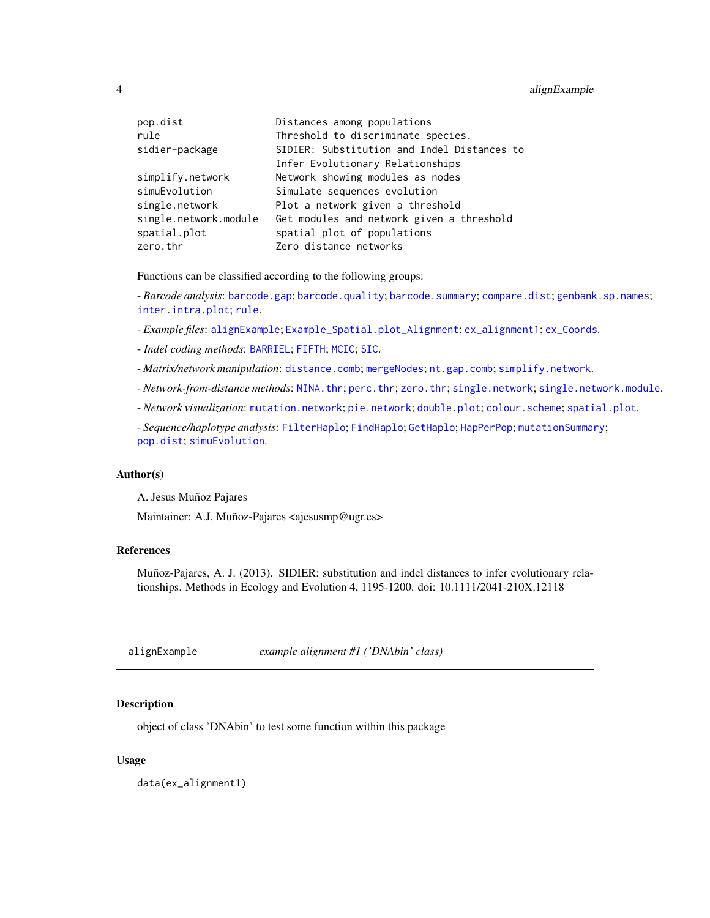### <span id="page-3-0"></span>4 alignExample

| pop.dist              | Distances among populations                 |
|-----------------------|---------------------------------------------|
| rule                  | Threshold to discriminate species.          |
| sidier-package        | SIDIER: Substitution and Indel Distances to |
|                       | Infer Evolutionary Relationships            |
| simplify.network      | Network showing modules as nodes            |
| simuEvolution         | Simulate sequences evolution                |
| single.network        | Plot a network given a threshold            |
| single.network.module | Get modules and network given a threshold   |
| spatial.plot          | spatial plot of populations                 |
| zero.thr              | Zero distance networks                      |
|                       |                                             |

Functions can be classified according to the following groups:

- *Barcode analysis*: [barcode.gap](#page-4-1); [barcode.quality](#page-5-1); [barcode.summary](#page-7-1); [compare.dist](#page-12-1); [genbank.sp.names](#page-27-1); [inter.intra.plot](#page-32-1); [rule](#page-61-1).

- *Example files*: [alignExample](#page-3-1); [Example\\_Spatial.plot\\_Alignment](#page-20-1); [ex\\_alignment1](#page-21-1); [ex\\_Coords](#page-22-1).

- *Indel coding methods*: [BARRIEL](#page-9-1); [FIFTH](#page-22-2); [MCIC](#page-34-1); [SIC](#page-63-1).

- *Matrix/network manipulation*: [distance.comb](#page-13-1); [mergeNodes](#page-35-1); [nt.gap.comb](#page-49-1); [simplify.network](#page-65-1).

- *Network-from-distance methods*: [NINA.thr](#page-45-1); [perc.thr](#page-51-1); [zero.thr](#page-76-1); [single.network](#page-68-1); [single.network.module](#page-70-1).

- *Network visualization*: [mutation.network](#page-38-1); [pie.network](#page-54-1); [double.plot](#page-15-1); [colour.scheme](#page-11-1); [spatial.plot](#page-71-1).

- *Sequence/haplotype analysis*: [FilterHaplo](#page-24-1); [FindHaplo](#page-25-1); [GetHaplo](#page-28-1); [HapPerPop](#page-30-1); [mutationSummary](#page-43-1); [pop.dist](#page-58-1); [simuEvolution](#page-67-1).

#### Author(s)

A. Jesus Muñoz Pajares

Maintainer: A.J. Muñoz-Pajares <ajesusmp@ugr.es>

#### References

Muñoz-Pajares, A. J. (2013). SIDIER: substitution and indel distances to infer evolutionary relationships. Methods in Ecology and Evolution 4, 1195-1200. doi: 10.1111/2041-210X.12118

<span id="page-3-1"></span>alignExample *example alignment #1 ('DNAbin' class)*

#### **Description**

object of class 'DNAbin' to test some function within this package

#### Usage

data(ex\_alignment1)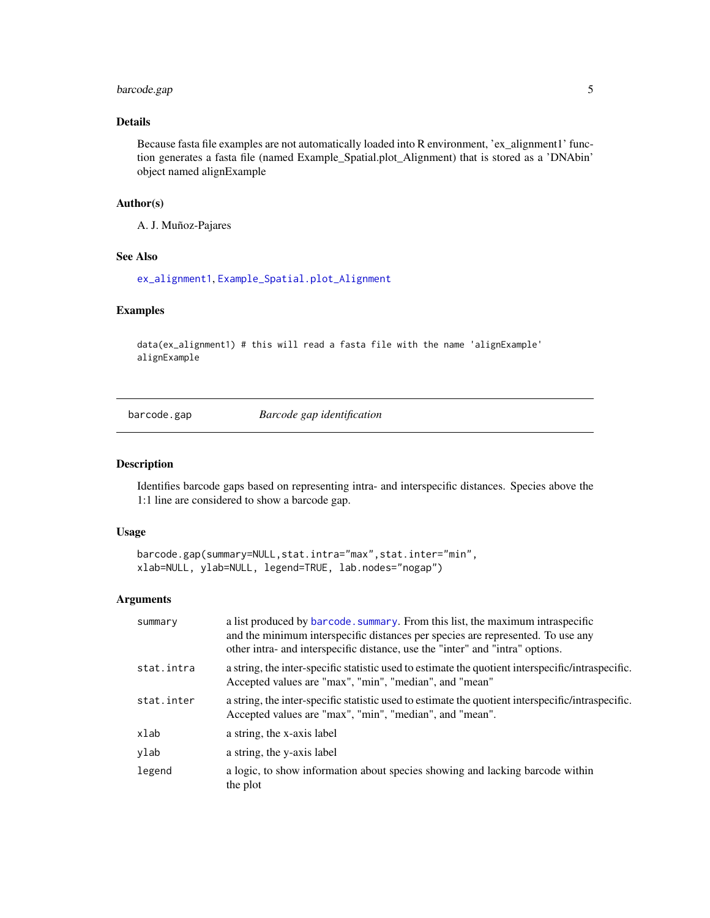# <span id="page-4-0"></span>barcode.gap 5

# Details

Because fasta file examples are not automatically loaded into R environment, 'ex\_alignment1' function generates a fasta file (named Example\_Spatial.plot\_Alignment) that is stored as a 'DNAbin' object named alignExample

# Author(s)

A. J. Muñoz-Pajares

#### See Also

[ex\\_alignment1](#page-21-1), [Example\\_Spatial.plot\\_Alignment](#page-20-1)

#### Examples

```
data(ex_alignment1) # this will read a fasta file with the name 'alignExample'
alignExample
```
<span id="page-4-1"></span>barcode.gap *Barcode gap identification*

#### Description

Identifies barcode gaps based on representing intra- and interspecific distances. Species above the 1:1 line are considered to show a barcode gap.

### Usage

```
barcode.gap(summary=NULL,stat.intra="max",stat.inter="min",
xlab=NULL, ylab=NULL, legend=TRUE, lab.nodes="nogap")
```
# Arguments

| summary    | a list produced by barcode. summary. From this list, the maximum intraspecific<br>and the minimum interspecific distances per species are represented. To use any<br>other intra- and interspecific distance, use the "inter" and "intra" options. |
|------------|----------------------------------------------------------------------------------------------------------------------------------------------------------------------------------------------------------------------------------------------------|
| stat.intra | a string, the inter-specific statistic used to estimate the quotient interspecific/intraspecific.<br>Accepted values are "max", "min", "median", and "mean"                                                                                        |
| stat.inter | a string, the inter-specific statistic used to estimate the quotient interspecific/intraspecific.<br>Accepted values are "max", "min", "median", and "mean".                                                                                       |
| xlab       | a string, the x-axis label                                                                                                                                                                                                                         |
| ylab       | a string, the y-axis label                                                                                                                                                                                                                         |
| legend     | a logic, to show information about species showing and lacking barcode within<br>the plot                                                                                                                                                          |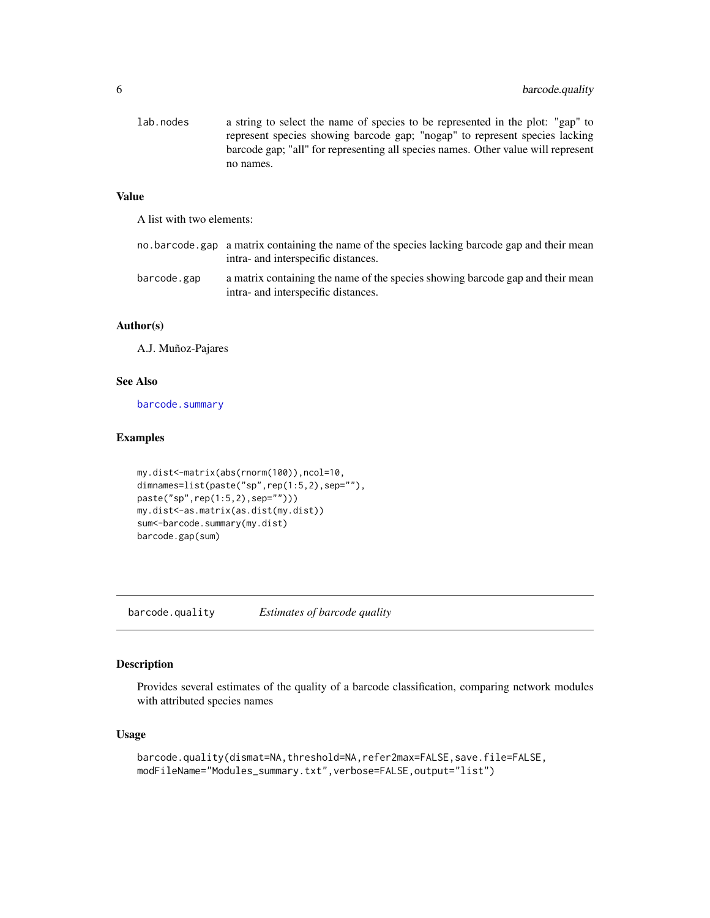<span id="page-5-0"></span>

| lab.nodes | a string to select the name of species to be represented in the plot: "gap" to    |
|-----------|-----------------------------------------------------------------------------------|
|           | represent species showing barcode gap; "nogap" to represent species lacking       |
|           | barcode gap; "all" for representing all species names. Other value will represent |
|           | no names.                                                                         |

# Value

A list with two elements:

|             | no barcode gap a matrix containing the name of the species lacking barcode gap and their mean<br>intra- and interspecific distances. |
|-------------|--------------------------------------------------------------------------------------------------------------------------------------|
| barcode.gap | a matrix containing the name of the species showing barcode gap and their mean<br>intra- and interspecific distances.                |

# Author(s)

A.J. Muñoz-Pajares

# See Also

[barcode.summary](#page-7-1)

#### Examples

```
my.dist<-matrix(abs(rnorm(100)),ncol=10,
dimnames=list(paste("sp",rep(1:5,2),sep=""),
paste("sp",rep(1:5,2),sep="")))
my.dist<-as.matrix(as.dist(my.dist))
sum<-barcode.summary(my.dist)
barcode.gap(sum)
```
<span id="page-5-1"></span>barcode.quality *Estimates of barcode quality*

# Description

Provides several estimates of the quality of a barcode classification, comparing network modules with attributed species names

# Usage

```
barcode.quality(dismat=NA,threshold=NA,refer2max=FALSE,save.file=FALSE,
modFileName="Modules_summary.txt",verbose=FALSE,output="list")
```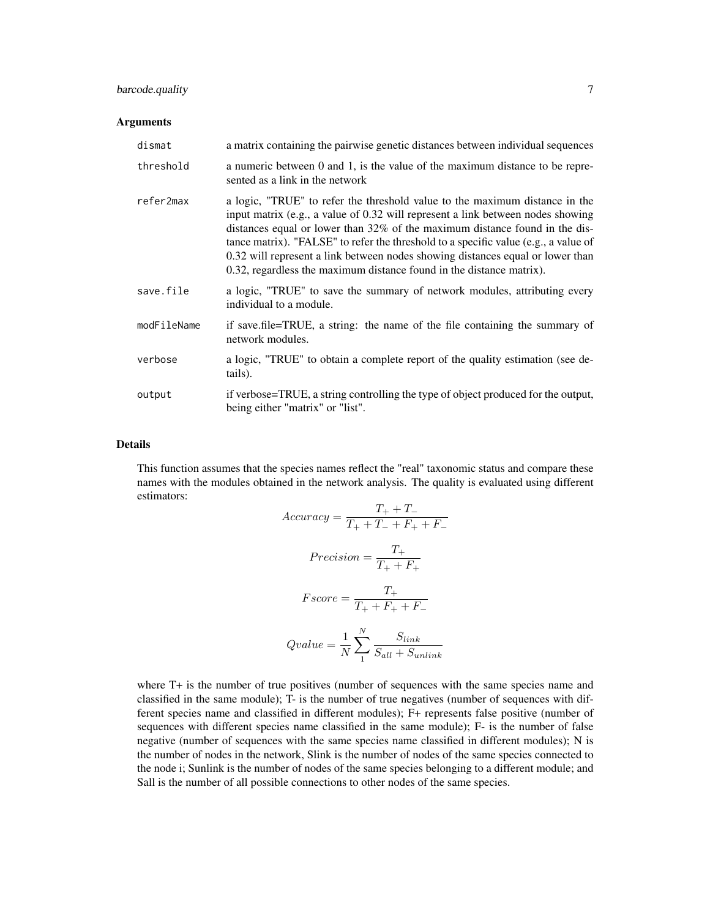# barcode.quality 7

### Arguments

| dismat      | a matrix containing the pairwise genetic distances between individual sequences                                                                                                                                                                                                                                                                                                                                                                                                                   |
|-------------|---------------------------------------------------------------------------------------------------------------------------------------------------------------------------------------------------------------------------------------------------------------------------------------------------------------------------------------------------------------------------------------------------------------------------------------------------------------------------------------------------|
| threshold   | a numeric between 0 and 1, is the value of the maximum distance to be repre-<br>sented as a link in the network                                                                                                                                                                                                                                                                                                                                                                                   |
| refer2max   | a logic, "TRUE" to refer the threshold value to the maximum distance in the<br>input matrix (e.g., a value of 0.32 will represent a link between nodes showing<br>distances equal or lower than $32\%$ of the maximum distance found in the dis-<br>tance matrix). "FALSE" to refer the threshold to a specific value (e.g., a value of<br>0.32 will represent a link between nodes showing distances equal or lower than<br>0.32, regardless the maximum distance found in the distance matrix). |
| save.file   | a logic, "TRUE" to save the summary of network modules, attributing every<br>individual to a module.                                                                                                                                                                                                                                                                                                                                                                                              |
| modFileName | if save file=TRUE, a string: the name of the file containing the summary of<br>network modules.                                                                                                                                                                                                                                                                                                                                                                                                   |
| verbose     | a logic, "TRUE" to obtain a complete report of the quality estimation (see de-<br>tails).                                                                                                                                                                                                                                                                                                                                                                                                         |
| output      | if verbose=TRUE, a string controlling the type of object produced for the output,<br>being either "matrix" or "list".                                                                                                                                                                                                                                                                                                                                                                             |

### Details

This function assumes that the species names reflect the "real" taxonomic status and compare these names with the modules obtained in the network analysis. The quality is evaluated using different estimators:  $T \cdot T$ 

$$
Accuracy = \frac{T_{+} + T_{-}}{T_{+} + T_{-} + F_{+} + F_{-}}
$$
\n
$$
Precision = \frac{T_{+}}{T_{+} + F_{+}}
$$
\n
$$
Fscore = \frac{T_{+}}{T_{+} + F_{+} + F_{-}}
$$
\n
$$
Qualue = \frac{1}{N} \sum_{1}^{N} \frac{S_{link}}{S_{all} + S_{unlink}}
$$

where T+ is the number of true positives (number of sequences with the same species name and classified in the same module); T- is the number of true negatives (number of sequences with different species name and classified in different modules); F+ represents false positive (number of sequences with different species name classified in the same module); F- is the number of false negative (number of sequences with the same species name classified in different modules); N is the number of nodes in the network, Slink is the number of nodes of the same species connected to the node i; Sunlink is the number of nodes of the same species belonging to a different module; and Sall is the number of all possible connections to other nodes of the same species.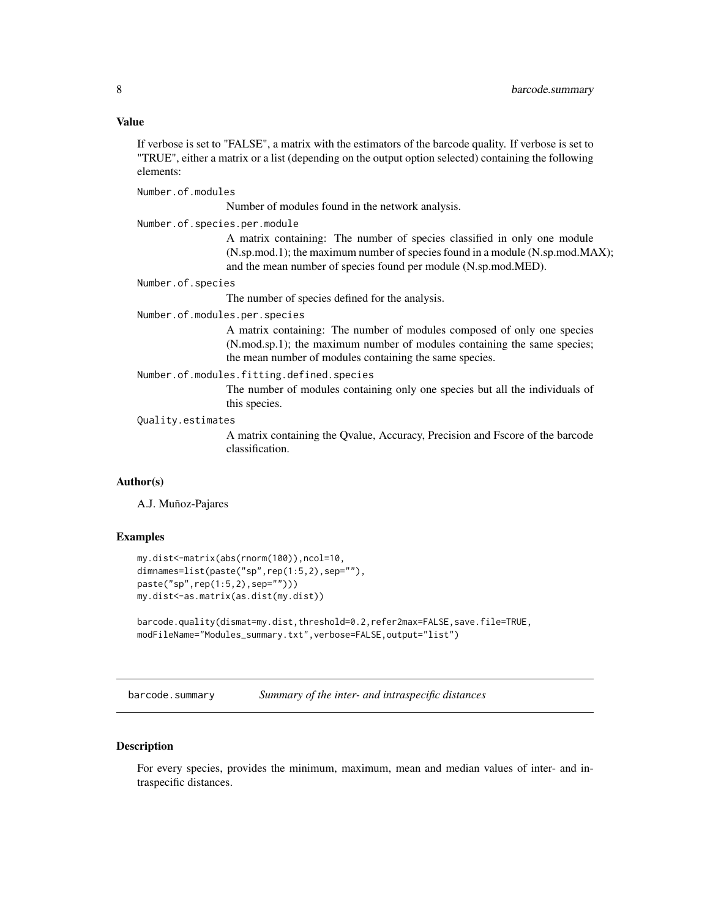#### <span id="page-7-0"></span>Value

If verbose is set to "FALSE", a matrix with the estimators of the barcode quality. If verbose is set to "TRUE", either a matrix or a list (depending on the output option selected) containing the following elements:

Number.of.modules

Number of modules found in the network analysis.

Number.of.species.per.module

A matrix containing: The number of species classified in only one module (N.sp.mod.1); the maximum number of species found in a module (N.sp.mod.MAX); and the mean number of species found per module (N.sp.mod.MED).

Number.of.species

The number of species defined for the analysis.

Number.of.modules.per.species

A matrix containing: The number of modules composed of only one species (N.mod.sp.1); the maximum number of modules containing the same species; the mean number of modules containing the same species.

#### Number.of.modules.fitting.defined.species

The number of modules containing only one species but all the individuals of this species.

# Quality.estimates

A matrix containing the Qvalue, Accuracy, Precision and Fscore of the barcode classification.

#### Author(s)

A.J. Muñoz-Pajares

#### Examples

```
my.dist<-matrix(abs(rnorm(100)),ncol=10,
dimnames=list(paste("sp",rep(1:5,2),sep=""),
paste("sp",rep(1:5,2),sep="")))
my.dist<-as.matrix(as.dist(my.dist))
```

```
barcode.quality(dismat=my.dist,threshold=0.2,refer2max=FALSE,save.file=TRUE,
modFileName="Modules_summary.txt",verbose=FALSE,output="list")
```
<span id="page-7-1"></span>barcode.summary *Summary of the inter- and intraspecific distances*

#### Description

For every species, provides the minimum, maximum, mean and median values of inter- and intraspecific distances.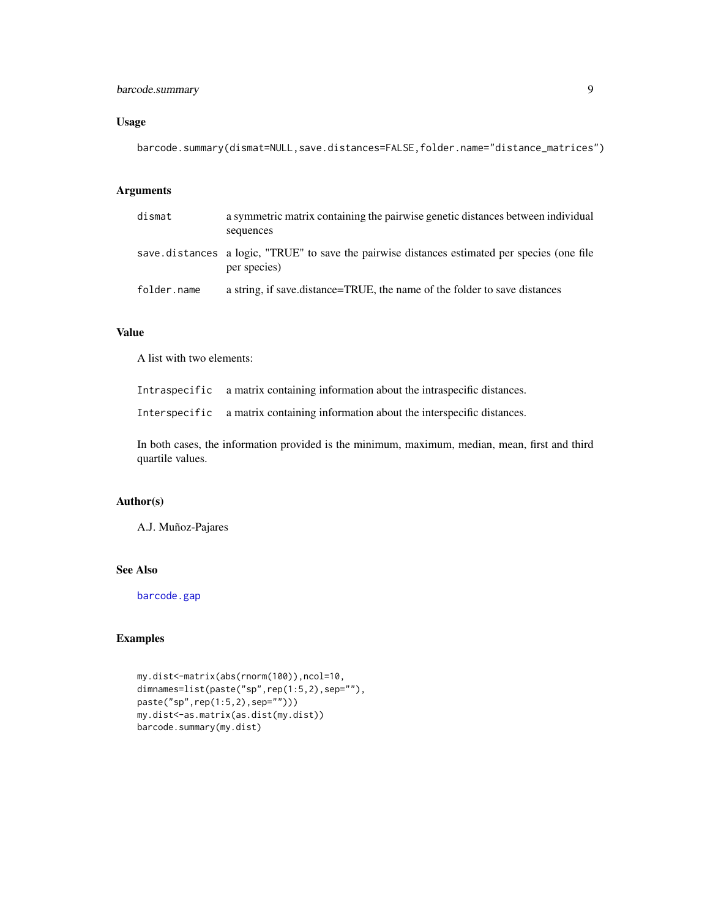# barcode.summary 9

# Usage

barcode.summary(dismat=NULL,save.distances=FALSE,folder.name="distance\_matrices")

# Arguments

| dismat      | a symmetric matrix containing the pairwise genetic distances between individual<br>sequences                  |
|-------------|---------------------------------------------------------------------------------------------------------------|
|             | save distances a logic, "TRUE" to save the pairwise distances estimated per species (one file<br>per species) |
| folder.name | a string, if save distance=TRUE, the name of the folder to save distances                                     |

# Value

A list with two elements:

Intraspecific a matrix containing information about the intraspecific distances.

Interspecific a matrix containing information about the interspecific distances.

In both cases, the information provided is the minimum, maximum, median, mean, first and third quartile values.

### Author(s)

A.J. Muñoz-Pajares

# See Also

[barcode.gap](#page-4-1)

# Examples

```
my.dist<-matrix(abs(rnorm(100)),ncol=10,
dimnames=list(paste("sp",rep(1:5,2),sep=""),
paste("sp",rep(1:5,2),sep="")))
my.dist<-as.matrix(as.dist(my.dist))
barcode.summary(my.dist)
```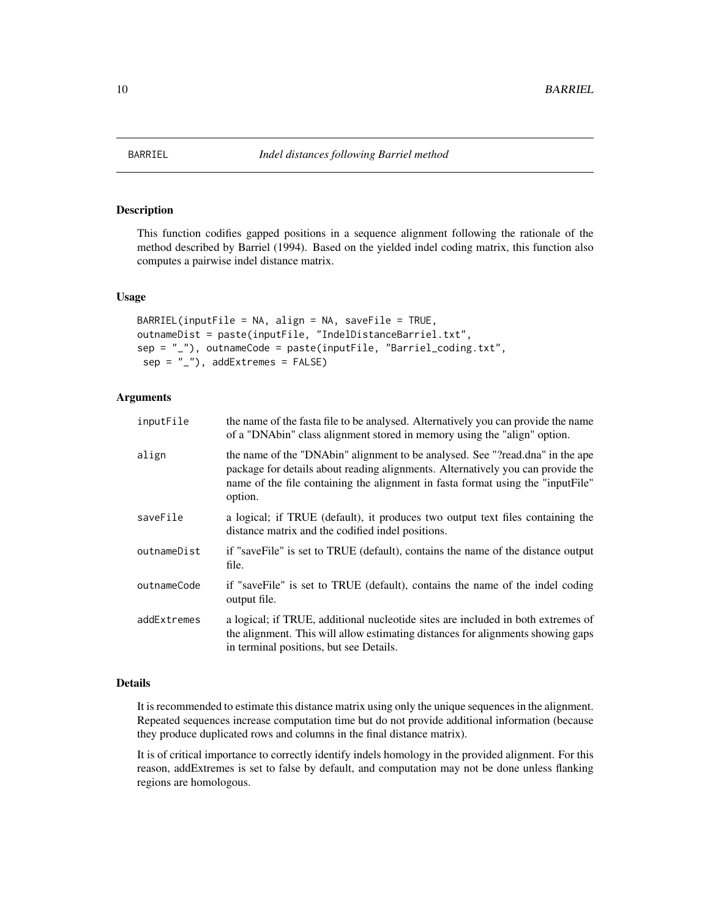<span id="page-9-1"></span><span id="page-9-0"></span>

# Description

This function codifies gapped positions in a sequence alignment following the rationale of the method described by Barriel (1994). Based on the yielded indel coding matrix, this function also computes a pairwise indel distance matrix.

#### Usage

```
BARTEL(inputFile = NA, align = NA, saveFile = TRUE,outnameDist = paste(inputFile, "IndelDistanceBarriel.txt",
sep = "_"), outnameCode = paste(inputFile, "Barriel_coding.txt",
sep = "''), addExtremes = FALSE)
```
#### Arguments

| inputFile   | the name of the fasta file to be analysed. Alternatively you can provide the name<br>of a "DNAbin" class alignment stored in memory using the "align" option.                                                                                                  |
|-------------|----------------------------------------------------------------------------------------------------------------------------------------------------------------------------------------------------------------------------------------------------------------|
| align       | the name of the "DNAbin" alignment to be analysed. See "?read.dna" in the ape<br>package for details about reading alignments. Alternatively you can provide the<br>name of the file containing the alignment in fasta format using the "inputFile"<br>option. |
| saveFile    | a logical; if TRUE (default), it produces two output text files containing the<br>distance matrix and the codified indel positions.                                                                                                                            |
| outnameDist | if "saveFile" is set to TRUE (default), contains the name of the distance output<br>file.                                                                                                                                                                      |
| outnameCode | if "saveFile" is set to TRUE (default), contains the name of the indel coding<br>output file.                                                                                                                                                                  |
| addExtremes | a logical; if TRUE, additional nucleotide sites are included in both extremes of<br>the alignment. This will allow estimating distances for alignments showing gaps<br>in terminal positions, but see Details.                                                 |

# Details

It is recommended to estimate this distance matrix using only the unique sequences in the alignment. Repeated sequences increase computation time but do not provide additional information (because they produce duplicated rows and columns in the final distance matrix).

It is of critical importance to correctly identify indels homology in the provided alignment. For this reason, addExtremes is set to false by default, and computation may not be done unless flanking regions are homologous.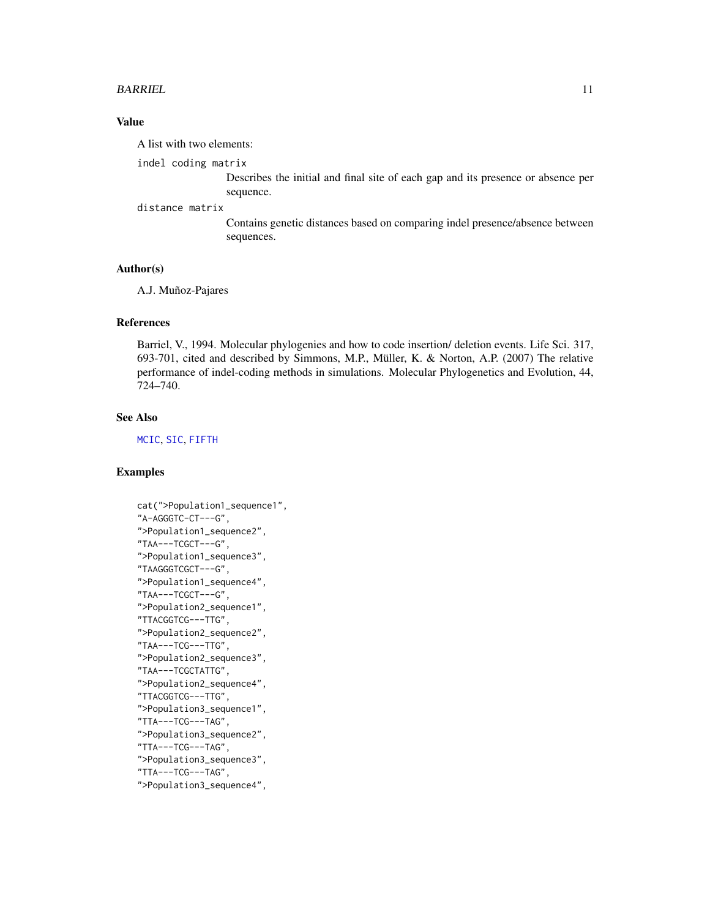#### BARRIEL 11

# Value

A list with two elements:

indel coding matrix

Describes the initial and final site of each gap and its presence or absence per sequence.

#### distance matrix

Contains genetic distances based on comparing indel presence/absence between sequences.

#### Author(s)

A.J. Muñoz-Pajares

#### References

Barriel, V., 1994. Molecular phylogenies and how to code insertion/ deletion events. Life Sci. 317, 693-701, cited and described by Simmons, M.P., Müller, K. & Norton, A.P. (2007) The relative performance of indel-coding methods in simulations. Molecular Phylogenetics and Evolution, 44, 724–740.

#### See Also

[MCIC](#page-34-1), [SIC](#page-63-1), [FIFTH](#page-22-2)

# Examples

```
cat(">Population1_sequence1",
"A-AGGGTC-CT---G",
">Population1_sequence2",
"TAA---TCGCT---G",
">Population1_sequence3",
"TAAGGGTCGCT---G",
">Population1_sequence4",
"TAA---TCGCT---G",
">Population2_sequence1",
"TTACGGTCG---TTG",
">Population2_sequence2",
"TAA---TCG---TTG",
">Population2_sequence3",
"TAA---TCGCTATTG",
">Population2_sequence4",
"TTACGGTCG---TTG",
">Population3_sequence1",
"TTA---TCG---TAG",
">Population3_sequence2",
"TTA---TCG---TAG",
">Population3_sequence3",
"TTA---TCG---TAG",
">Population3_sequence4",
```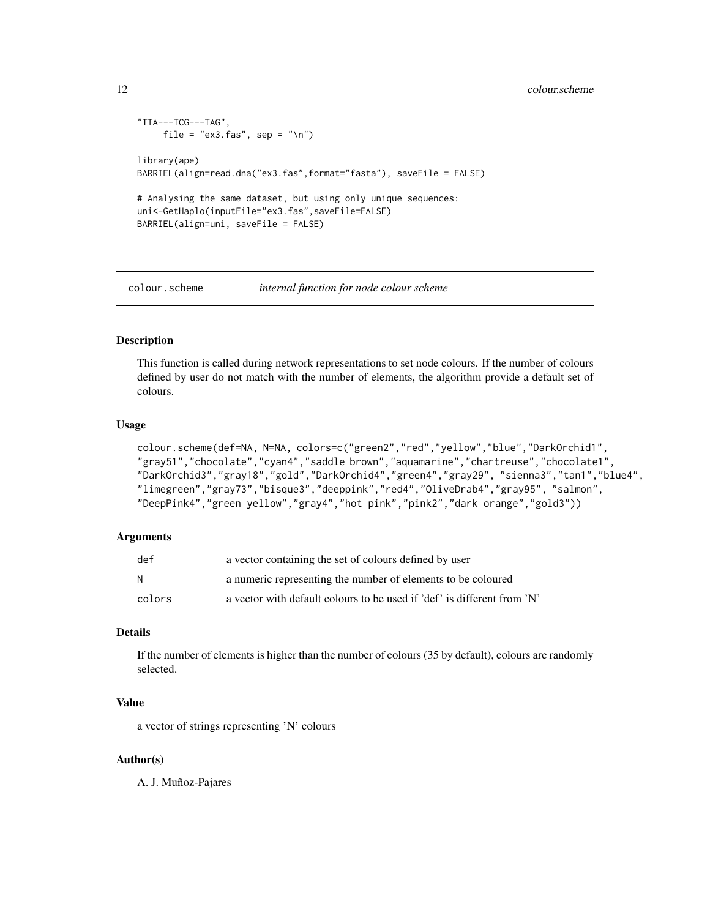# <span id="page-11-0"></span>12 colour.scheme

```
"TTA---TCG---TAG",
    file = "ex3.fas", sep = "\n")
library(ape)
BARRIEL(align=read.dna("ex3.fas",format="fasta"), saveFile = FALSE)
# Analysing the same dataset, but using only unique sequences:
uni<-GetHaplo(inputFile="ex3.fas",saveFile=FALSE)
BARRIEL(align=uni, saveFile = FALSE)
```
<span id="page-11-1"></span>

colour.scheme *internal function for node colour scheme*

#### Description

This function is called during network representations to set node colours. If the number of colours defined by user do not match with the number of elements, the algorithm provide a default set of colours.

#### Usage

```
colour.scheme(def=NA, N=NA, colors=c("green2","red","yellow","blue","DarkOrchid1",
"gray51","chocolate","cyan4","saddle brown","aquamarine","chartreuse","chocolate1",
"DarkOrchid3","gray18","gold","DarkOrchid4","green4","gray29", "sienna3","tan1","blue4",
"limegreen","gray73","bisque3","deeppink","red4","OliveDrab4","gray95", "salmon",
"DeepPink4","green yellow","gray4","hot pink","pink2","dark orange","gold3"))
```
#### Arguments

| def    | a vector containing the set of colours defined by user                  |
|--------|-------------------------------------------------------------------------|
| N      | a numeric representing the number of elements to be coloured            |
| colors | a vector with default colours to be used if 'def' is different from 'N' |

#### Details

If the number of elements is higher than the number of colours (35 by default), colours are randomly selected.

#### Value

a vector of strings representing 'N' colours

#### Author(s)

A. J. Muñoz-Pajares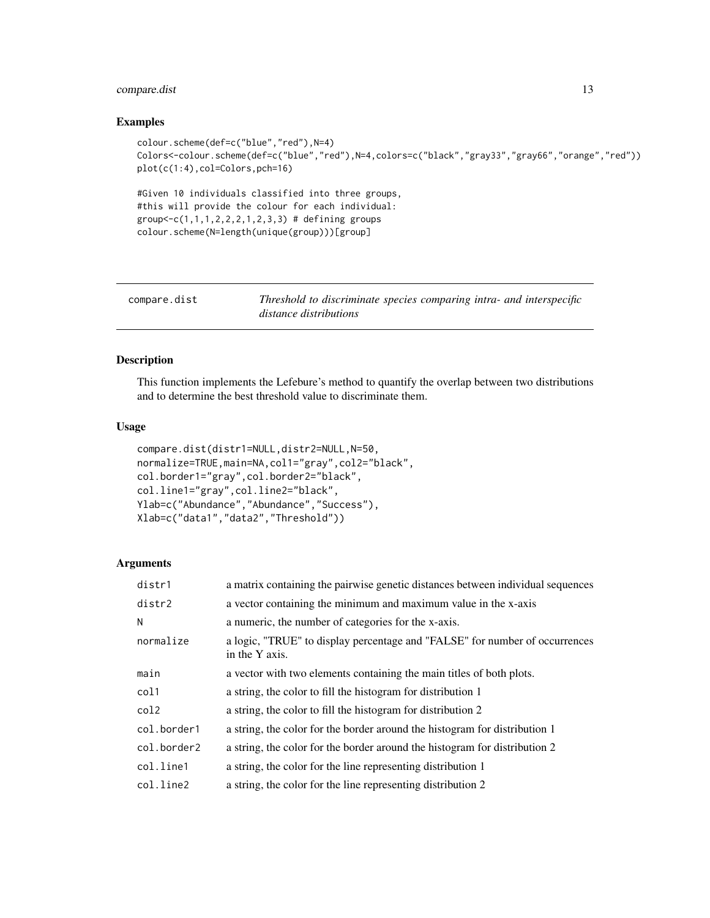# <span id="page-12-0"></span>compare.dist 13

#### Examples

```
colour.scheme(def=c("blue","red"),N=4)
Colors<-colour.scheme(def=c("blue","red"),N=4,colors=c("black","gray33","gray66","orange","red"))
plot(c(1:4),col=Colors,pch=16)
#Given 10 individuals classified into three groups,
#this will provide the colour for each individual:
group < -c(1, 1, 1, 2, 2, 2, 1, 2, 3, 3) # defining groups
colour.scheme(N=length(unique(group)))[group]
```
<span id="page-12-1"></span>

| compare.dist | Threshold to discriminate species comparing intra- and interspecific<br>distance distributions |
|--------------|------------------------------------------------------------------------------------------------|
|              |                                                                                                |

# Description

This function implements the Lefebure's method to quantify the overlap between two distributions and to determine the best threshold value to discriminate them.

# Usage

```
compare.dist(distr1=NULL,distr2=NULL,N=50,
normalize=TRUE,main=NA,col1="gray",col2="black",
col.border1="gray",col.border2="black",
col.line1="gray",col.line2="black",
Ylab=c("Abundance","Abundance","Success"),
Xlab=c("data1","data2","Threshold"))
```
#### Arguments

| distr1      | a matrix containing the pairwise genetic distances between individual sequences               |
|-------------|-----------------------------------------------------------------------------------------------|
| distr2      | a vector containing the minimum and maximum value in the x-axis                               |
| N           | a numeric, the number of categories for the x-axis.                                           |
| normalize   | a logic, "TRUE" to display percentage and "FALSE" for number of occurrences<br>in the Y axis. |
| main        | a vector with two elements containing the main titles of both plots.                          |
| col1        | a string, the color to fill the histogram for distribution 1                                  |
| col2        | a string, the color to fill the histogram for distribution 2                                  |
| col.border1 | a string, the color for the border around the histogram for distribution 1                    |
| col.border2 | a string, the color for the border around the histogram for distribution 2                    |
| col.line1   | a string, the color for the line representing distribution 1                                  |
| col.line2   | a string, the color for the line representing distribution 2                                  |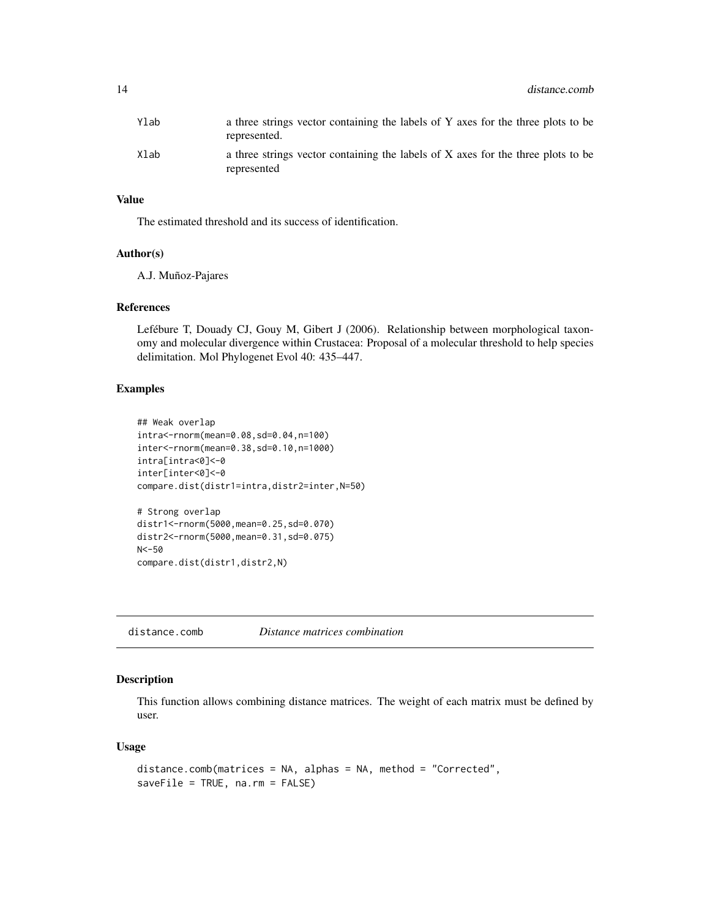<span id="page-13-0"></span>

| Ylab | a three strings vector containing the labels of Y axes for the three plots to be<br>represented. |
|------|--------------------------------------------------------------------------------------------------|
| Xlab | a three strings vector containing the labels of X axes for the three plots to be<br>represented  |

# Value

The estimated threshold and its success of identification.

#### Author(s)

A.J. Muñoz-Pajares

#### References

Lefébure T, Douady CJ, Gouy M, Gibert J (2006). Relationship between morphological taxonomy and molecular divergence within Crustacea: Proposal of a molecular threshold to help species delimitation. Mol Phylogenet Evol 40: 435–447.

# Examples

```
## Weak overlap
intra<-rnorm(mean=0.08,sd=0.04,n=100)
inter<-rnorm(mean=0.38,sd=0.10,n=1000)
intra[intra<0]<-0
inter[inter<0]<-0
compare.dist(distr1=intra,distr2=inter,N=50)
# Strong overlap
distr1<-rnorm(5000,mean=0.25,sd=0.070)
distr2<-rnorm(5000,mean=0.31,sd=0.075)
N<-50
```
compare.dist(distr1,distr2,N)

<span id="page-13-1"></span>distance.comb *Distance matrices combination*

# Description

This function allows combining distance matrices. The weight of each matrix must be defined by user.

### Usage

```
distance.comb(matrices = NA, alphas = NA, method = "Corrected",
saveFile = TRUE, na.rm = FALSE)
```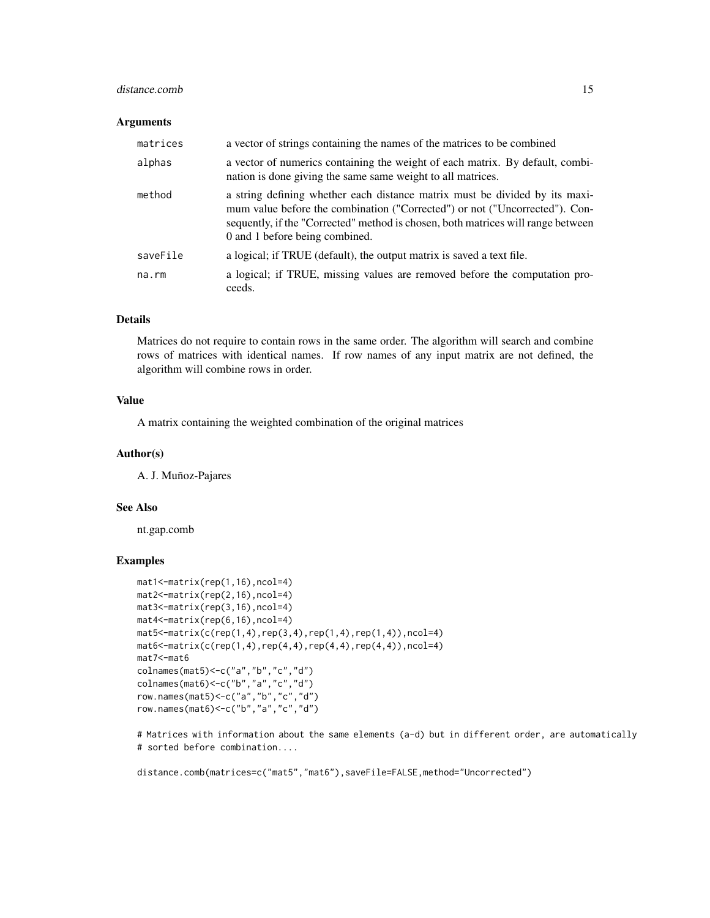### distance.comb 15

#### Arguments

| matrices | a vector of strings containing the names of the matrices to be combined                                                                                                                                                                                                          |
|----------|----------------------------------------------------------------------------------------------------------------------------------------------------------------------------------------------------------------------------------------------------------------------------------|
| alphas   | a vector of numerics containing the weight of each matrix. By default, combi-<br>nation is done giving the same same weight to all matrices.                                                                                                                                     |
| method   | a string defining whether each distance matrix must be divided by its maxi-<br>mum value before the combination ("Corrected") or not ("Uncorrected"). Con-<br>sequently, if the "Corrected" method is chosen, both matrices will range between<br>0 and 1 before being combined. |
| saveFile | a logical; if TRUE (default), the output matrix is saved a text file.                                                                                                                                                                                                            |
| na.rm    | a logical; if TRUE, missing values are removed before the computation pro-<br>ceeds.                                                                                                                                                                                             |

# Details

Matrices do not require to contain rows in the same order. The algorithm will search and combine rows of matrices with identical names. If row names of any input matrix are not defined, the algorithm will combine rows in order.

# Value

A matrix containing the weighted combination of the original matrices

#### Author(s)

A. J. Muñoz-Pajares

#### See Also

nt.gap.comb

# Examples

```
mat1<-matrix(rep(1,16),ncol=4)
mat2<-matrix(rep(2,16),ncol=4)
mat3<-matrix(rep(3,16),ncol=4)
mat4<-matrix(rep(6,16),ncol=4)
mat5 < -matrix(c(rep(1,4),rep(3,4),rep(1,4),rep(1,4)), ncol=4)
mat6 < -matrix(c(rep(1,4),rep(4,4),rep(4,4),rep(4,4)), nep(4,4)), ncol=4)mat7<-mat6
colnames(mat5)<-c("a","b","c","d")
colnames(mat6)<-c("b","a","c","d")
row.names(mat5)<-c("a","b","c","d")
row.names(mat6)<-c("b","a","c","d")
```
# Matrices with information about the same elements (a-d) but in different order, are automatically # sorted before combination....

distance.comb(matrices=c("mat5","mat6"),saveFile=FALSE,method="Uncorrected")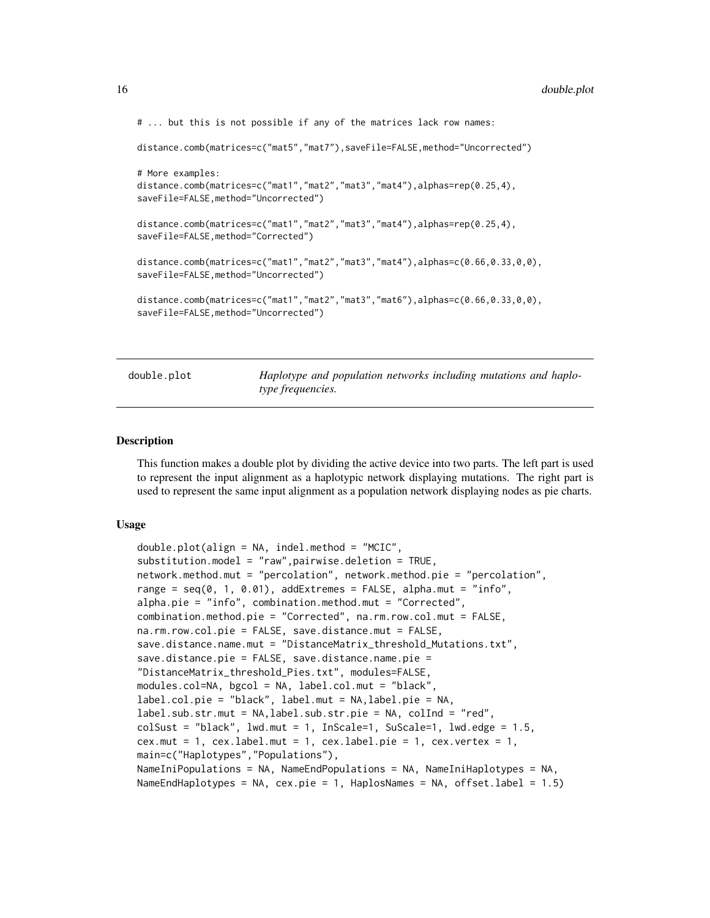```
# ... but this is not possible if any of the matrices lack row names:
```

```
distance.comb(matrices=c("mat5","mat7"),saveFile=FALSE,method="Uncorrected")
```

```
# More examples:
distance.comb(matrices=c("mat1","mat2","mat3","mat4"),alphas=rep(0.25,4),
saveFile=FALSE,method="Uncorrected")
distance.comb(matrices=c("mat1","mat2","mat3","mat4"),alphas=rep(0.25,4),
saveFile=FALSE,method="Corrected")
distance.comb(matrices=c("mat1","mat2","mat3","mat4"),alphas=c(0.66,0.33,0,0),
saveFile=FALSE,method="Uncorrected")
distance.comb(matrices=c("mat1","mat2","mat3","mat6"),alphas=c(0.66,0.33,0,0),
saveFile=FALSE,method="Uncorrected")
```
<span id="page-15-1"></span>double.plot *Haplotype and population networks including mutations and haplotype frequencies.*

#### Description

This function makes a double plot by dividing the active device into two parts. The left part is used to represent the input alignment as a haplotypic network displaying mutations. The right part is used to represent the same input alignment as a population network displaying nodes as pie charts.

#### Usage

```
double.plot(align = NA, indel.method = "MCIC",
substitution.model = "raw",pairwise.deletion = TRUE,
network.method.mut = "percolation", network.method.pie = "percolation",
range = seq(0, 1, 0.01), addExtremes = FALSE, alpha.mut = "info",
alpha.pie = "info", combination.method.mut = "Corrected",
combination.method.pie = "Corrected", na.rm.row.col.mut = FALSE,
na.rm.row.col.pie = FALSE, save.distance.mut = FALSE,
save.distance.name.mut = "DistanceMatrix_threshold_Mutations.txt",
save.distance.pie = FALSE, save.distance.name.pie =
"DistanceMatrix_threshold_Pies.txt", modules=FALSE,
modules.col=NA, bgcol = NA, label.col.mut = "black",
label.col.pie = "black", label.mut = NA,label.pie = NA,
label.sub.str.mut = NA,label.sub.str.pie = NA, colInd = "red",
colSust = "black", lwd.mut = 1, InScale=1, SuScale=1, lwd.edge = 1.5,
cex.mut = 1, cex.label.mut = 1, cex.label.pie = 1, cex.vertex = 1,
main=c("Haplotypes","Populations"),
NameIniPopulations = NA, NameEndPopulations = NA, NameIniHaplotypes = NA,
NameEndHaplotypes = NA, cex.pie = 1, HaplosNames = NA, offset.label = 1.5)
```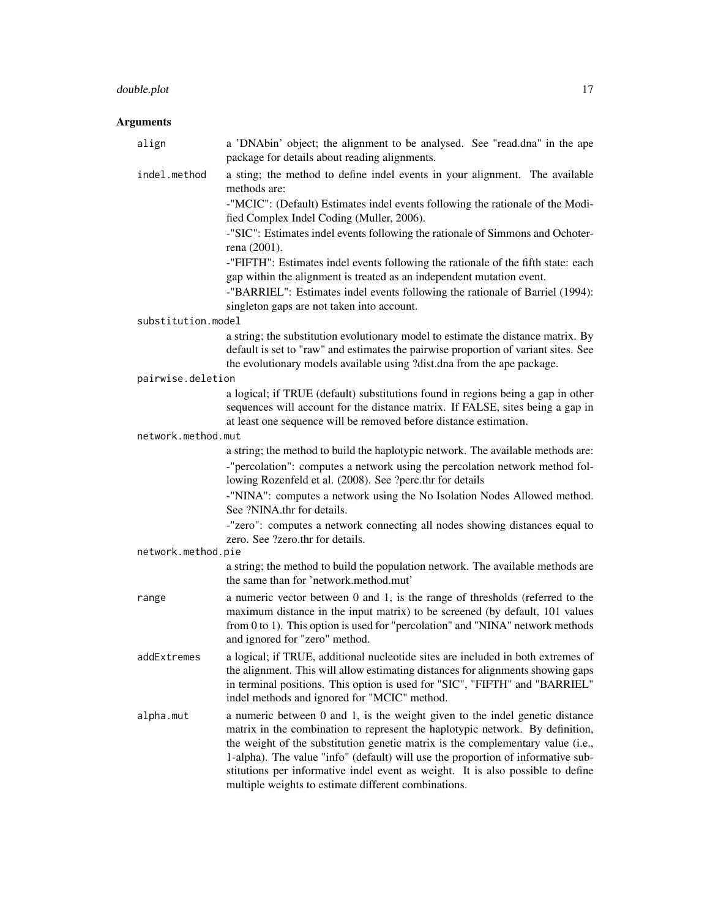# double.plot 17

# Arguments

| align              | a 'DNAbin' object; the alignment to be analysed. See "read.dna" in the ape<br>package for details about reading alignments.                                                                                                                                                                                                                                                                                                                                                     |  |
|--------------------|---------------------------------------------------------------------------------------------------------------------------------------------------------------------------------------------------------------------------------------------------------------------------------------------------------------------------------------------------------------------------------------------------------------------------------------------------------------------------------|--|
| indel.method       | a sting; the method to define indel events in your alignment. The available<br>methods are:                                                                                                                                                                                                                                                                                                                                                                                     |  |
|                    | -"MCIC": (Default) Estimates indel events following the rationale of the Modi-<br>fied Complex Indel Coding (Muller, 2006).                                                                                                                                                                                                                                                                                                                                                     |  |
|                    | -"SIC": Estimates indel events following the rationale of Simmons and Ochoter-<br>rena (2001).                                                                                                                                                                                                                                                                                                                                                                                  |  |
|                    | -"FIFTH": Estimates indel events following the rationale of the fifth state: each<br>gap within the alignment is treated as an independent mutation event.<br>-"BARRIEL": Estimates indel events following the rationale of Barriel (1994):<br>singleton gaps are not taken into account.                                                                                                                                                                                       |  |
| substitution.model |                                                                                                                                                                                                                                                                                                                                                                                                                                                                                 |  |
|                    | a string; the substitution evolutionary model to estimate the distance matrix. By<br>default is set to "raw" and estimates the pairwise proportion of variant sites. See<br>the evolutionary models available using ?dist.dna from the ape package.                                                                                                                                                                                                                             |  |
| pairwise.deletion  |                                                                                                                                                                                                                                                                                                                                                                                                                                                                                 |  |
|                    | a logical; if TRUE (default) substitutions found in regions being a gap in other<br>sequences will account for the distance matrix. If FALSE, sites being a gap in<br>at least one sequence will be removed before distance estimation.                                                                                                                                                                                                                                         |  |
| network.method.mut |                                                                                                                                                                                                                                                                                                                                                                                                                                                                                 |  |
|                    | a string; the method to build the haplotypic network. The available methods are:<br>-"percolation": computes a network using the percolation network method fol-<br>lowing Rozenfeld et al. (2008). See ?perc.thr for details                                                                                                                                                                                                                                                   |  |
|                    | -"NINA": computes a network using the No Isolation Nodes Allowed method.<br>See ?NINA.thr for details.                                                                                                                                                                                                                                                                                                                                                                          |  |
|                    | -"zero": computes a network connecting all nodes showing distances equal to<br>zero. See ?zero.thr for details.                                                                                                                                                                                                                                                                                                                                                                 |  |
| network.method.pie |                                                                                                                                                                                                                                                                                                                                                                                                                                                                                 |  |
|                    | a string; the method to build the population network. The available methods are<br>the same than for 'network.method.mut'                                                                                                                                                                                                                                                                                                                                                       |  |
| range              | a numeric vector between 0 and 1, is the range of thresholds (referred to the<br>maximum distance in the input matrix) to be screened (by default, 101 values<br>from 0 to 1). This option is used for "percolation" and "NINA" network methods<br>and ignored for "zero" method.                                                                                                                                                                                               |  |
| addExtremes        | a logical; if TRUE, additional nucleotide sites are included in both extremes of<br>the alignment. This will allow estimating distances for alignments showing gaps<br>in terminal positions. This option is used for "SIC", "FIFTH" and "BARRIEL"<br>indel methods and ignored for "MCIC" method.                                                                                                                                                                              |  |
| alpha.mut          | a numeric between 0 and 1, is the weight given to the indel genetic distance<br>matrix in the combination to represent the haplotypic network. By definition,<br>the weight of the substitution genetic matrix is the complementary value (i.e.,<br>1-alpha). The value "info" (default) will use the proportion of informative sub-<br>stitutions per informative indel event as weight. It is also possible to define<br>multiple weights to estimate different combinations. |  |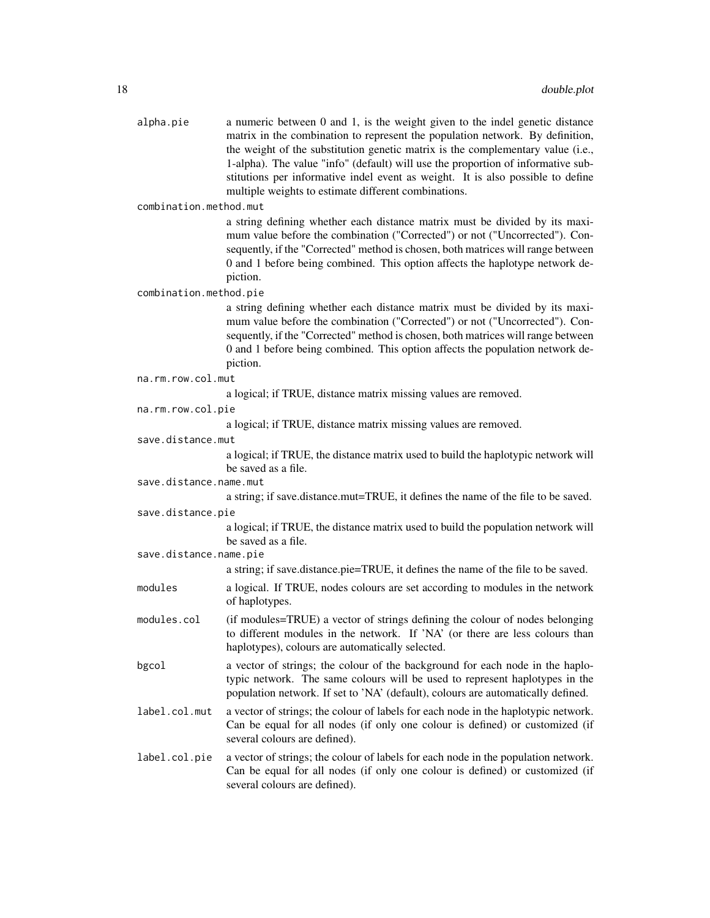| alpha.pie | a numeric between 0 and 1, is the weight given to the indel genetic distance     |
|-----------|----------------------------------------------------------------------------------|
|           | matrix in the combination to represent the population network. By definition,    |
|           | the weight of the substitution genetic matrix is the complementary value (i.e.,  |
|           | 1-alpha). The value "info" (default) will use the proportion of informative sub- |
|           | stitutions per informative indel event as weight. It is also possible to define  |
|           | multiple weights to estimate different combinations.                             |
|           |                                                                                  |

combination.method.mut

a string defining whether each distance matrix must be divided by its maximum value before the combination ("Corrected") or not ("Uncorrected"). Consequently, if the "Corrected" method is chosen, both matrices will range between 0 and 1 before being combined. This option affects the haplotype network depiction.

combination.method.pie

a string defining whether each distance matrix must be divided by its maximum value before the combination ("Corrected") or not ("Uncorrected"). Consequently, if the "Corrected" method is chosen, both matrices will range between 0 and 1 before being combined. This option affects the population network depiction.

|  |  |  | na.rm.row.col.mut |  |  |
|--|--|--|-------------------|--|--|
|--|--|--|-------------------|--|--|

a logical; if TRUE, distance matrix missing values are removed.

```
na.rm.row.col.pie
```
a logical; if TRUE, distance matrix missing values are removed.

save.distance.mut

a logical; if TRUE, the distance matrix used to build the haplotypic network will be saved as a file.

save.distance.name.mut

a string; if save.distance.mut=TRUE, it defines the name of the file to be saved.

save.distance.pie

a logical; if TRUE, the distance matrix used to build the population network will be saved as a file.

save.distance.name.pie

a string; if save.distance.pie=TRUE, it defines the name of the file to be saved.

- modules a logical. If TRUE, nodes colours are set according to modules in the network of haplotypes.
- modules.col (if modules=TRUE) a vector of strings defining the colour of nodes belonging to different modules in the network. If 'NA' (or there are less colours than haplotypes), colours are automatically selected.
- bgcol a vector of strings; the colour of the background for each node in the haplotypic network. The same colours will be used to represent haplotypes in the population network. If set to 'NA' (default), colours are automatically defined.
- label.col.mut a vector of strings; the colour of labels for each node in the haplotypic network. Can be equal for all nodes (if only one colour is defined) or customized (if several colours are defined).
- label.col.pie a vector of strings; the colour of labels for each node in the population network. Can be equal for all nodes (if only one colour is defined) or customized (if several colours are defined).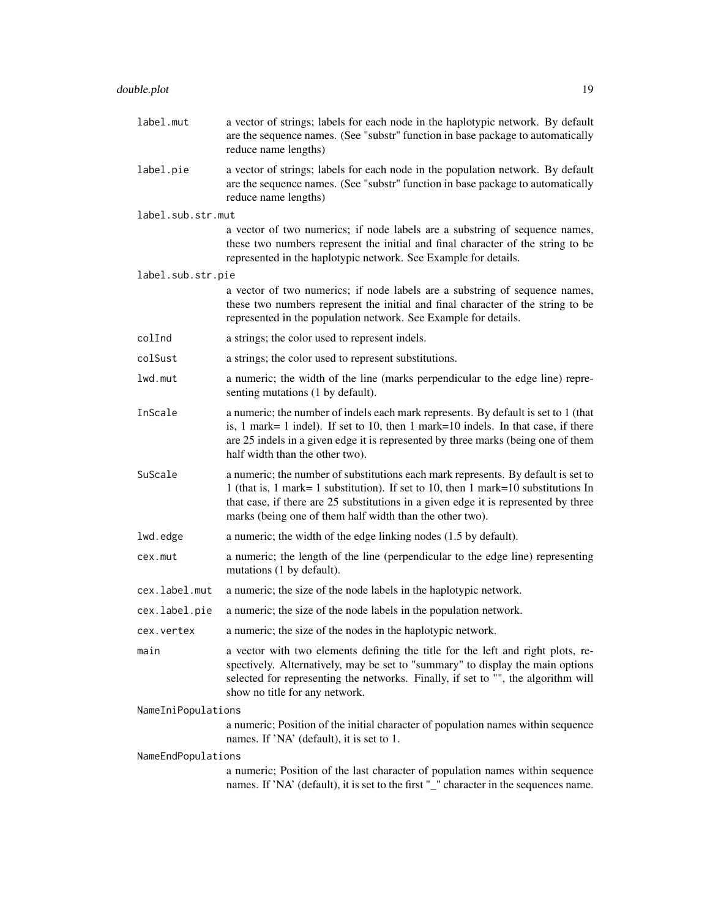label.pie a vector of strings; labels for each node in the population network. By default are the sequence names. (See "substr" function in base package to automatically reduce name lengths)

label.sub.str.mut

a vector of two numerics; if node labels are a substring of sequence names, these two numbers represent the initial and final character of the string to be represented in the haplotypic network. See Example for details.

label.sub.str.pie

a vector of two numerics; if node labels are a substring of sequence names, these two numbers represent the initial and final character of the string to be represented in the population network. See Example for details.

- colInd a strings; the color used to represent indels.
- colSust a strings; the color used to represent substitutions.

lwd.mut a numeric; the width of the line (marks perpendicular to the edge line) representing mutations (1 by default).

- InScale a numeric; the number of indels each mark represents. By default is set to 1 (that is, 1 mark= 1 indel). If set to 10, then 1 mark=10 indels. In that case, if there are 25 indels in a given edge it is represented by three marks (being one of them half width than the other two).
- SuScale a numeric; the number of substitutions each mark represents. By default is set to 1 (that is, 1 mark= 1 substitution). If set to 10, then 1 mark=10 substitutions In that case, if there are 25 substitutions in a given edge it is represented by three marks (being one of them half width than the other two).
- lwd.edge a numeric; the width of the edge linking nodes (1.5 by default).
- cex.mut a numeric; the length of the line (perpendicular to the edge line) representing mutations (1 by default).
- cex.label.mut a numeric; the size of the node labels in the haplotypic network.
- cex.label.pie a numeric; the size of the node labels in the population network.
- cex.vertex a numeric; the size of the nodes in the haplotypic network.
- main a vector with two elements defining the title for the left and right plots, respectively. Alternatively, may be set to "summary" to display the main options selected for representing the networks. Finally, if set to "", the algorithm will show no title for any network.

NameIniPopulations

a numeric; Position of the initial character of population names within sequence names. If 'NA' (default), it is set to 1.

NameEndPopulations

a numeric; Position of the last character of population names within sequence names. If 'NA' (default), it is set to the first "\_" character in the sequences name.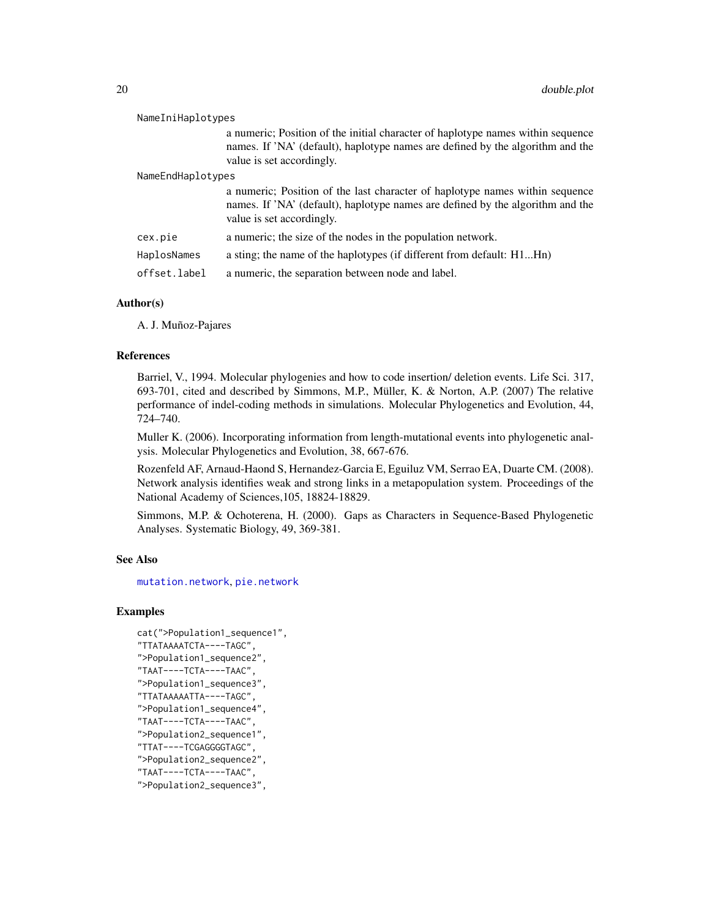| NameIniHaplotypes                                                                                                                                                                              |
|------------------------------------------------------------------------------------------------------------------------------------------------------------------------------------------------|
| a numeric; Position of the initial character of haplotype names within sequence<br>names. If 'NA' (default), haplotype names are defined by the algorithm and the<br>value is set accordingly. |
| NameEndHaplotypes                                                                                                                                                                              |
| a numeric; Position of the last character of haplotype names within sequence<br>names. If 'NA' (default), haplotype names are defined by the algorithm and the<br>value is set accordingly.    |
| a numeric; the size of the nodes in the population network.                                                                                                                                    |
| a sting; the name of the haplotypes (if different from default: H1Hn)                                                                                                                          |
| a numeric, the separation between node and label.                                                                                                                                              |
|                                                                                                                                                                                                |

# Author(s)

A. J. Muñoz-Pajares

#### References

Barriel, V., 1994. Molecular phylogenies and how to code insertion/ deletion events. Life Sci. 317, 693-701, cited and described by Simmons, M.P., Müller, K. & Norton, A.P. (2007) The relative performance of indel-coding methods in simulations. Molecular Phylogenetics and Evolution, 44, 724–740.

Muller K. (2006). Incorporating information from length-mutational events into phylogenetic analysis. Molecular Phylogenetics and Evolution, 38, 667-676.

Rozenfeld AF, Arnaud-Haond S, Hernandez-Garcia E, Eguiluz VM, Serrao EA, Duarte CM. (2008). Network analysis identifies weak and strong links in a metapopulation system. Proceedings of the National Academy of Sciences,105, 18824-18829.

Simmons, M.P. & Ochoterena, H. (2000). Gaps as Characters in Sequence-Based Phylogenetic Analyses. Systematic Biology, 49, 369-381.

#### See Also

[mutation.network](#page-38-1), [pie.network](#page-54-1)

#### Examples

```
cat(">Population1_sequence1",
"TTATAAAATCTA----TAGC",
">Population1_sequence2",
"TAAT----TCTA----TAAC",
">Population1_sequence3",
"TTATAAAAATTA----TAGC",
">Population1_sequence4",
"TAAT----TCTA----TAAC",
">Population2_sequence1",
"TTAT----TCGAGGGGTAGC",
">Population2_sequence2",
"TAAT----TCTA----TAAC",
">Population2_sequence3",
```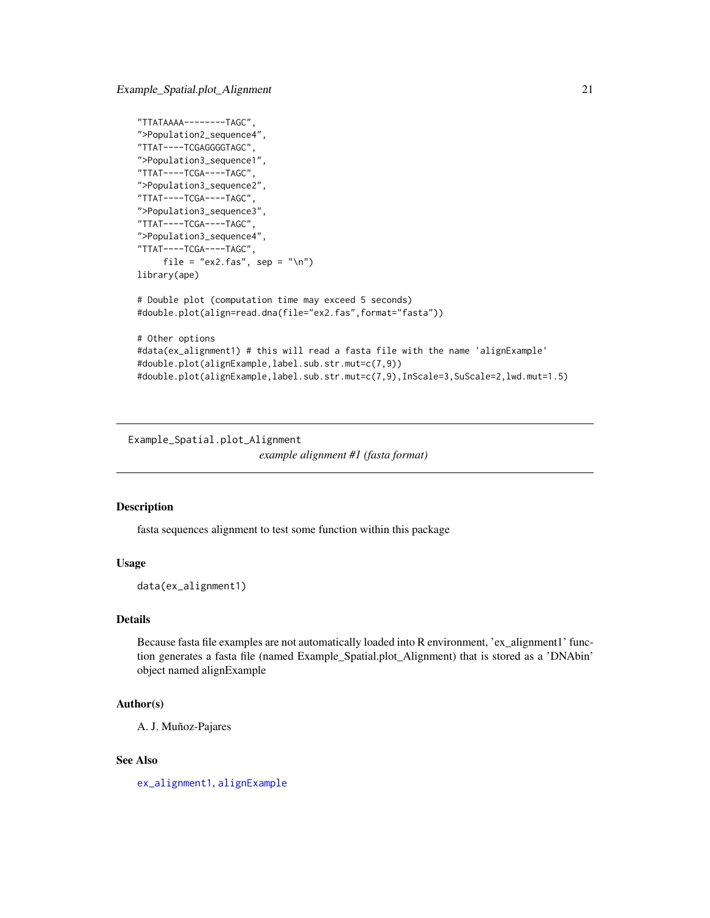<span id="page-20-0"></span>Example\_Spatial.plot\_Alignment 21

```
"TTATAAAA--------TAGC",
">Population2_sequence4",
"TTAT----TCGAGGGGTAGC",
">Population3_sequence1",
"TTAT----TCGA----TAGC",
">Population3_sequence2",
"TTAT----TCGA----TAGC",
">Population3_sequence3",
"TTAT----TCGA----TAGC",
">Population3_sequence4",
"TTAT----TCGA----TAGC",
     file = "ex2.fas", sep = "\n")
library(ape)
# Double plot (computation time may exceed 5 seconds)
#double.plot(align=read.dna(file="ex2.fas",format="fasta"))
# Other options
#data(ex_alignment1) # this will read a fasta file with the name 'alignExample'
#double.plot(alignExample,label.sub.str.mut=c(7,9))
#double.plot(alignExample,label.sub.str.mut=c(7,9),InScale=3,SuScale=2,lwd.mut=1.5)
```
<span id="page-20-1"></span>Example\_Spatial.plot\_Alignment *example alignment #1 (fasta format)*

#### Description

fasta sequences alignment to test some function within this package

#### Usage

data(ex\_alignment1)

# Details

Because fasta file examples are not automatically loaded into R environment, 'ex\_alignment1' function generates a fasta file (named Example\_Spatial.plot\_Alignment) that is stored as a 'DNAbin' object named alignExample

#### Author(s)

A. J. Muñoz-Pajares

# See Also

[ex\\_alignment1](#page-21-1), [alignExample](#page-3-1)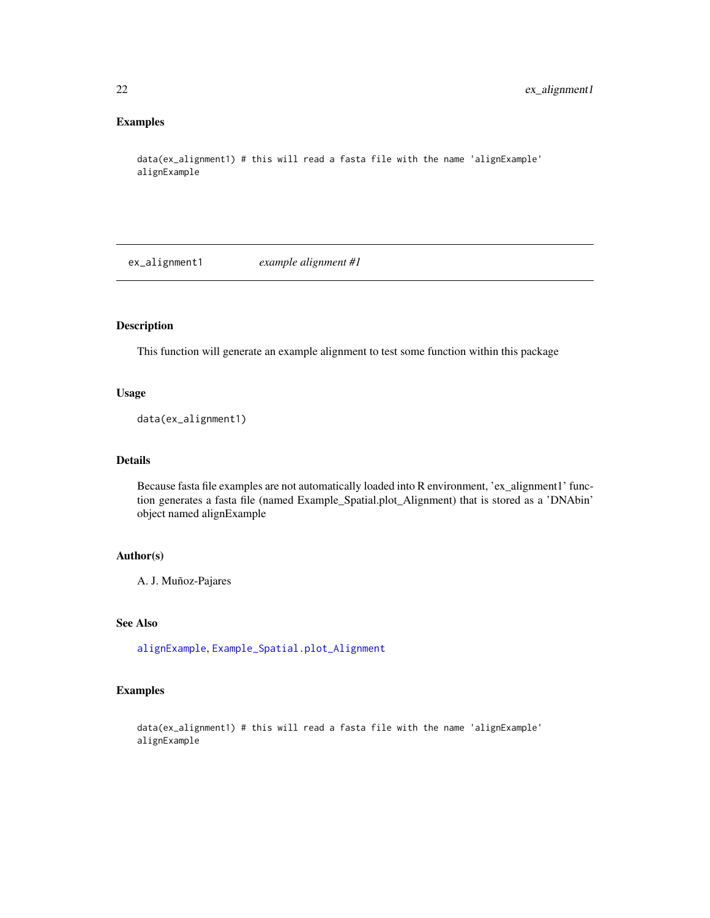# <span id="page-21-0"></span>Examples

```
data(ex_alignment1) # this will read a fasta file with the name 'alignExample'
alignExample
```
<span id="page-21-1"></span>ex\_alignment1 *example alignment #1*

# Description

This function will generate an example alignment to test some function within this package

#### Usage

data(ex\_alignment1)

# Details

Because fasta file examples are not automatically loaded into R environment, 'ex\_alignment1' function generates a fasta file (named Example\_Spatial.plot\_Alignment) that is stored as a 'DNAbin' object named alignExample

# Author(s)

A. J. Muñoz-Pajares

# See Also

[alignExample](#page-3-1), [Example\\_Spatial.plot\\_Alignment](#page-20-1)

# Examples

data(ex\_alignment1) # this will read a fasta file with the name 'alignExample' alignExample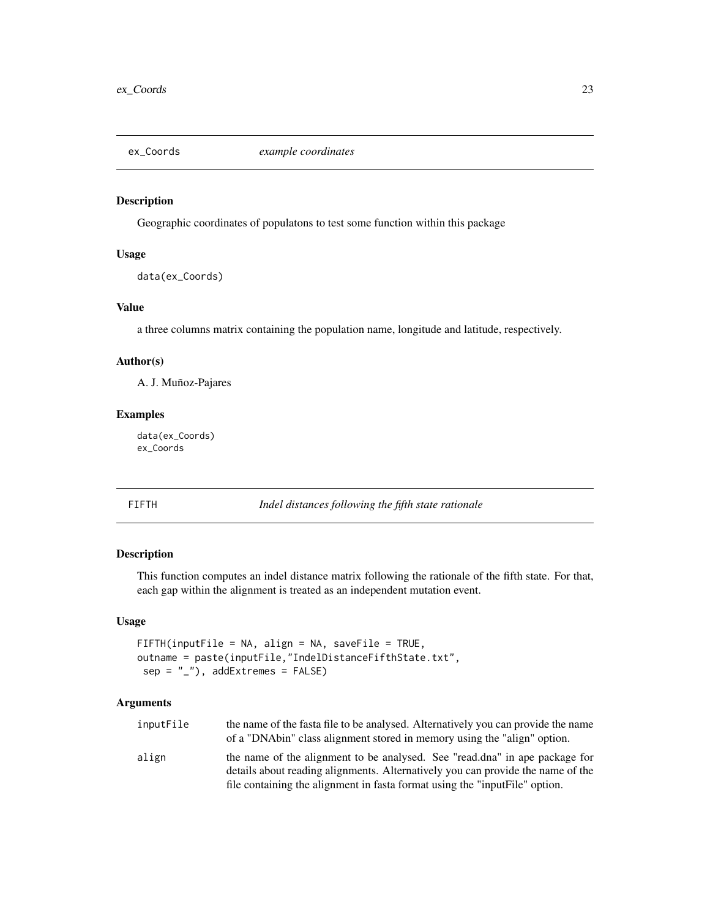<span id="page-22-1"></span><span id="page-22-0"></span>

#### Description

Geographic coordinates of populatons to test some function within this package

# Usage

data(ex\_Coords)

# Value

a three columns matrix containing the population name, longitude and latitude, respectively.

#### Author(s)

A. J. Muñoz-Pajares

# Examples

data(ex\_Coords) ex\_Coords

<span id="page-22-2"></span>FIFTH *Indel distances following the fifth state rationale*

# Description

This function computes an indel distance matrix following the rationale of the fifth state. For that, each gap within the alignment is treated as an independent mutation event.

#### Usage

```
FIFTH(inputFile = NA, align = NA, saveFile = TRUE,
outname = paste(inputFile,"IndelDistanceFifthState.txt",
 sep = "'', addExtremes = FALSE)
```
#### Arguments

| inputFile | the name of the fasta file to be analysed. Alternatively you can provide the name                                                                              |
|-----------|----------------------------------------------------------------------------------------------------------------------------------------------------------------|
|           | of a "DNAbin" class alignment stored in memory using the "align" option.                                                                                       |
| align     | the name of the alignment to be analysed. See "read.dna" in ape package for<br>details about reading alignments. Alternatively you can provide the name of the |
|           | file containing the alignment in fasta format using the "input File" option.                                                                                   |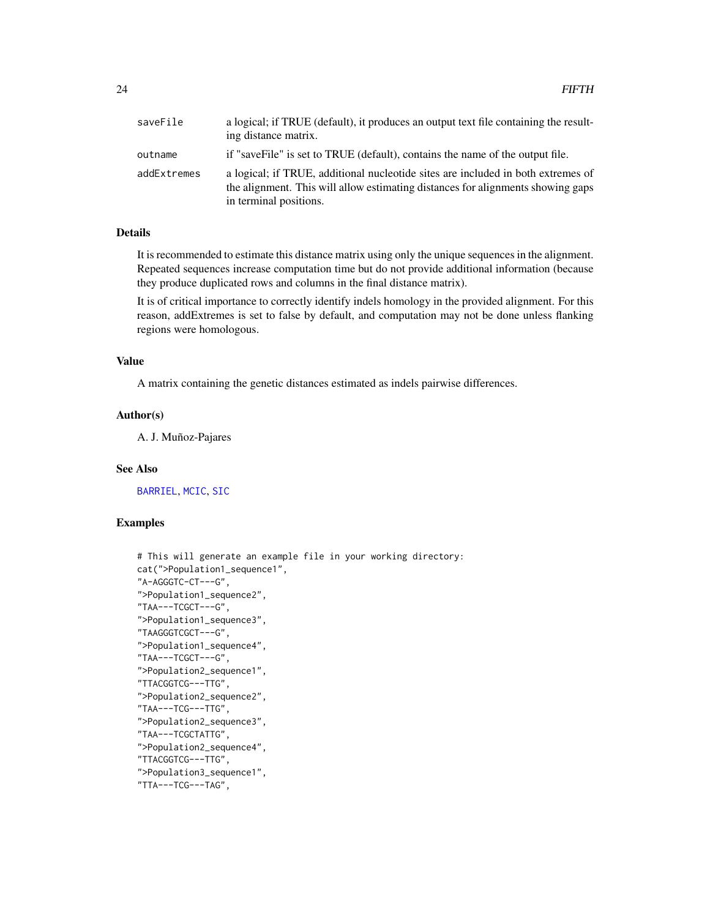| saveFile    | a logical; if TRUE (default), it produces an output text file containing the result-<br>ing distance matrix.                                                                                  |
|-------------|-----------------------------------------------------------------------------------------------------------------------------------------------------------------------------------------------|
| outname     | if "save File" is set to TRUE (default), contains the name of the output file.                                                                                                                |
| addExtremes | a logical; if TRUE, additional nucleotide sites are included in both extremes of<br>the alignment. This will allow estimating distances for alignments showing gaps<br>in terminal positions. |

# Details

It is recommended to estimate this distance matrix using only the unique sequences in the alignment. Repeated sequences increase computation time but do not provide additional information (because they produce duplicated rows and columns in the final distance matrix).

It is of critical importance to correctly identify indels homology in the provided alignment. For this reason, addExtremes is set to false by default, and computation may not be done unless flanking regions were homologous.

#### Value

A matrix containing the genetic distances estimated as indels pairwise differences.

#### Author(s)

A. J. Muñoz-Pajares

#### See Also

[BARRIEL](#page-9-1), [MCIC](#page-34-1), [SIC](#page-63-1)

# Examples

```
# This will generate an example file in your working directory:
cat(">Population1_sequence1",
"A-AGGGTC-CT---G",
">Population1_sequence2",
"TAA---TCGCT---G",
">Population1_sequence3",
"TAAGGGTCGCT---G",
">Population1_sequence4",
"TAA---TCGCT---G",
">Population2_sequence1",
"TTACGGTCG---TTG",
">Population2_sequence2",
"TAA---TCG---TTG",
">Population2_sequence3",
"TAA---TCGCTATTG",
">Population2_sequence4",
"TTACGGTCG---TTG",
">Population3_sequence1",
"TTA---TCG---TAG",
```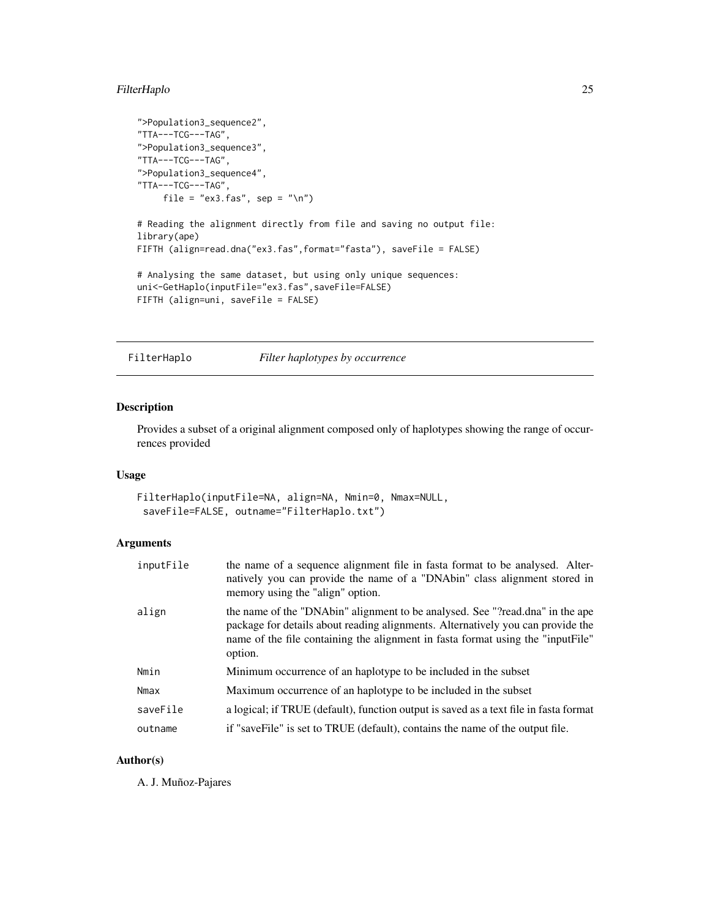# <span id="page-24-0"></span>FilterHaplo 25

```
">Population3_sequence2",
"TTA---TCG---TAG",
">Population3_sequence3",
"TTA---TCG---TAG",
">Population3_sequence4",
"TTA---TCG---TAG",
    file = "ex3.fas", sep = "\n")
# Reading the alignment directly from file and saving no output file:
library(ape)
FIFTH (align=read.dna("ex3.fas",format="fasta"), saveFile = FALSE)
# Analysing the same dataset, but using only unique sequences:
uni<-GetHaplo(inputFile="ex3.fas",saveFile=FALSE)
FIFTH (align=uni, saveFile = FALSE)
```
<span id="page-24-1"></span>FilterHaplo *Filter haplotypes by occurrence*

# Description

Provides a subset of a original alignment composed only of haplotypes showing the range of occurrences provided

# Usage

FilterHaplo(inputFile=NA, align=NA, Nmin=0, Nmax=NULL, saveFile=FALSE, outname="FilterHaplo.txt")

# Arguments

| inputFile | the name of a sequence alignment file in fasta format to be analysed. Alter-<br>natively you can provide the name of a "DNAbin" class alignment stored in<br>memory using the "align" option.                                                                  |
|-----------|----------------------------------------------------------------------------------------------------------------------------------------------------------------------------------------------------------------------------------------------------------------|
| align     | the name of the "DNAbin" alignment to be analysed. See "?read.dna" in the ape<br>package for details about reading alignments. Alternatively you can provide the<br>name of the file containing the alignment in fasta format using the "inputFile"<br>option. |
| Nmin      | Minimum occurrence of an haplotype to be included in the subset                                                                                                                                                                                                |
| Nmax      | Maximum occurrence of an haplotype to be included in the subset                                                                                                                                                                                                |
| saveFile  | a logical; if TRUE (default), function output is saved as a text file in fasta format                                                                                                                                                                          |
| outname   | if "saveFile" is set to TRUE (default), contains the name of the output file.                                                                                                                                                                                  |

# Author(s)

A. J. Muñoz-Pajares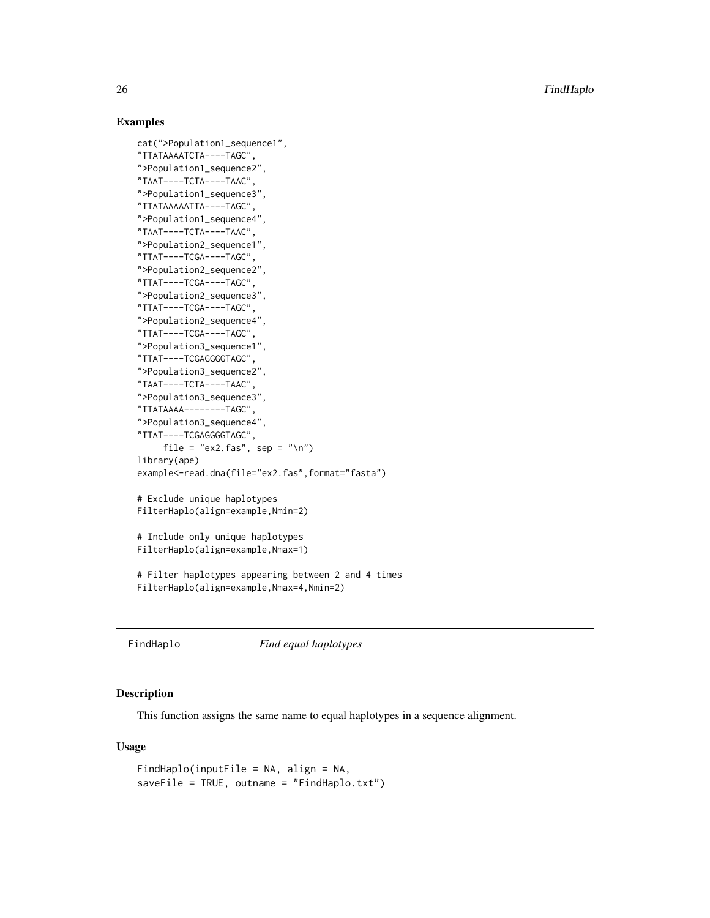26 FindHaplo

# Examples

```
cat(">Population1_sequence1",
"TTATAAAATCTA----TAGC",
">Population1_sequence2",
"TAAT----TCTA----TAAC",
">Population1_sequence3",
"TTATAAAAATTA----TAGC",
">Population1_sequence4",
"TAAT----TCTA----TAAC",
">Population2_sequence1",
"TTAT----TCGA----TAGC",
">Population2_sequence2",
"TTAT----TCGA----TAGC",
">Population2_sequence3",
"TTAT----TCGA----TAGC",
">Population2_sequence4",
"TTAT----TCGA----TAGC",
">Population3_sequence1",
"TTAT----TCGAGGGGTAGC",
">Population3_sequence2",
"TAAT----TCTA----TAAC",
">Population3_sequence3",
"TTATAAAA--------TAGC",
">Population3_sequence4",
"TTAT----TCGAGGGGTAGC",
     file = "ex2.fas", sep = "\n")
library(ape)
example<-read.dna(file="ex2.fas",format="fasta")
# Exclude unique haplotypes
FilterHaplo(align=example,Nmin=2)
# Include only unique haplotypes
FilterHaplo(align=example,Nmax=1)
# Filter haplotypes appearing between 2 and 4 times
FilterHaplo(align=example,Nmax=4,Nmin=2)
```
<span id="page-25-1"></span>FindHaplo *Find equal haplotypes*

#### Description

This function assigns the same name to equal haplotypes in a sequence alignment.

# Usage

```
FindHaplo(inputFile = NA, align = NA,
saveFile = TRUE, outname = "FindHaplo.txt")
```
<span id="page-25-0"></span>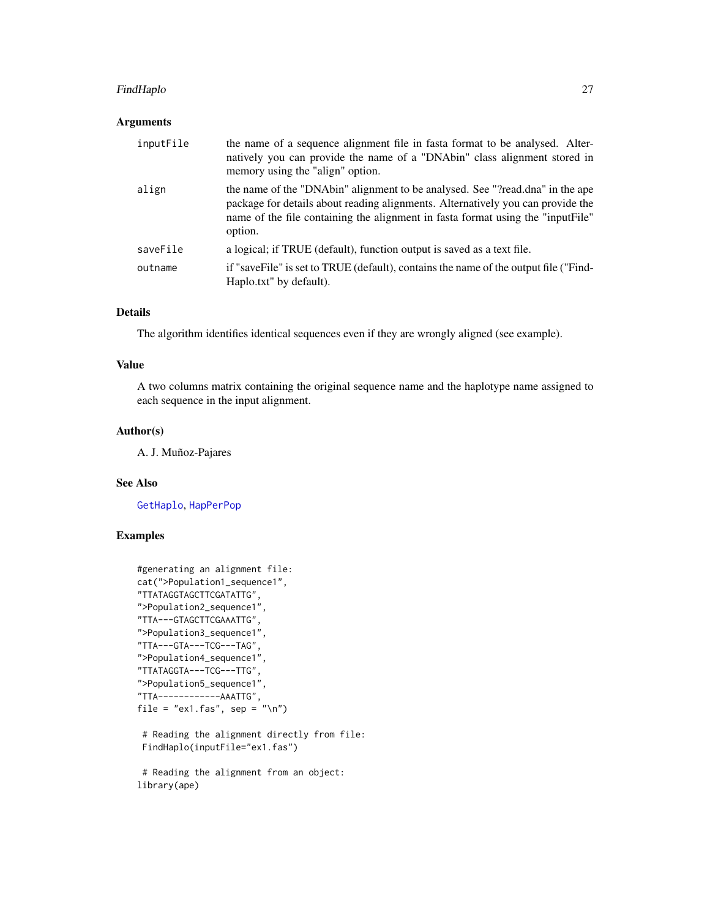# FindHaplo 27

# Arguments

| inputFile | the name of a sequence alignment file in fasta format to be analysed. Alter-<br>natively you can provide the name of a "DNAbin" class alignment stored in<br>memory using the "align" option.                                                                  |
|-----------|----------------------------------------------------------------------------------------------------------------------------------------------------------------------------------------------------------------------------------------------------------------|
| align     | the name of the "DNAbin" alignment to be analysed. See "?read.dna" in the ape<br>package for details about reading alignments. Alternatively you can provide the<br>name of the file containing the alignment in fasta format using the "inputFile"<br>option. |
| saveFile  | a logical; if TRUE (default), function output is saved as a text file.                                                                                                                                                                                         |
| outname   | if "saveFile" is set to TRUE (default), contains the name of the output file ("Find-<br>Haplo.txt" by default).                                                                                                                                                |

# Details

The algorithm identifies identical sequences even if they are wrongly aligned (see example).

# Value

A two columns matrix containing the original sequence name and the haplotype name assigned to each sequence in the input alignment.

#### Author(s)

A. J. Muñoz-Pajares

#### See Also

[GetHaplo](#page-28-1), [HapPerPop](#page-30-1)

# Examples

```
#generating an alignment file:
cat(">Population1_sequence1",
"TTATAGGTAGCTTCGATATTG",
">Population2_sequence1",
"TTA---GTAGCTTCGAAATTG",
">Population3_sequence1",
"TTA---GTA---TCG---TAG",
">Population4_sequence1",
"TTATAGGTA---TCG---TTG",
">Population5_sequence1",
"TTA------------AAATTG",
file = "ex1.fas", sep = \sqrt{n}")
# Reading the alignment directly from file:
```

```
FindHaplo(inputFile="ex1.fas")
```

```
# Reading the alignment from an object:
library(ape)
```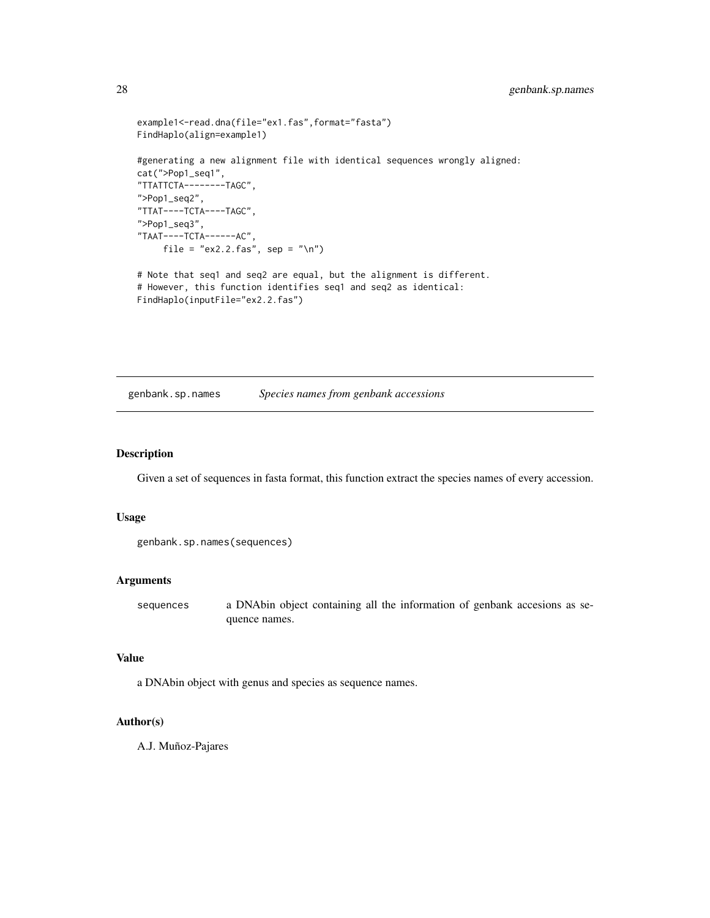```
example1<-read.dna(file="ex1.fas",format="fasta")
FindHaplo(align=example1)
#generating a new alignment file with identical sequences wrongly aligned:
cat(">Pop1_seq1",
"TTATTCTA--------TAGC",
">Pop1_seq2",
"TTAT----TCTA----TAGC",
">Pop1_seq3",
"TAAT----TCTA------AC",
    file = "ex2.2.fas", sep = "\n")
# Note that seq1 and seq2 are equal, but the alignment is different.
# However, this function identifies seq1 and seq2 as identical:
FindHaplo(inputFile="ex2.2.fas")
```
<span id="page-27-1"></span>genbank.sp.names *Species names from genbank accessions*

# Description

Given a set of sequences in fasta format, this function extract the species names of every accession.

#### Usage

```
genbank.sp.names(sequences)
```
#### Arguments

sequences a DNAbin object containing all the information of genbank accesions as sequence names.

# Value

a DNAbin object with genus and species as sequence names.

#### Author(s)

A.J. Muñoz-Pajares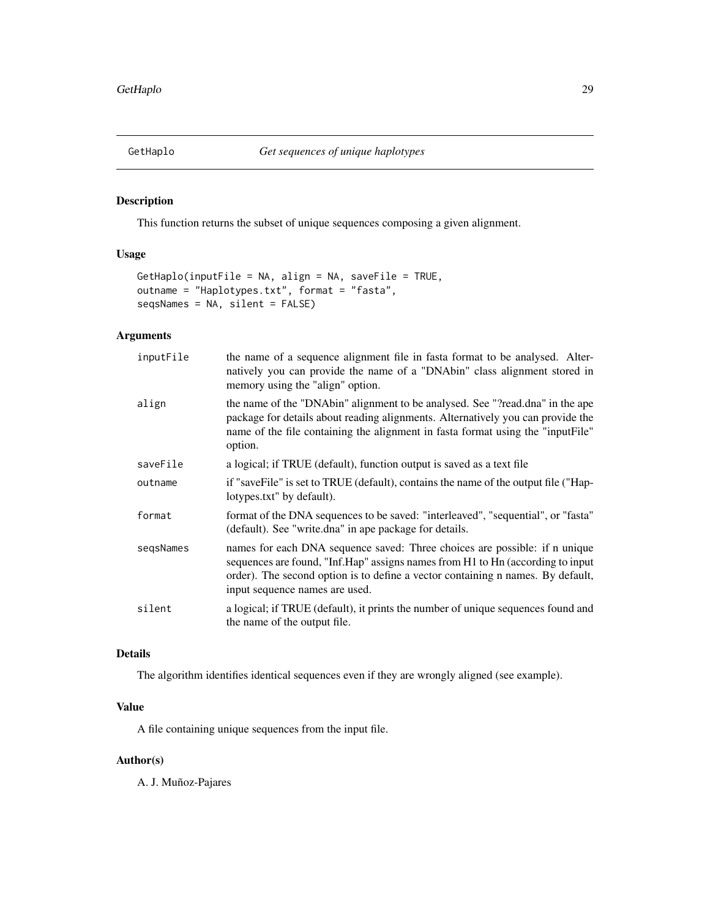<span id="page-28-1"></span><span id="page-28-0"></span>

# Description

This function returns the subset of unique sequences composing a given alignment.

# Usage

```
GetHaplo(inputFile = NA, align = NA, saveFile = TRUE,
outname = "Haplotypes.txt", format = "fasta",
seqsNames = NA, silent = FALSE)
```
# Arguments

| inputFile | the name of a sequence alignment file in fasta format to be analysed. Alter-<br>natively you can provide the name of a "DNAbin" class alignment stored in<br>memory using the "align" option.                                                                                     |
|-----------|-----------------------------------------------------------------------------------------------------------------------------------------------------------------------------------------------------------------------------------------------------------------------------------|
| align     | the name of the "DNAbin" alignment to be analysed. See "?read.dna" in the ape<br>package for details about reading alignments. Alternatively you can provide the<br>name of the file containing the alignment in fasta format using the "inputFile"<br>option.                    |
| saveFile  | a logical; if TRUE (default), function output is saved as a text file                                                                                                                                                                                                             |
| outname   | if "saveFile" is set to TRUE (default), contains the name of the output file ("Hap-<br>lotypes.txt" by default).                                                                                                                                                                  |
| format    | format of the DNA sequences to be saved: "interleaved", "sequential", or "fasta"<br>(default). See "write.dna" in ape package for details.                                                                                                                                        |
| segsNames | names for each DNA sequence saved: Three choices are possible: if n unique<br>sequences are found, "Inf.Hap" assigns names from H1 to Hn (according to input<br>order). The second option is to define a vector containing n names. By default,<br>input sequence names are used. |
| silent    | a logical; if TRUE (default), it prints the number of unique sequences found and<br>the name of the output file.                                                                                                                                                                  |

# Details

The algorithm identifies identical sequences even if they are wrongly aligned (see example).

# Value

A file containing unique sequences from the input file.

# Author(s)

A. J. Muñoz-Pajares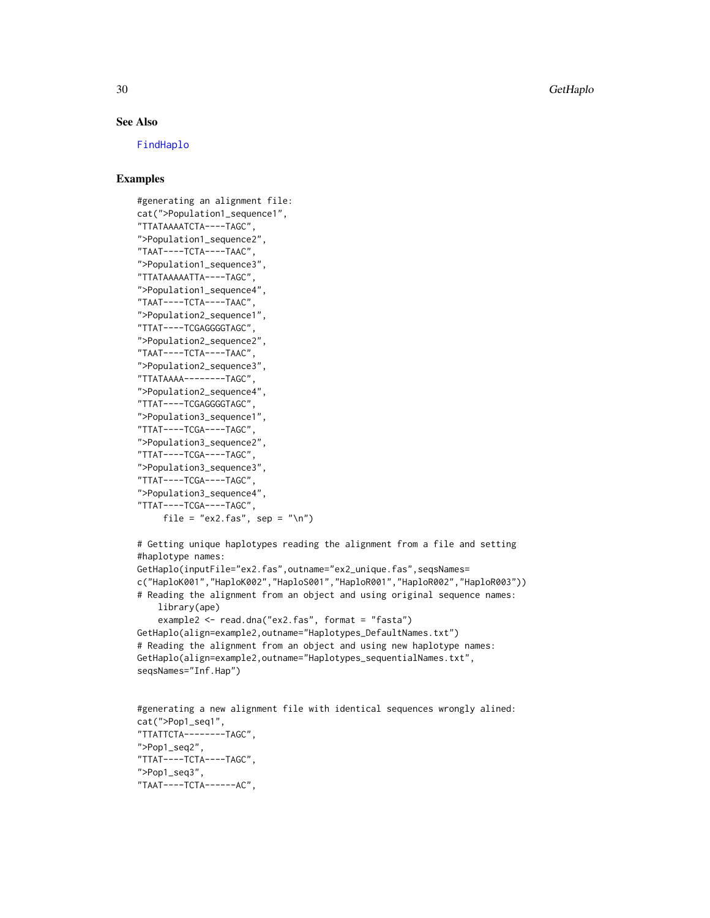30 GetHaplo

#### See Also

[FindHaplo](#page-25-1)

# Examples

```
#generating an alignment file:
cat(">Population1_sequence1",
"TTATAAAATCTA----TAGC",
">Population1_sequence2",
"TAAT----TCTA----TAAC",
">Population1_sequence3",
"TTATAAAAATTA----TAGC",
">Population1_sequence4",
"TAAT----TCTA----TAAC",
">Population2_sequence1",
"TTAT----TCGAGGGGTAGC",
">Population2_sequence2",
"TAAT----TCTA----TAAC",
">Population2_sequence3",
"TTATAAAA--------TAGC",
">Population2_sequence4",
"TTAT----TCGAGGGGTAGC",
">Population3_sequence1",
"TTAT----TCGA----TAGC",
">Population3_sequence2",
"TTAT----TCGA----TAGC",
">Population3_sequence3",
"TTAT----TCGA----TAGC",
">Population3_sequence4",
"TTAT----TCGA----TAGC",
     file = "ex2.fas", sep = "\n")
```
# Getting unique haplotypes reading the alignment from a file and setting #haplotype names: GetHaplo(inputFile="ex2.fas",outname="ex2\_unique.fas",seqsNames= c("HaploK001","HaploK002","HaploS001","HaploR001","HaploR002","HaploR003"))

```
# Reading the alignment from an object and using original sequence names:
   library(ape)
   example2 <- read.dna("ex2.fas", format = "fasta")
```

```
GetHaplo(align=example2,outname="Haplotypes_DefaultNames.txt")
# Reading the alignment from an object and using new haplotype names:
GetHaplo(align=example2,outname="Haplotypes_sequentialNames.txt",
seqsNames="Inf.Hap")
```

```
#generating a new alignment file with identical sequences wrongly alined:
cat(">Pop1_seq1",
"TTATTCTA--------TAGC",
">Pop1_seq2",
"TTAT----TCTA----TAGC",
">Pop1_seq3",
"TAAT----TCTA------AC",
```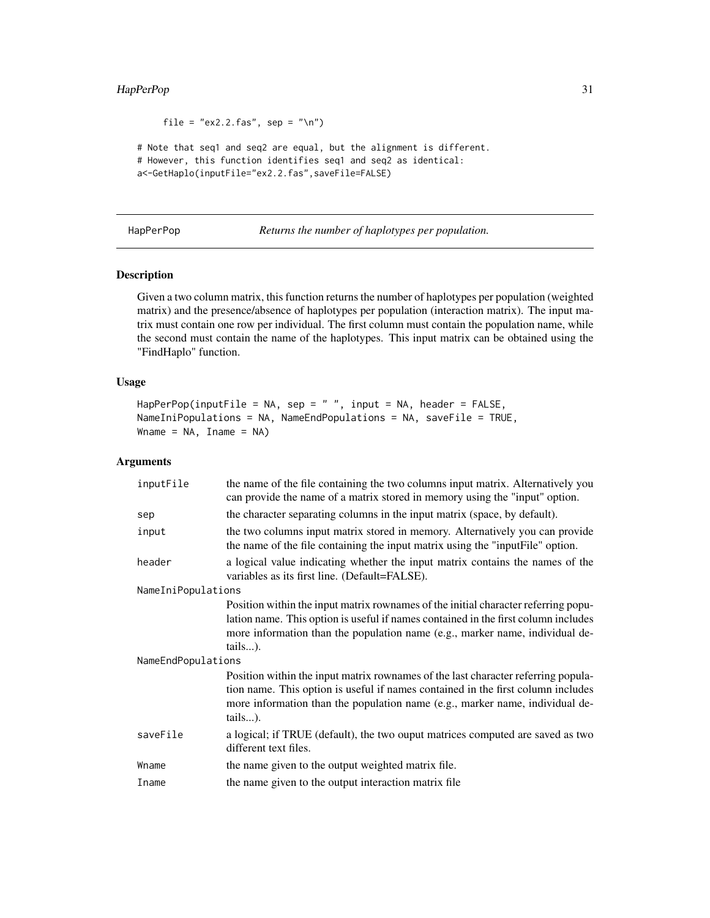# <span id="page-30-0"></span>HapPerPop 31

```
file = "ex2.2.fas", sep = "\n")
```
# Note that seq1 and seq2 are equal, but the alignment is different. # However, this function identifies seq1 and seq2 as identical: a<-GetHaplo(inputFile="ex2.2.fas",saveFile=FALSE)

<span id="page-30-1"></span>HapPerPop *Returns the number of haplotypes per population.*

# Description

Given a two column matrix, this function returns the number of haplotypes per population (weighted matrix) and the presence/absence of haplotypes per population (interaction matrix). The input matrix must contain one row per individual. The first column must contain the population name, while the second must contain the name of the haplotypes. This input matrix can be obtained using the "FindHaplo" function.

#### Usage

```
HapPerPop(inputFile = NA, sep = " ", input = NA, header = FALSE,
NameIniPopulations = NA, NameEndPopulations = NA, saveFile = TRUE,
Whame = NA, Iname = NA)
```
#### Arguments

| inputFile          | the name of the file containing the two columns input matrix. Alternatively you<br>can provide the name of a matrix stored in memory using the "input" option.                                                                                                      |
|--------------------|---------------------------------------------------------------------------------------------------------------------------------------------------------------------------------------------------------------------------------------------------------------------|
| sep                | the character separating columns in the input matrix (space, by default).                                                                                                                                                                                           |
| input              | the two columns input matrix stored in memory. Alternatively you can provide<br>the name of the file containing the input matrix using the "input File" option.                                                                                                     |
| header             | a logical value indicating whether the input matrix contains the names of the<br>variables as its first line. (Default=FALSE).                                                                                                                                      |
| NameIniPopulations |                                                                                                                                                                                                                                                                     |
|                    | Position within the input matrix rownames of the initial character referring popu-<br>lation name. This option is useful if names contained in the first column includes<br>more information than the population name (e.g., marker name, individual de-<br>tails). |
| NameEndPopulations |                                                                                                                                                                                                                                                                     |
|                    | Position within the input matrix rownames of the last character referring popula-<br>tion name. This option is useful if names contained in the first column includes<br>more information than the population name (e.g., marker name, individual de-<br>tails).    |
| saveFile           | a logical; if TRUE (default), the two ouput matrices computed are saved as two<br>different text files.                                                                                                                                                             |
| Wname              | the name given to the output weighted matrix file.                                                                                                                                                                                                                  |
| Iname              | the name given to the output interaction matrix file                                                                                                                                                                                                                |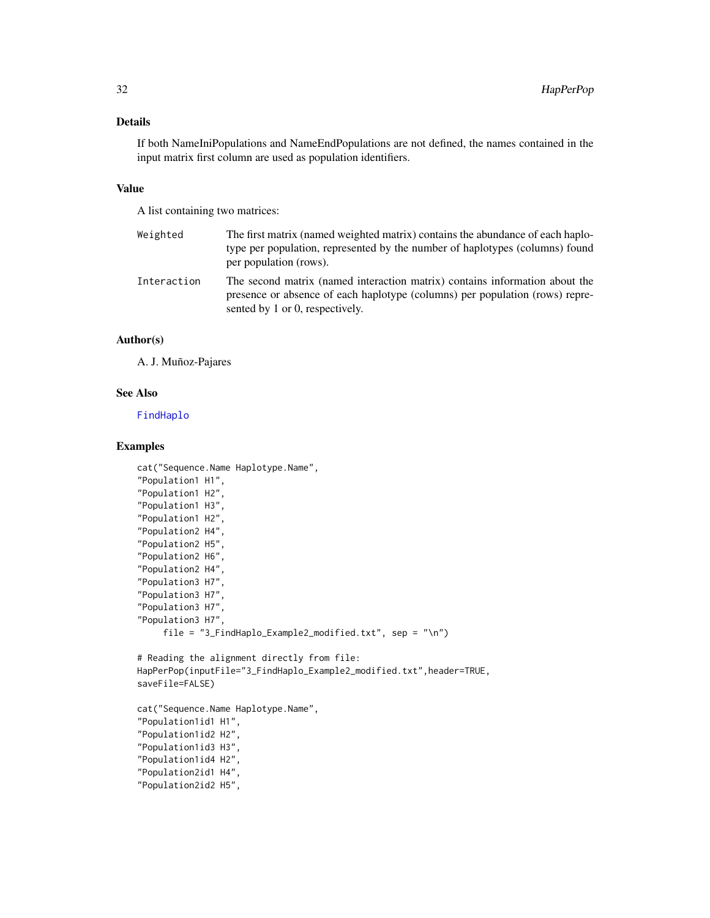# Details

If both NameIniPopulations and NameEndPopulations are not defined, the names contained in the input matrix first column are used as population identifiers.

#### Value

A list containing two matrices:

| Weighted    | The first matrix (named weighted matrix) contains the abundance of each haplo-<br>type per population, represented by the number of haplotypes (columns) found<br>per population (rows).       |
|-------------|------------------------------------------------------------------------------------------------------------------------------------------------------------------------------------------------|
| Interaction | The second matrix (named interaction matrix) contains information about the<br>presence or absence of each haplotype (columns) per population (rows) repre-<br>sented by 1 or 0, respectively. |

#### Author(s)

A. J. Muñoz-Pajares

#### See Also

[FindHaplo](#page-25-1)

# Examples

```
cat("Sequence.Name Haplotype.Name",
"Population1 H1",
"Population1 H2",
"Population1 H3",
"Population1 H2",
"Population2 H4",
"Population2 H5",
"Population2 H6",
"Population2 H4",
"Population3 H7",
"Population3 H7",
"Population3 H7",
"Population3 H7",
     file = "3_FindHaplo_Example2_modified.txt", sep = "\n")
```

```
# Reading the alignment directly from file:
HapPerPop(inputFile="3_FindHaplo_Example2_modified.txt",header=TRUE,
saveFile=FALSE)
```

```
cat("Sequence.Name Haplotype.Name",
"Population1id1 H1",
"Population1id2 H2",
"Population1id3 H3",
"Population1id4 H2",
"Population2id1 H4",
"Population2id2 H5",
```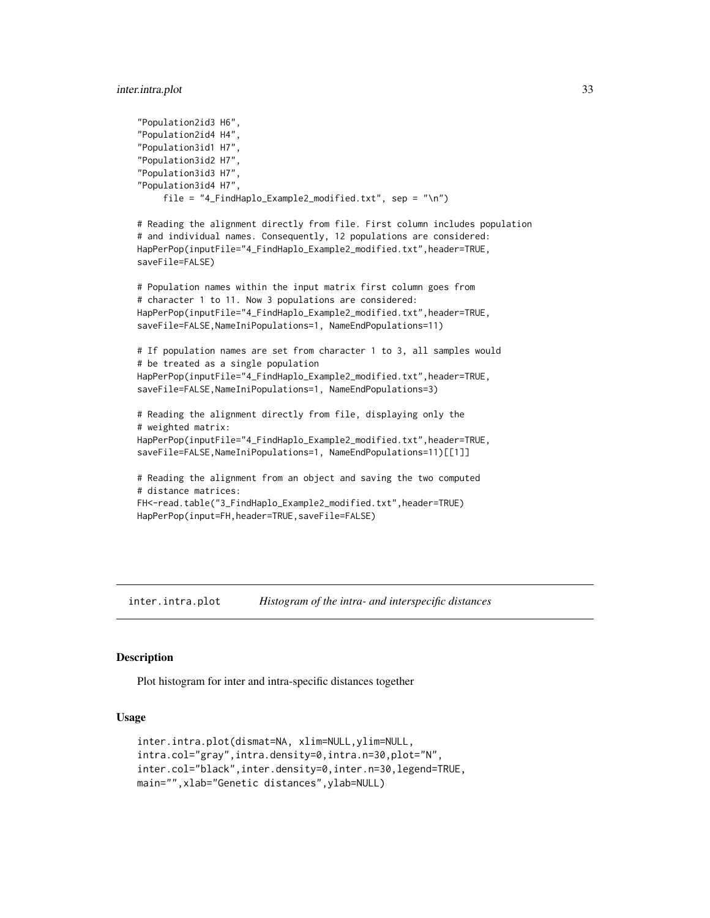#### <span id="page-32-0"></span>inter.intra.plot 33

```
"Population2id3 H6",
"Population2id4 H4",
"Population3id1 H7",
"Population3id2 H7",
"Population3id3 H7",
"Population3id4 H7",
     file = "4_FindHaplo_Example2_modified.txt", sep = "\n")
# Reading the alignment directly from file. First column includes population
# and individual names. Consequently, 12 populations are considered:
HapPerPop(inputFile="4_FindHaplo_Example2_modified.txt",header=TRUE,
saveFile=FALSE)
# Population names within the input matrix first column goes from
# character 1 to 11. Now 3 populations are considered:
HapPerPop(inputFile="4_FindHaplo_Example2_modified.txt",header=TRUE,
saveFile=FALSE,NameIniPopulations=1, NameEndPopulations=11)
# If population names are set from character 1 to 3, all samples would
# be treated as a single population
HapPerPop(inputFile="4_FindHaplo_Example2_modified.txt",header=TRUE,
saveFile=FALSE,NameIniPopulations=1, NameEndPopulations=3)
# Reading the alignment directly from file, displaying only the
# weighted matrix:
HapPerPop(inputFile="4_FindHaplo_Example2_modified.txt",header=TRUE,
saveFile=FALSE,NameIniPopulations=1, NameEndPopulations=11)[[1]]
# Reading the alignment from an object and saving the two computed
# distance matrices:
FH<-read.table("3_FindHaplo_Example2_modified.txt",header=TRUE)
HapPerPop(input=FH,header=TRUE,saveFile=FALSE)
```
<span id="page-32-1"></span>inter.intra.plot *Histogram of the intra- and interspecific distances*

#### Description

Plot histogram for inter and intra-specific distances together

#### Usage

```
inter.intra.plot(dismat=NA, xlim=NULL,ylim=NULL,
intra.col="gray",intra.density=0,intra.n=30,plot="N",
inter.col="black",inter.density=0,inter.n=30,legend=TRUE,
main="",xlab="Genetic distances",ylab=NULL)
```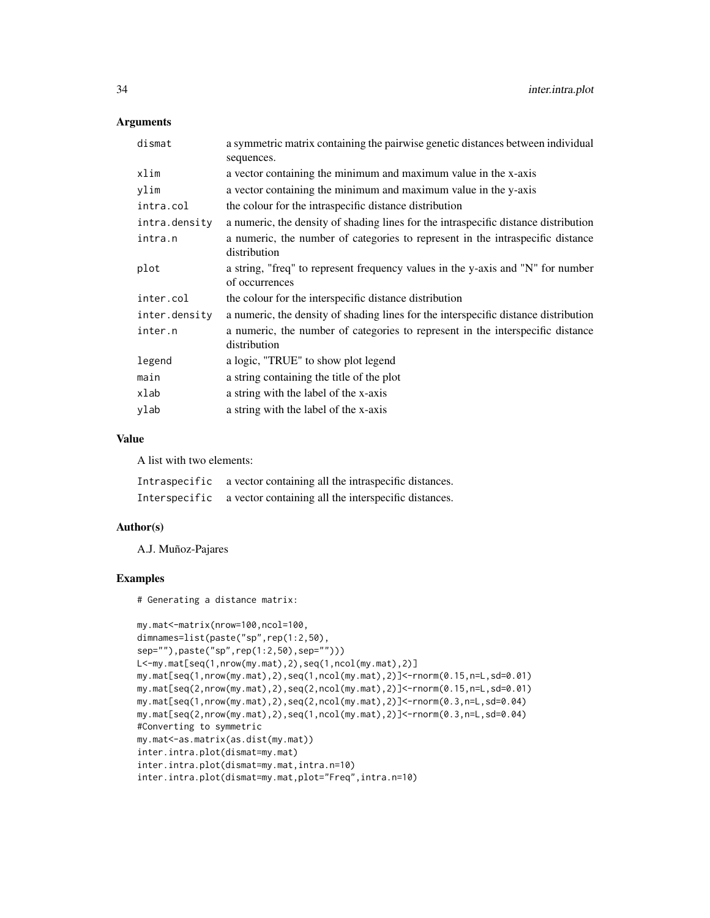#### Arguments

| dismat        | a symmetric matrix containing the pairwise genetic distances between individual<br>sequences.     |
|---------------|---------------------------------------------------------------------------------------------------|
| xlim          | a vector containing the minimum and maximum value in the x-axis                                   |
| ylim          | a vector containing the minimum and maximum value in the y-axis                                   |
| intra.col     | the colour for the intraspecific distance distribution                                            |
| intra.density | a numeric, the density of shading lines for the intraspecific distance distribution               |
| intra.n       | a numeric, the number of categories to represent in the intraspecific distance<br>distribution    |
| plot          | a string, "freq" to represent frequency values in the y-axis and "N" for number<br>of occurrences |
| inter.col     | the colour for the interspecific distance distribution                                            |
| inter.density | a numeric, the density of shading lines for the interspecific distance distribution               |
| inter.n       | a numeric, the number of categories to represent in the interspecific distance<br>distribution    |
| legend        | a logic, "TRUE" to show plot legend                                                               |
| main          | a string containing the title of the plot                                                         |
| xlab          | a string with the label of the x-axis                                                             |
| ylab          | a string with the label of the x-axis                                                             |

# Value

A list with two elements:

Intraspecific a vector containing all the intraspecific distances. Interspecific a vector containing all the interspecific distances.

#### Author(s)

A.J. Muñoz-Pajares

#### Examples

# Generating a distance matrix:

```
my.mat<-matrix(nrow=100,ncol=100,
dimnames=list(paste("sp",rep(1:2,50),
sep=""),paste("sp",rep(1:2,50),sep="")))
L<-my.mat[seq(1,nrow(my.mat),2),seq(1,ncol(my.mat),2)]
my.mat[seq(1,nrow(my.mat),2),seq(1,ncol(my.mat),2)]<-rnorm(0.15,n=L,sd=0.01)
my.mat[seq(2,nrow(my.mat),2),seq(2,ncol(my.mat),2)]<-rnorm(0.15,n=L,sd=0.01)
my.mat[seq(1,nrow(my.mat),2),seq(2,ncol(my.mat),2)]<-rnorm(0.3,n=L,sd=0.04)
my.mat[seq(2,nrow(my.mat),2),seq(1,ncol(my.mat),2)]<-rnorm(0.3,n=L,sd=0.04)
#Converting to symmetric
my.mat<-as.matrix(as.dist(my.mat))
inter.intra.plot(dismat=my.mat)
inter.intra.plot(dismat=my.mat,intra.n=10)
inter.intra.plot(dismat=my.mat,plot="Freq",intra.n=10)
```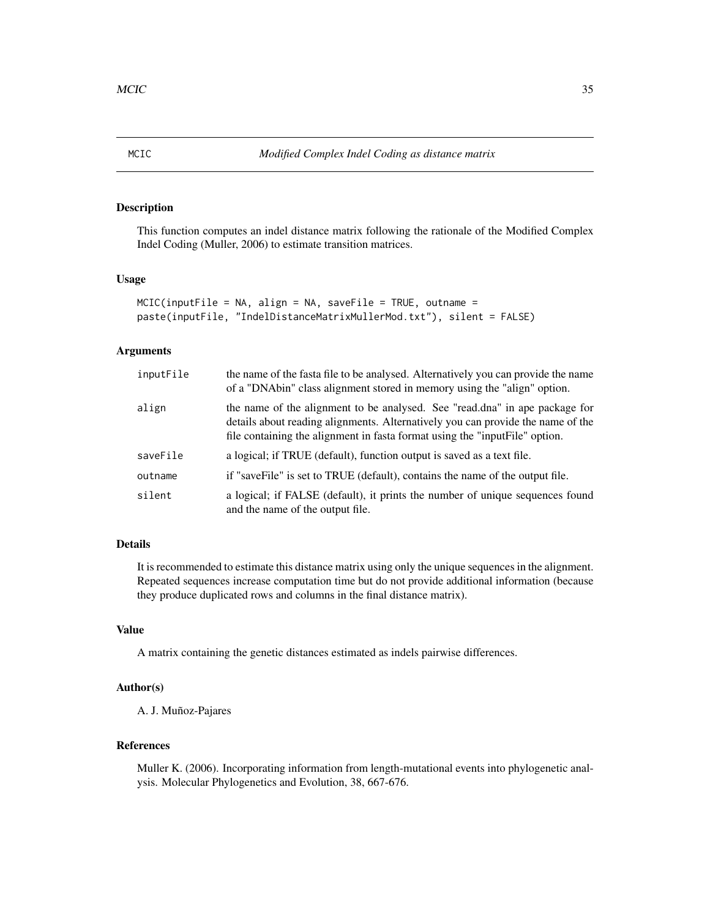<span id="page-34-1"></span><span id="page-34-0"></span>

### Description

This function computes an indel distance matrix following the rationale of the Modified Complex Indel Coding (Muller, 2006) to estimate transition matrices.

# Usage

```
MCIC(inputFile = NA, align = NA, saveFile = TRUE, outname =
paste(inputFile, "IndelDistanceMatrixMullerMod.txt"), silent = FALSE)
```
# Arguments

| inputFile | the name of the fasta file to be analysed. Alternatively you can provide the name<br>of a "DNAbin" class alignment stored in memory using the "align" option.                                                                                  |
|-----------|------------------------------------------------------------------------------------------------------------------------------------------------------------------------------------------------------------------------------------------------|
| align     | the name of the alignment to be analysed. See "read.dna" in ape package for<br>details about reading alignments. Alternatively you can provide the name of the<br>file containing the alignment in fasta format using the "input File" option. |
| saveFile  | a logical; if TRUE (default), function output is saved as a text file.                                                                                                                                                                         |
| outname   | if "saveFile" is set to TRUE (default), contains the name of the output file.                                                                                                                                                                  |
| silent    | a logical; if FALSE (default), it prints the number of unique sequences found<br>and the name of the output file.                                                                                                                              |

# Details

It is recommended to estimate this distance matrix using only the unique sequences in the alignment. Repeated sequences increase computation time but do not provide additional information (because they produce duplicated rows and columns in the final distance matrix).

# Value

A matrix containing the genetic distances estimated as indels pairwise differences.

# Author(s)

A. J. Muñoz-Pajares

# References

Muller K. (2006). Incorporating information from length-mutational events into phylogenetic analysis. Molecular Phylogenetics and Evolution, 38, 667-676.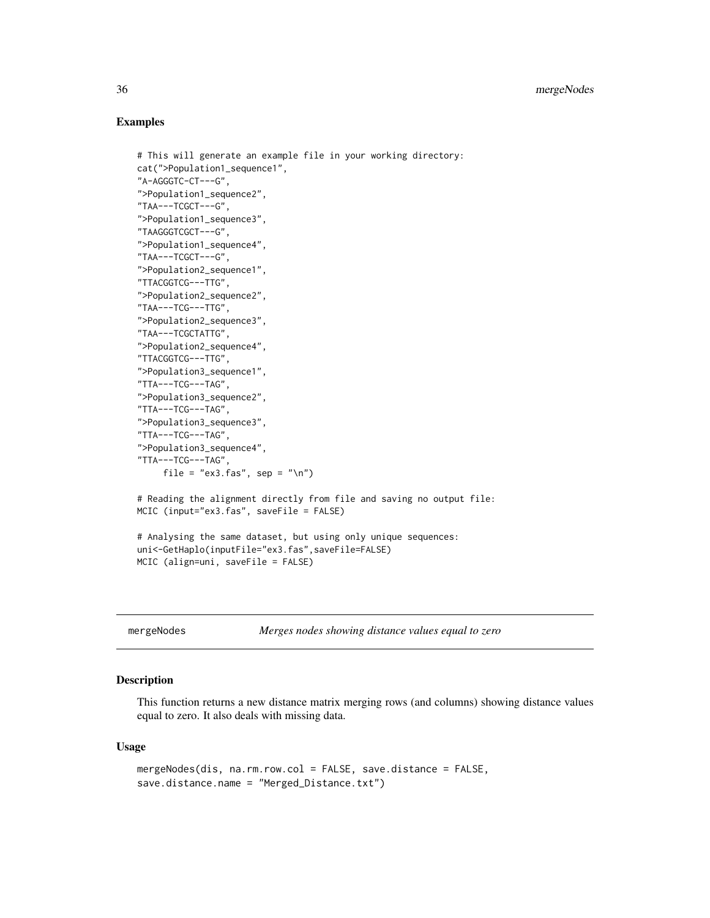#### Examples

```
# This will generate an example file in your working directory:
cat(">Population1_sequence1",
"A-AGGGTC-CT---G",
">Population1_sequence2",
"TAA---TCGCT---G",
">Population1_sequence3",
"TAAGGGTCGCT---G",
">Population1_sequence4",
"TAA---TCGCT---G",
">Population2_sequence1",
"TTACGGTCG---TTG",
">Population2_sequence2",
"TAA---TCG---TTG",
">Population2_sequence3",
"TAA---TCGCTATTG",
">Population2_sequence4",
"TTACGGTCG---TTG",
">Population3_sequence1",
"TTA---TCG---TAG",
">Population3_sequence2",
"TTA---TCG---TAG",
">Population3_sequence3",
"TTA---TCG---TAG",
">Population3_sequence4",
"TTA---TCG---TAG",
     file = "ex3.fas", sep = "\n")
# Reading the alignment directly from file and saving no output file:
MCIC (input="ex3.fas", saveFile = FALSE)
# Analysing the same dataset, but using only unique sequences:
uni<-GetHaplo(inputFile="ex3.fas",saveFile=FALSE)
MCIC (align=uni, saveFile = FALSE)
```
<span id="page-35-1"></span>mergeNodes *Merges nodes showing distance values equal to zero*

# Description

This function returns a new distance matrix merging rows (and columns) showing distance values equal to zero. It also deals with missing data.

#### Usage

```
mergeNodes(dis, na.rm.row.col = FALSE, save.distance = FALSE,
save.distance.name = "Merged_Distance.txt")
```
<span id="page-35-0"></span>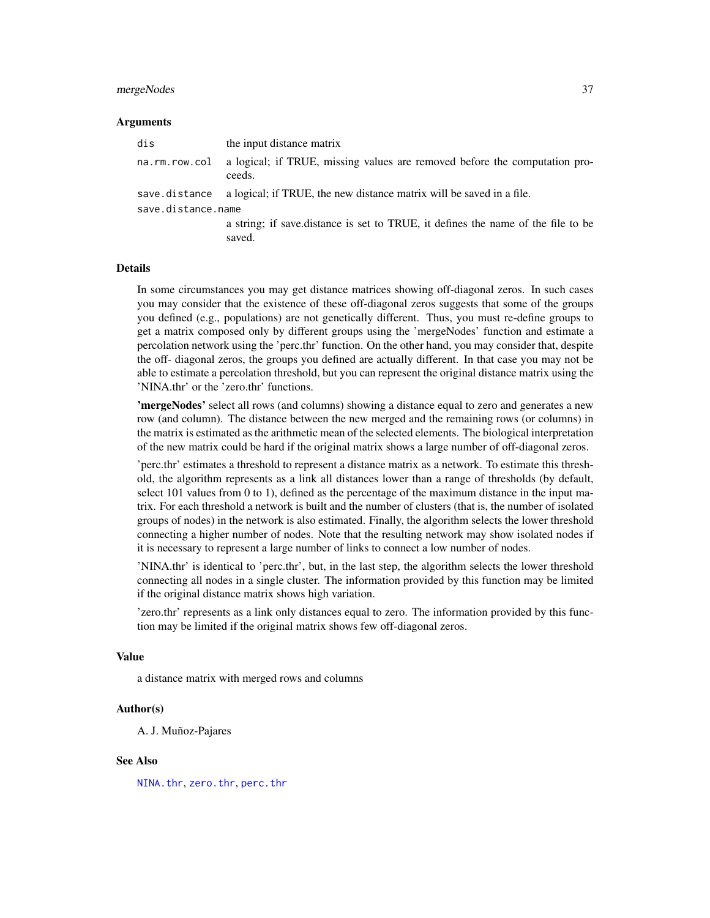## mergeNodes 37

#### Arguments

| dis                | the input distance matrix                                                                  |  |
|--------------------|--------------------------------------------------------------------------------------------|--|
| na.rm.row.col      | a logical; if TRUE, missing values are removed before the computation pro-<br>ceeds.       |  |
|                    | save distance a logical; if TRUE, the new distance matrix will be saved in a file.         |  |
| save.distance.name |                                                                                            |  |
|                    | a string; if save distance is set to TRUE, it defines the name of the file to be<br>saved. |  |

## Details

In some circumstances you may get distance matrices showing off-diagonal zeros. In such cases you may consider that the existence of these off-diagonal zeros suggests that some of the groups you defined (e.g., populations) are not genetically different. Thus, you must re-define groups to get a matrix composed only by different groups using the 'mergeNodes' function and estimate a percolation network using the 'perc.thr' function. On the other hand, you may consider that, despite the off- diagonal zeros, the groups you defined are actually different. In that case you may not be able to estimate a percolation threshold, but you can represent the original distance matrix using the 'NINA.thr' or the 'zero.thr' functions.

'mergeNodes' select all rows (and columns) showing a distance equal to zero and generates a new row (and column). The distance between the new merged and the remaining rows (or columns) in the matrix is estimated as the arithmetic mean of the selected elements. The biological interpretation of the new matrix could be hard if the original matrix shows a large number of off-diagonal zeros.

'perc.thr' estimates a threshold to represent a distance matrix as a network. To estimate this threshold, the algorithm represents as a link all distances lower than a range of thresholds (by default, select 101 values from 0 to 1), defined as the percentage of the maximum distance in the input matrix. For each threshold a network is built and the number of clusters (that is, the number of isolated groups of nodes) in the network is also estimated. Finally, the algorithm selects the lower threshold connecting a higher number of nodes. Note that the resulting network may show isolated nodes if it is necessary to represent a large number of links to connect a low number of nodes.

'NINA.thr' is identical to 'perc.thr', but, in the last step, the algorithm selects the lower threshold connecting all nodes in a single cluster. The information provided by this function may be limited if the original distance matrix shows high variation.

'zero.thr' represents as a link only distances equal to zero. The information provided by this function may be limited if the original matrix shows few off-diagonal zeros.

#### Value

a distance matrix with merged rows and columns

#### Author(s)

A. J. Muñoz-Pajares

#### See Also

[NINA.thr](#page-45-0), [zero.thr](#page-76-0), [perc.thr](#page-51-0)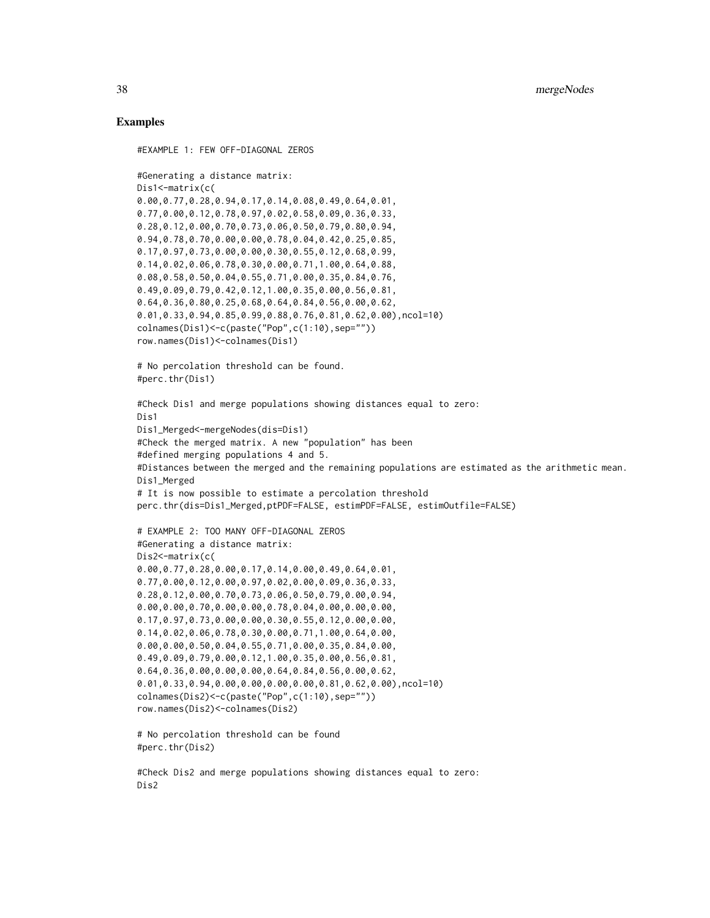## Examples

```
#EXAMPLE 1: FEW OFF-DIAGONAL ZEROS
#Generating a distance matrix:
Dis1<-matrix(c(
0.00,0.77,0.28,0.94,0.17,0.14,0.08,0.49,0.64,0.01,
0.77,0.00,0.12,0.78,0.97,0.02,0.58,0.09,0.36,0.33,
0.28,0.12,0.00,0.70,0.73,0.06,0.50,0.79,0.80,0.94,
0.94,0.78,0.70,0.00,0.00,0.78,0.04,0.42,0.25,0.85,
0.17,0.97,0.73,0.00,0.00,0.30,0.55,0.12,0.68,0.99,
0.14,0.02,0.06,0.78,0.30,0.00,0.71,1.00,0.64,0.88,
0.08,0.58,0.50,0.04,0.55,0.71,0.00,0.35,0.84,0.76,
0.49,0.09,0.79,0.42,0.12,1.00,0.35,0.00,0.56,0.81,
0.64,0.36,0.80,0.25,0.68,0.64,0.84,0.56,0.00,0.62,
0.01,0.33,0.94,0.85,0.99,0.88,0.76,0.81,0.62,0.00),ncol=10)
colnames(Dis1)<-c(paste("Pop",c(1:10),sep=""))
row.names(Dis1)<-colnames(Dis1)
# No percolation threshold can be found.
#perc.thr(Dis1)
#Check Dis1 and merge populations showing distances equal to zero:
Dis1
Dis1_Merged<-mergeNodes(dis=Dis1)
#Check the merged matrix. A new "population" has been
#defined merging populations 4 and 5.
#Distances between the merged and the remaining populations are estimated as the arithmetic mean.
Dis1_Merged
# It is now possible to estimate a percolation threshold
perc.thr(dis=Dis1_Merged,ptPDF=FALSE, estimPDF=FALSE, estimOutfile=FALSE)
# EXAMPLE 2: TOO MANY OFF-DIAGONAL ZEROS
#Generating a distance matrix:
Dis2<-matrix(c(
0.00,0.77,0.28,0.00,0.17,0.14,0.00,0.49,0.64,0.01,
0.77,0.00,0.12,0.00,0.97,0.02,0.00,0.09,0.36,0.33,
0.28,0.12,0.00,0.70,0.73,0.06,0.50,0.79,0.00,0.94,
0.00,0.00,0.70,0.00,0.00,0.78,0.04,0.00,0.00,0.00,
0.17,0.97,0.73,0.00,0.00,0.30,0.55,0.12,0.00,0.00,
0.14,0.02,0.06,0.78,0.30,0.00,0.71,1.00,0.64,0.00,
0.00,0.00,0.50,0.04,0.55,0.71,0.00,0.35,0.84,0.00,
0.49,0.09,0.79,0.00,0.12,1.00,0.35,0.00,0.56,0.81,
0.64,0.36,0.00,0.00,0.00,0.64,0.84,0.56,0.00,0.62,
0.01,0.33,0.94,0.00,0.00,0.00,0.00,0.81,0.62,0.00),ncol=10)
colnames(Dis2)<-c(paste("Pop",c(1:10),sep=""))
row.names(Dis2)<-colnames(Dis2)
# No percolation threshold can be found
#perc.thr(Dis2)
```
#Check Dis2 and merge populations showing distances equal to zero: Dis2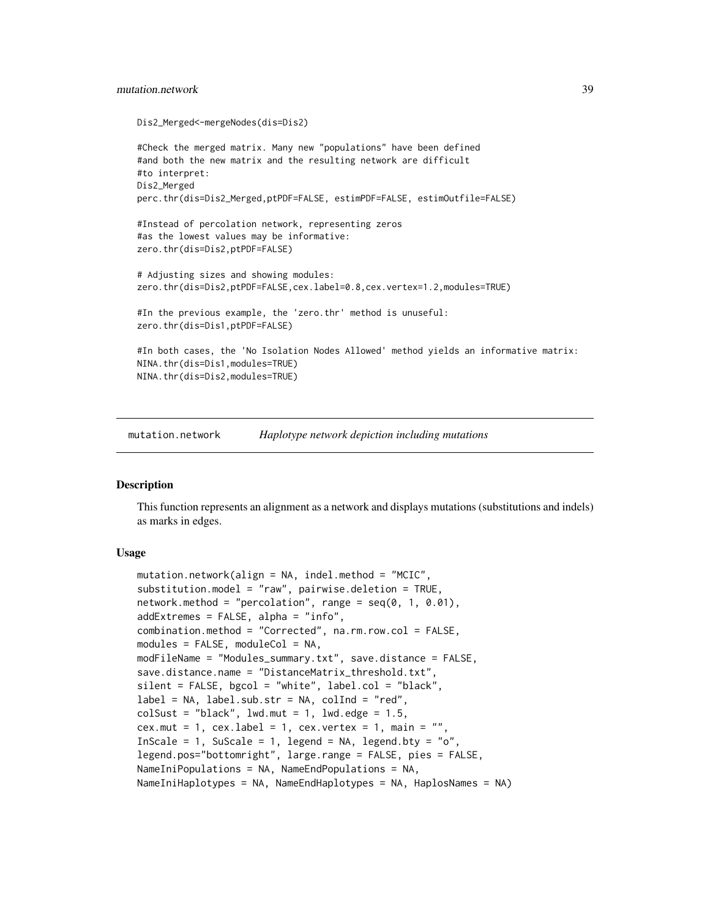# mutation.network 39

```
Dis2_Merged<-mergeNodes(dis=Dis2)
#Check the merged matrix. Many new "populations" have been defined
#and both the new matrix and the resulting network are difficult
#to interpret:
Dis2_Merged
perc.thr(dis=Dis2_Merged,ptPDF=FALSE, estimPDF=FALSE, estimOutfile=FALSE)
#Instead of percolation network, representing zeros
#as the lowest values may be informative:
zero.thr(dis=Dis2,ptPDF=FALSE)
# Adjusting sizes and showing modules:
zero.thr(dis=Dis2,ptPDF=FALSE,cex.label=0.8,cex.vertex=1.2,modules=TRUE)
#In the previous example, the 'zero.thr' method is unuseful:
zero.thr(dis=Dis1,ptPDF=FALSE)
#In both cases, the 'No Isolation Nodes Allowed' method yields an informative matrix:
NINA.thr(dis=Dis1,modules=TRUE)
NINA.thr(dis=Dis2,modules=TRUE)
```
mutation.network *Haplotype network depiction including mutations*

# Description

This function represents an alignment as a network and displays mutations (substitutions and indels) as marks in edges.

## Usage

```
mutation.network(align = NA, indel.method = "MCIC",
substitution.model = "raw", pairwise.deletion = TRUE,
network.method = "percolation", range = seq(0, 1, 0.01),
addExtremes = FALSE, alpha = "info",
combination.method = "Corrected", na.rm.row.col = FALSE,
modules = FALSE, moduleCol = NA,
modFileName = "Modules_summary.txt", save.distance = FALSE,
save.distance.name = "DistanceMatrix_threshold.txt"
silent = FALSE, bgcol = "white", label.col = "black",
label = NA, label.sufn-1, label = NA, label = N, label = N, label = N, label = N, label = N, label = N, label = N, label = N, label = N, label = N, label = N, label = N, label = N, label = N, label = N, label = N, N, rel = N, rel = N, rel = N, rel = N, rel = N, rel = N, rel = N, rel = N, rel = N, rel = N, rel = N, rel =colSust = "black", lwd.mut = 1, lwd.edge = 1.5,
cex.mut = 1, cex.label = 1, cex.vertex = 1, main = ",
InScale = 1, SuScale = 1, legend = NA, legend.bty = "o",
legend.pos="bottomright", large.range = FALSE, pies = FALSE,
NameIniPopulations = NA, NameEndPopulations = NA,
NameIniHaplotypes = NA, NameEndHaplotypes = NA, HaplosNames = NA)
```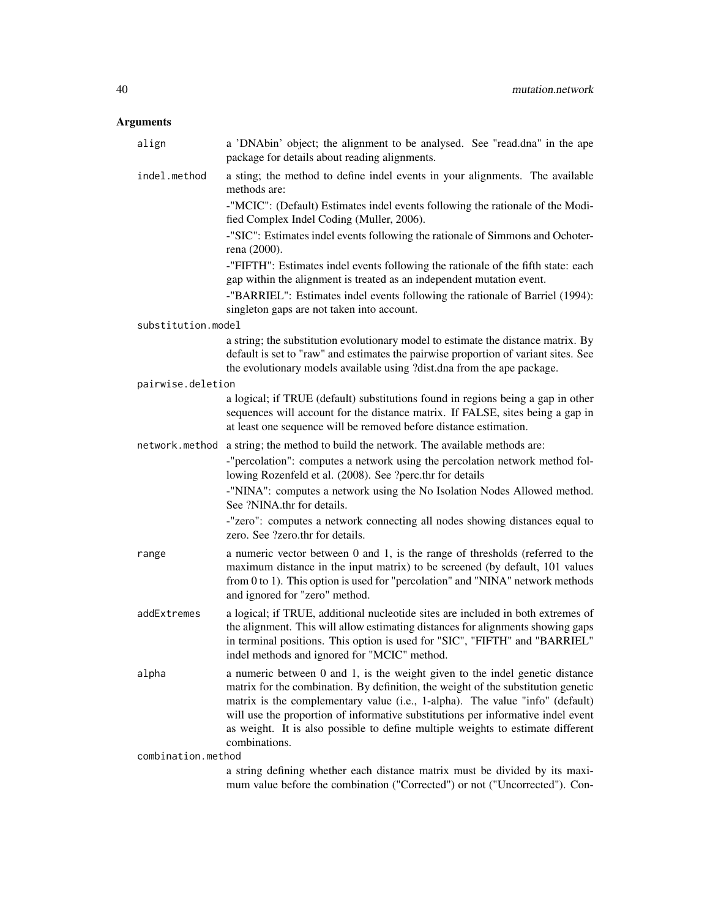# Arguments

| align              | a 'DNAbin' object; the alignment to be analysed. See "read.dna" in the ape<br>package for details about reading alignments.                                                                                                                                                                                                                                                                                                                |
|--------------------|--------------------------------------------------------------------------------------------------------------------------------------------------------------------------------------------------------------------------------------------------------------------------------------------------------------------------------------------------------------------------------------------------------------------------------------------|
| indel.method       | a sting; the method to define indel events in your alignments. The available<br>methods are:                                                                                                                                                                                                                                                                                                                                               |
|                    | -"MCIC": (Default) Estimates indel events following the rationale of the Modi-<br>fied Complex Indel Coding (Muller, 2006).                                                                                                                                                                                                                                                                                                                |
|                    | -"SIC": Estimates indel events following the rationale of Simmons and Ochoter-<br>rena (2000).                                                                                                                                                                                                                                                                                                                                             |
|                    | -"FIFTH": Estimates indel events following the rationale of the fifth state: each<br>gap within the alignment is treated as an independent mutation event.                                                                                                                                                                                                                                                                                 |
|                    | -"BARRIEL": Estimates indel events following the rationale of Barriel (1994):<br>singleton gaps are not taken into account.                                                                                                                                                                                                                                                                                                                |
| substitution.model |                                                                                                                                                                                                                                                                                                                                                                                                                                            |
|                    | a string; the substitution evolutionary model to estimate the distance matrix. By<br>default is set to "raw" and estimates the pairwise proportion of variant sites. See<br>the evolutionary models available using ?dist.dna from the ape package.                                                                                                                                                                                        |
| pairwise.deletion  |                                                                                                                                                                                                                                                                                                                                                                                                                                            |
|                    | a logical; if TRUE (default) substitutions found in regions being a gap in other<br>sequences will account for the distance matrix. If FALSE, sites being a gap in<br>at least one sequence will be removed before distance estimation.                                                                                                                                                                                                    |
|                    | network. method a string; the method to build the network. The available methods are:                                                                                                                                                                                                                                                                                                                                                      |
|                    | -"percolation": computes a network using the percolation network method fol-<br>lowing Rozenfeld et al. (2008). See ?perc.thr for details                                                                                                                                                                                                                                                                                                  |
|                    | -"NINA": computes a network using the No Isolation Nodes Allowed method.<br>See ?NINA.thr for details.                                                                                                                                                                                                                                                                                                                                     |
|                    | -"zero": computes a network connecting all nodes showing distances equal to<br>zero. See ?zero.thr for details.                                                                                                                                                                                                                                                                                                                            |
| range              | a numeric vector between 0 and 1, is the range of thresholds (referred to the<br>maximum distance in the input matrix) to be screened (by default, 101 values<br>from $0$ to $1$ ). This option is used for "percolation" and "NINA" network methods<br>and ignored for "zero" method.                                                                                                                                                     |
| addExtremes        | a logical; if TRUE, additional nucleotide sites are included in both extremes of<br>the alignment. This will allow estimating distances for alignments showing gaps<br>in terminal positions. This option is used for "SIC", "FIFTH" and "BARRIEL"<br>indel methods and ignored for "MCIC" method.                                                                                                                                         |
| alpha              | a numeric between 0 and 1, is the weight given to the indel genetic distance<br>matrix for the combination. By definition, the weight of the substitution genetic<br>matrix is the complementary value (i.e., 1-alpha). The value "info" (default)<br>will use the proportion of informative substitutions per informative indel event<br>as weight. It is also possible to define multiple weights to estimate different<br>combinations. |
| combination.method |                                                                                                                                                                                                                                                                                                                                                                                                                                            |
|                    | a string defining whether each distance matrix must be divided by its maxi-                                                                                                                                                                                                                                                                                                                                                                |

a string defining whether each distance matrix must be divided by its maximum value before the combination ("Corrected") or not ("Uncorrected"). Con-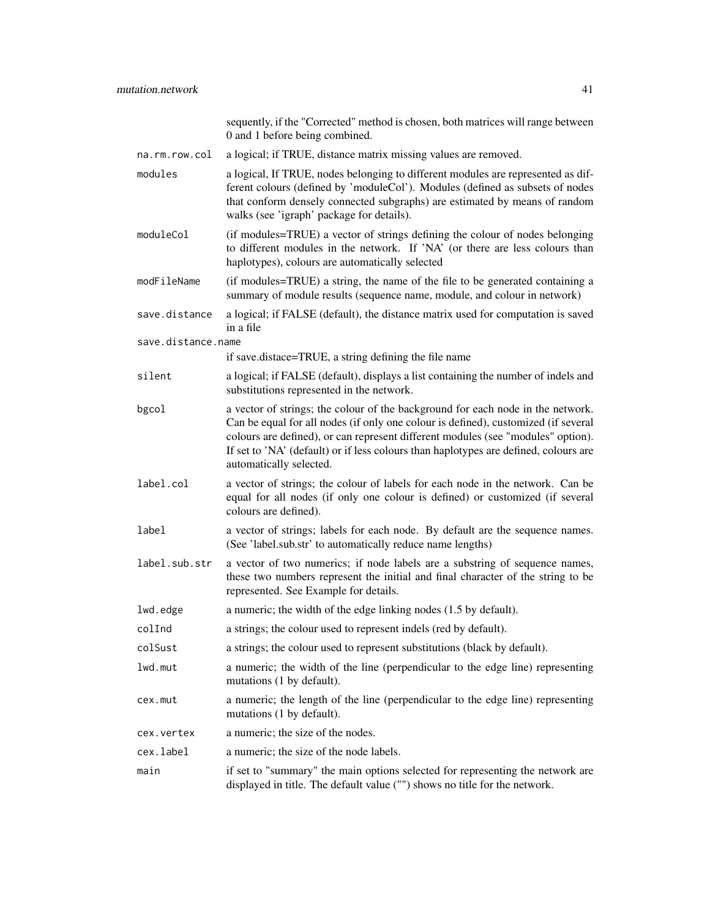|                    | sequently, if the "Corrected" method is chosen, both matrices will range between<br>0 and 1 before being combined.                                                                                                                                                                                                                                                           |
|--------------------|------------------------------------------------------------------------------------------------------------------------------------------------------------------------------------------------------------------------------------------------------------------------------------------------------------------------------------------------------------------------------|
| na.rm.row.col      | a logical; if TRUE, distance matrix missing values are removed.                                                                                                                                                                                                                                                                                                              |
| modules            | a logical, If TRUE, nodes belonging to different modules are represented as dif-<br>ferent colours (defined by 'moduleCol'). Modules (defined as subsets of nodes<br>that conform densely connected subgraphs) are estimated by means of random<br>walks (see 'igraph' package for details).                                                                                 |
| moduleCol          | (if modules=TRUE) a vector of strings defining the colour of nodes belonging<br>to different modules in the network. If 'NA' (or there are less colours than<br>haplotypes), colours are automatically selected                                                                                                                                                              |
| modFileName        | (if modules=TRUE) a string, the name of the file to be generated containing a<br>summary of module results (sequence name, module, and colour in network)                                                                                                                                                                                                                    |
| save.distance      | a logical; if FALSE (default), the distance matrix used for computation is saved<br>in a file                                                                                                                                                                                                                                                                                |
| save.distance.name |                                                                                                                                                                                                                                                                                                                                                                              |
|                    | if save.distace=TRUE, a string defining the file name                                                                                                                                                                                                                                                                                                                        |
| silent             | a logical; if FALSE (default), displays a list containing the number of indels and<br>substitutions represented in the network.                                                                                                                                                                                                                                              |
| bgcol              | a vector of strings; the colour of the background for each node in the network.<br>Can be equal for all nodes (if only one colour is defined), customized (if several<br>colours are defined), or can represent different modules (see "modules" option).<br>If set to 'NA' (default) or if less colours than haplotypes are defined, colours are<br>automatically selected. |
| label.col          | a vector of strings; the colour of labels for each node in the network. Can be<br>equal for all nodes (if only one colour is defined) or customized (if several<br>colours are defined).                                                                                                                                                                                     |
| label              | a vector of strings; labels for each node. By default are the sequence names.<br>(See 'label.sub.str' to automatically reduce name lengths)                                                                                                                                                                                                                                  |
| label.sub.str      | a vector of two numerics; if node labels are a substring of sequence names,<br>these two numbers represent the initial and final character of the string to be<br>represented. See Example for details.                                                                                                                                                                      |
| lwd.edge           | a numeric; the width of the edge linking nodes (1.5 by default).                                                                                                                                                                                                                                                                                                             |
| colInd             | a strings; the colour used to represent indels (red by default).                                                                                                                                                                                                                                                                                                             |

- colSust a strings; the colour used to represent substitutions (black by default).
- lwd.mut a numeric; the width of the line (perpendicular to the edge line) representing mutations (1 by default).
- cex.mut a numeric; the length of the line (perpendicular to the edge line) representing mutations (1 by default).
- cex.vertex a numeric; the size of the nodes.
- cex.label a numeric; the size of the node labels.
- main if set to "summary" the main options selected for representing the network are displayed in title. The default value ("") shows no title for the network.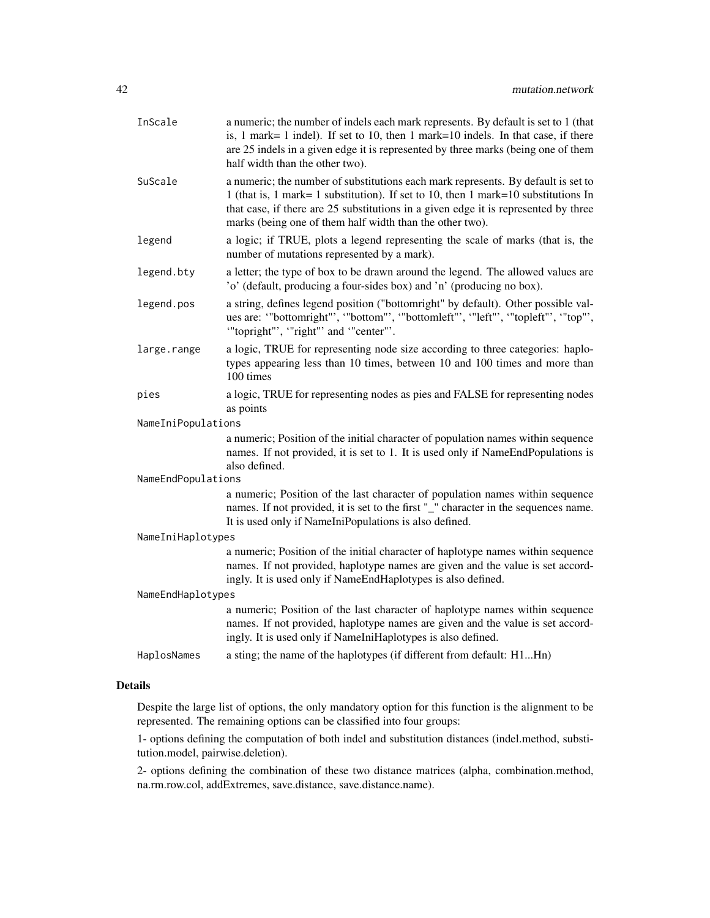| InScale            | a numeric; the number of indels each mark represents. By default is set to 1 (that<br>is, 1 mark= 1 indel). If set to 10, then 1 mark=10 indels. In that case, if there<br>are 25 indels in a given edge it is represented by three marks (being one of them<br>half width than the other two).                            |  |
|--------------------|----------------------------------------------------------------------------------------------------------------------------------------------------------------------------------------------------------------------------------------------------------------------------------------------------------------------------|--|
| SuScale            | a numeric; the number of substitutions each mark represents. By default is set to<br>1 (that is, 1 mark= 1 substitution). If set to 10, then 1 mark=10 substitutions In<br>that case, if there are 25 substitutions in a given edge it is represented by three<br>marks (being one of them half width than the other two). |  |
| legend             | a logic; if TRUE, plots a legend representing the scale of marks (that is, the<br>number of mutations represented by a mark).                                                                                                                                                                                              |  |
| legend.bty         | a letter; the type of box to be drawn around the legend. The allowed values are<br>'o' (default, producing a four-sides box) and 'n' (producing no box).                                                                                                                                                                   |  |
| legend.pos         | a string, defines legend position ("bottomright" by default). Other possible val-<br>ues are: "bottomright", "bottom", "bottomleft", "left", "topleft", "top",<br>"topright"', "right"' and "center"'.                                                                                                                     |  |
| large.range        | a logic, TRUE for representing node size according to three categories: haplo-<br>types appearing less than 10 times, between 10 and 100 times and more than<br>100 times                                                                                                                                                  |  |
| pies               | a logic, TRUE for representing nodes as pies and FALSE for representing nodes<br>as points                                                                                                                                                                                                                                 |  |
| NameIniPopulations |                                                                                                                                                                                                                                                                                                                            |  |
|                    | a numeric; Position of the initial character of population names within sequence<br>names. If not provided, it is set to 1. It is used only if NameEndPopulations is<br>also defined.                                                                                                                                      |  |
| NameEndPopulations |                                                                                                                                                                                                                                                                                                                            |  |
|                    | a numeric; Position of the last character of population names within sequence<br>names. If not provided, it is set to the first "_" character in the sequences name.<br>It is used only if NameIniPopulations is also defined.                                                                                             |  |
| NameIniHaplotypes  |                                                                                                                                                                                                                                                                                                                            |  |
|                    | a numeric; Position of the initial character of haplotype names within sequence<br>names. If not provided, haplotype names are given and the value is set accord-<br>ingly. It is used only if NameEndHaplotypes is also defined.                                                                                          |  |
| NameEndHaplotypes  |                                                                                                                                                                                                                                                                                                                            |  |
|                    | a numeric; Position of the last character of haplotype names within sequence<br>names. If not provided, haplotype names are given and the value is set accord-<br>ingly. It is used only if NameIniHaplotypes is also defined.                                                                                             |  |
| HaplosNames        | a sting; the name of the haplotypes (if different from default: H1Hn)                                                                                                                                                                                                                                                      |  |

# Details

Despite the large list of options, the only mandatory option for this function is the alignment to be represented. The remaining options can be classified into four groups:

1- options defining the computation of both indel and substitution distances (indel.method, substitution.model, pairwise.deletion).

2- options defining the combination of these two distance matrices (alpha, combination.method, na.rm.row.col, addExtremes, save.distance, save.distance.name).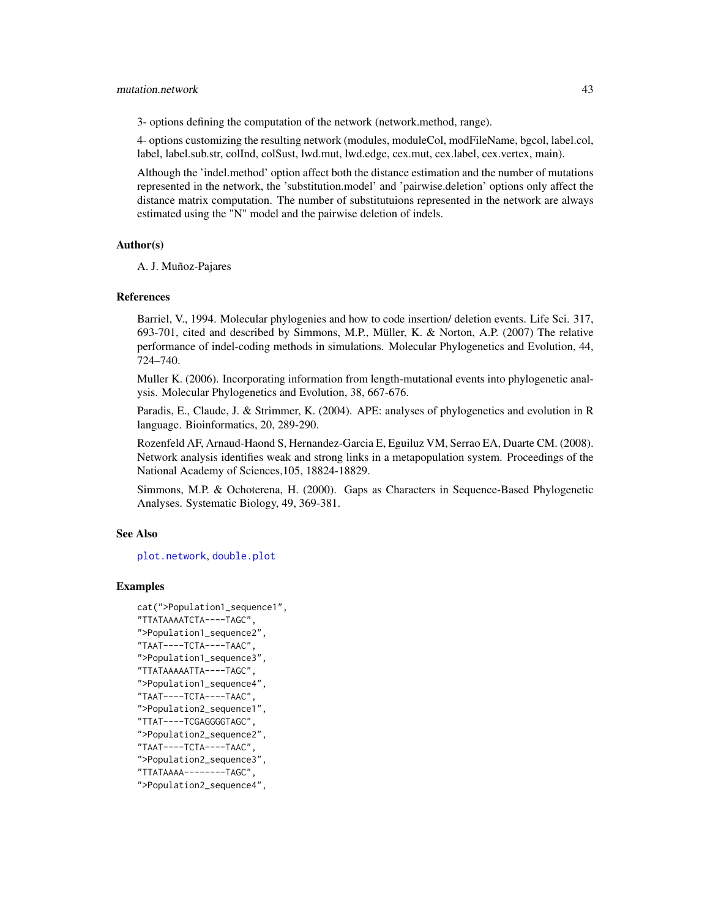## mutation.network 43

3- options defining the computation of the network (network.method, range).

4- options customizing the resulting network (modules, moduleCol, modFileName, bgcol, label.col, label, label.sub.str, colInd, colSust, lwd.mut, lwd.edge, cex.mut, cex.label, cex.vertex, main).

Although the 'indel.method' option affect both the distance estimation and the number of mutations represented in the network, the 'substitution.model' and 'pairwise.deletion' options only affect the distance matrix computation. The number of substitutuions represented in the network are always estimated using the "N" model and the pairwise deletion of indels.

## Author(s)

A. J. Muñoz-Pajares

## References

Barriel, V., 1994. Molecular phylogenies and how to code insertion/ deletion events. Life Sci. 317, 693-701, cited and described by Simmons, M.P., Müller, K. & Norton, A.P. (2007) The relative performance of indel-coding methods in simulations. Molecular Phylogenetics and Evolution, 44, 724–740.

Muller K. (2006). Incorporating information from length-mutational events into phylogenetic analysis. Molecular Phylogenetics and Evolution, 38, 667-676.

Paradis, E., Claude, J. & Strimmer, K. (2004). APE: analyses of phylogenetics and evolution in R language. Bioinformatics, 20, 289-290.

Rozenfeld AF, Arnaud-Haond S, Hernandez-Garcia E, Eguiluz VM, Serrao EA, Duarte CM. (2008). Network analysis identifies weak and strong links in a metapopulation system. Proceedings of the National Academy of Sciences,105, 18824-18829.

Simmons, M.P. & Ochoterena, H. (2000). Gaps as Characters in Sequence-Based Phylogenetic Analyses. Systematic Biology, 49, 369-381.

# See Also

[plot.network](#page-0-0), [double.plot](#page-15-0)

```
cat(">Population1_sequence1",
"TTATAAAATCTA----TAGC",
">Population1_sequence2",
"TAAT----TCTA----TAAC",
">Population1_sequence3",
"TTATAAAAATTA----TAGC",
">Population1_sequence4",
"TAAT----TCTA----TAAC",
">Population2_sequence1",
"TTAT----TCGAGGGGTAGC",
">Population2_sequence2",
"TAAT----TCTA----TAAC",
">Population2_sequence3",
"TTATAAAA--------TAGC",
">Population2_sequence4",
```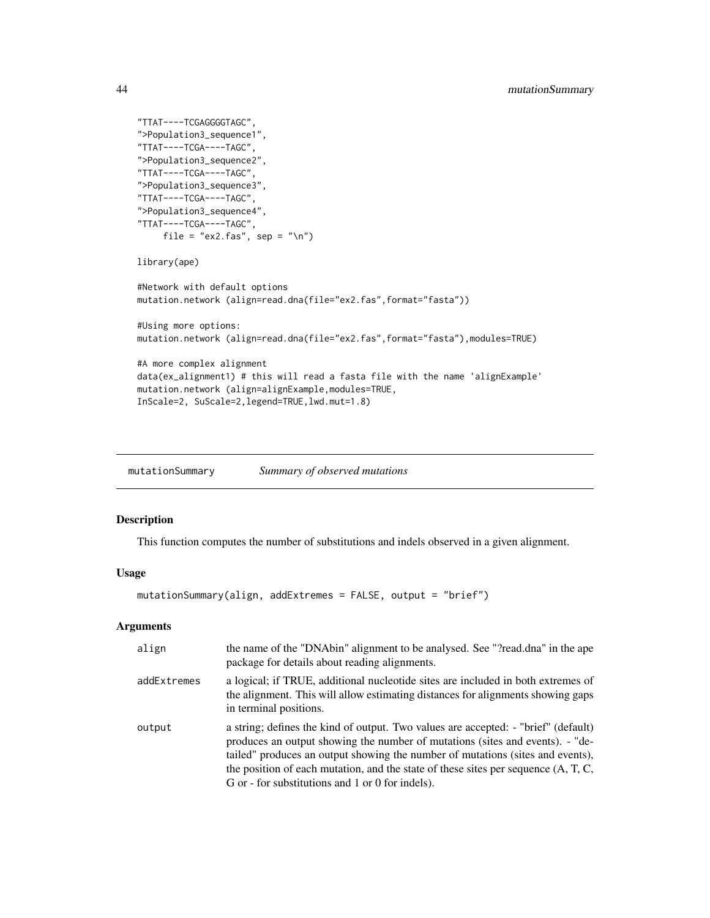```
"TTAT----TCGAGGGGTAGC",
">Population3_sequence1",
"TTAT----TCGA----TAGC",
">Population3_sequence2",
"TTAT----TCGA----TAGC",
">Population3_sequence3",
"TTAT----TCGA----TAGC",
">Population3_sequence4",
"TTAT----TCGA----TAGC",
     file = "ex2.fas", sep = "\n")
library(ape)
#Network with default options
mutation.network (align=read.dna(file="ex2.fas",format="fasta"))
#Using more options:
mutation.network (align=read.dna(file="ex2.fas",format="fasta"),modules=TRUE)
#A more complex alignment
data(ex_alignment1) # this will read a fasta file with the name 'alignExample'
mutation.network (align=alignExample,modules=TRUE,
InScale=2, SuScale=2,legend=TRUE,lwd.mut=1.8)
```
mutationSummary *Summary of observed mutations*

## Description

This function computes the number of substitutions and indels observed in a given alignment.

# Usage

```
mutationSummary(align, addExtremes = FALSE, output = "brief")
```
## Arguments

| align       | the name of the "DNAbin" alignment to be analysed. See "?read.dna" in the ape<br>package for details about reading alignments.                                                                                                                                                                                                                                                                       |
|-------------|------------------------------------------------------------------------------------------------------------------------------------------------------------------------------------------------------------------------------------------------------------------------------------------------------------------------------------------------------------------------------------------------------|
| addExtremes | a logical; if TRUE, additional nucleotide sites are included in both extremes of<br>the alignment. This will allow estimating distances for alignments showing gaps<br>in terminal positions.                                                                                                                                                                                                        |
| output      | a string; defines the kind of output. Two values are accepted: - "brief" (default)<br>produces an output showing the number of mutations (sites and events). - "de-<br>tailed" produces an output showing the number of mutations (sites and events),<br>the position of each mutation, and the state of these sites per sequence $(A, T, C, T)$<br>G or - for substitutions and 1 or 0 for indels). |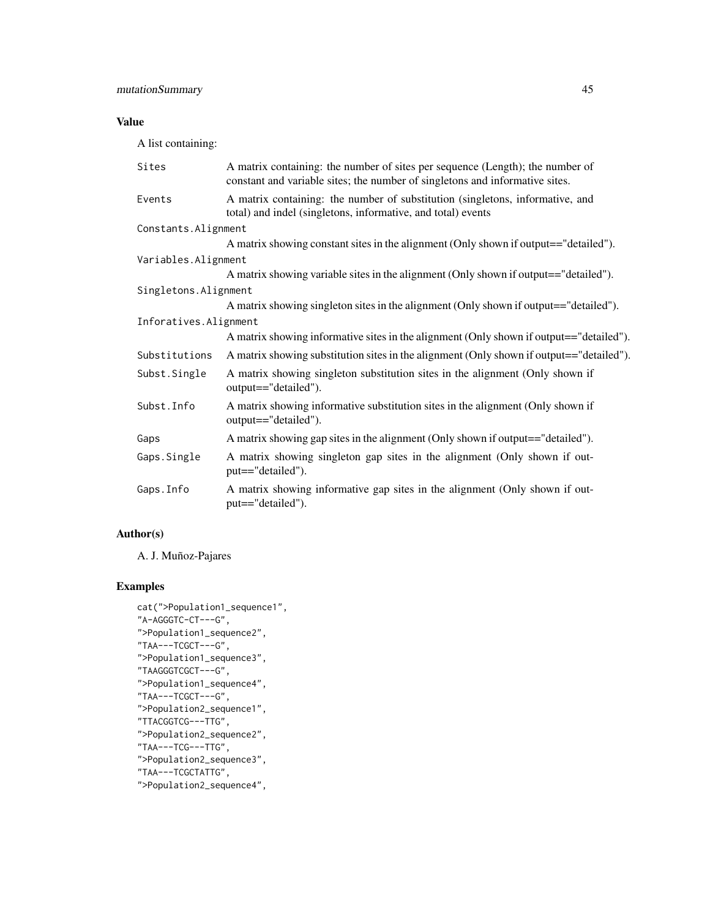# Value

A list containing:

| Sites                 | A matrix containing: the number of sites per sequence (Length); the number of<br>constant and variable sites; the number of singletons and informative sites. |  |
|-----------------------|---------------------------------------------------------------------------------------------------------------------------------------------------------------|--|
| Events                | A matrix containing: the number of substitution (singletons, informative, and<br>total) and indel (singletons, informative, and total) events                 |  |
| Constants. Alignment  |                                                                                                                                                               |  |
|                       | A matrix showing constant sites in the alignment (Only shown if output=="detailed").                                                                          |  |
| Variables.Alignment   |                                                                                                                                                               |  |
|                       | A matrix showing variable sites in the alignment (Only shown if output=="detailed").                                                                          |  |
| Singletons. Alignment |                                                                                                                                                               |  |
|                       | A matrix showing singleton sites in the alignment (Only shown if output=="detailed").                                                                         |  |
| Inforatives.Alignment |                                                                                                                                                               |  |
|                       | A matrix showing informative sites in the alignment (Only shown if output=="detailed").                                                                       |  |
| Substitutions         | A matrix showing substitution sites in the alignment (Only shown if output=="detailed").                                                                      |  |
| Subst.Single          | A matrix showing singleton substitution sites in the alignment (Only shown if<br>output=="detailed").                                                         |  |
| Subst. Info           | A matrix showing informative substitution sites in the alignment (Only shown if<br>output=="detailed").                                                       |  |
| Gaps                  | A matrix showing gap sites in the alignment (Only shown if output=="detailed").                                                                               |  |
| Gaps. Single          | A matrix showing singleton gap sites in the alignment (Only shown if out-<br>put=="detailed").                                                                |  |
| Gaps. Info            | A matrix showing informative gap sites in the alignment (Only shown if out-<br>put=="detailed").                                                              |  |

# Author(s)

A. J. Muñoz-Pajares

```
cat(">Population1_sequence1",
"A-AGGGTC-CT---G",
">Population1_sequence2",
"TAA---TCGCT---G",
">Population1_sequence3",
"TAAGGGTCGCT---G",
">Population1_sequence4",
"TAA---TCGCT---G",
">Population2_sequence1",
"TTACGGTCG---TTG",
">Population2_sequence2",
"TAA---TCG---TTG",
">Population2_sequence3",
"TAA---TCGCTATTG",
">Population2_sequence4",
```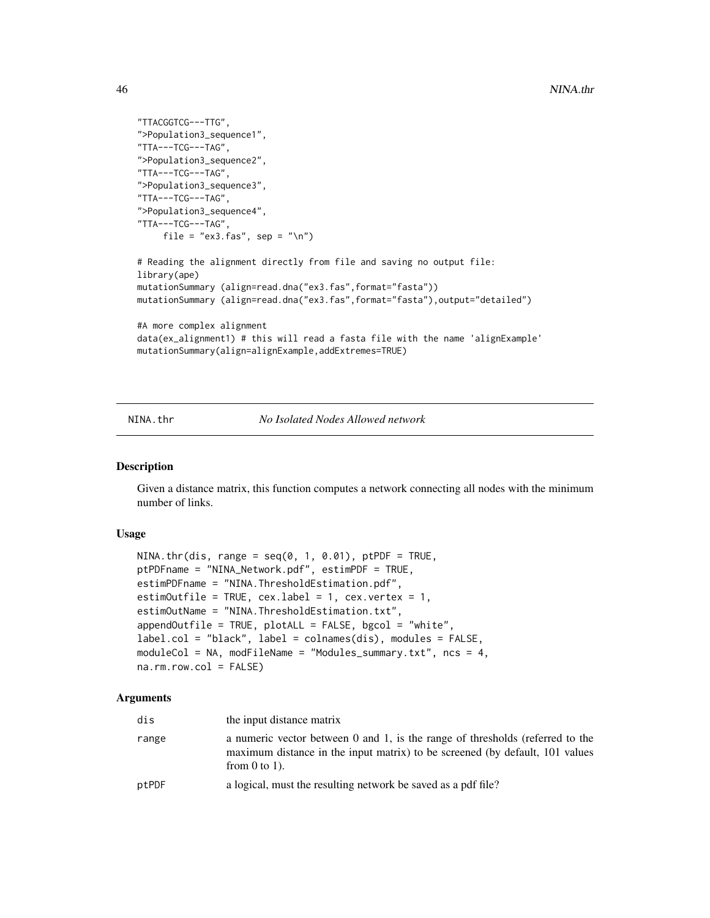```
"TTACGGTCG---TTG",
">Population3_sequence1",
"TTA---TCG---TAG",
">Population3_sequence2",
"TTA---TCG---TAG",
">Population3_sequence3",
"TTA---TCG---TAG",
">Population3_sequence4",
"TTA---TCG---TAG",
    file = "ex3.fas", sep = "\n")
# Reading the alignment directly from file and saving no output file:
library(ape)
mutationSummary (align=read.dna("ex3.fas",format="fasta"))
mutationSummary (align=read.dna("ex3.fas",format="fasta"),output="detailed")
#A more complex alignment
data(ex_alignment1) # this will read a fasta file with the name 'alignExample'
mutationSummary(align=alignExample,addExtremes=TRUE)
```
<span id="page-45-0"></span>NINA.thr *No Isolated Nodes Allowed network*

## Description

Given a distance matrix, this function computes a network connecting all nodes with the minimum number of links.

## Usage

```
NINA.thr(dis, range = seq(0, 1, 0.01), ptPDF = TRUE,
ptPDFname = "NINA_Network.pdf", estimPDF = TRUE,
estimPDFname = "NINA.ThresholdEstimation.pdf",
estimOutfile = TRUE, cex.label = 1, cex.vertex = 1,
estimOutName = "NINA.ThresholdEstimation.txt",
appendOutfile = TRUE, plotALL = FALSE, bgcol = "white",
label.col = "black", label = colnames(dis), modules = FALSE,
moduleCol = NA, modFileName = "Modules_summary.txt", ncs = 4,
na.rm.row.col = FALSE
```
#### Arguments

| dis   | the input distance matrix                                                                                                                                                           |
|-------|-------------------------------------------------------------------------------------------------------------------------------------------------------------------------------------|
| range | a numeric vector between 0 and 1, is the range of thresholds (referred to the<br>maximum distance in the input matrix) to be screened (by default, 101 values<br>from $0$ to $1$ ). |
| ptPDF | a logical, must the resulting network be saved as a pdf file?                                                                                                                       |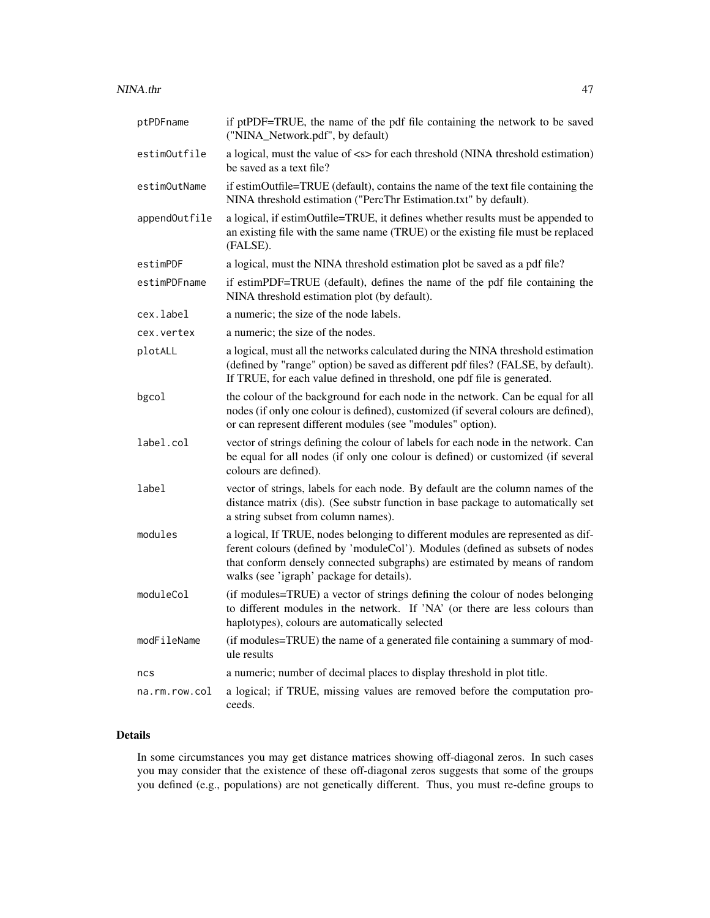| ptPDFname     | if ptPDF=TRUE, the name of the pdf file containing the network to be saved<br>("NINA_Network.pdf", by default)                                                                                                                                                                               |
|---------------|----------------------------------------------------------------------------------------------------------------------------------------------------------------------------------------------------------------------------------------------------------------------------------------------|
| estimOutfile  | a logical, must the value of <s> for each threshold (NINA threshold estimation)<br/>be saved as a text file?</s>                                                                                                                                                                             |
| estimOutName  | if estimOutfile=TRUE (default), contains the name of the text file containing the<br>NINA threshold estimation ("PercThr Estimation.txt" by default).                                                                                                                                        |
| appendOutfile | a logical, if estimOutfile=TRUE, it defines whether results must be appended to<br>an existing file with the same name (TRUE) or the existing file must be replaced<br>(FALSE).                                                                                                              |
| estimPDF      | a logical, must the NINA threshold estimation plot be saved as a pdf file?                                                                                                                                                                                                                   |
| estimPDFname  | if estimPDF=TRUE (default), defines the name of the pdf file containing the<br>NINA threshold estimation plot (by default).                                                                                                                                                                  |
| cex.label     | a numeric; the size of the node labels.                                                                                                                                                                                                                                                      |
| cex.vertex    | a numeric; the size of the nodes.                                                                                                                                                                                                                                                            |
| plotALL       | a logical, must all the networks calculated during the NINA threshold estimation<br>(defined by "range" option) be saved as different pdf files? (FALSE, by default).<br>If TRUE, for each value defined in threshold, one pdf file is generated.                                            |
| bgcol         | the colour of the background for each node in the network. Can be equal for all<br>nodes (if only one colour is defined), customized (if several colours are defined),<br>or can represent different modules (see "modules" option).                                                         |
| label.col     | vector of strings defining the colour of labels for each node in the network. Can<br>be equal for all nodes (if only one colour is defined) or customized (if several<br>colours are defined).                                                                                               |
| label         | vector of strings, labels for each node. By default are the column names of the<br>distance matrix (dis). (See substr function in base package to automatically set<br>a string subset from column names).                                                                                   |
| modules       | a logical, If TRUE, nodes belonging to different modules are represented as dif-<br>ferent colours (defined by 'moduleCol'). Modules (defined as subsets of nodes<br>that conform densely connected subgraphs) are estimated by means of random<br>walks (see 'igraph' package for details). |
| moduleCol     | (if modules=TRUE) a vector of strings defining the colour of nodes belonging<br>to different modules in the network. If 'NA' (or there are less colours than<br>haplotypes), colours are automatically selected                                                                              |
| modFileName   | (if modules=TRUE) the name of a generated file containing a summary of mod-<br>ule results                                                                                                                                                                                                   |
| ncs           | a numeric; number of decimal places to display threshold in plot title.                                                                                                                                                                                                                      |
| na.rm.row.col | a logical; if TRUE, missing values are removed before the computation pro-<br>ceeds.                                                                                                                                                                                                         |

# Details

In some circumstances you may get distance matrices showing off-diagonal zeros. In such cases you may consider that the existence of these off-diagonal zeros suggests that some of the groups you defined (e.g., populations) are not genetically different. Thus, you must re-define groups to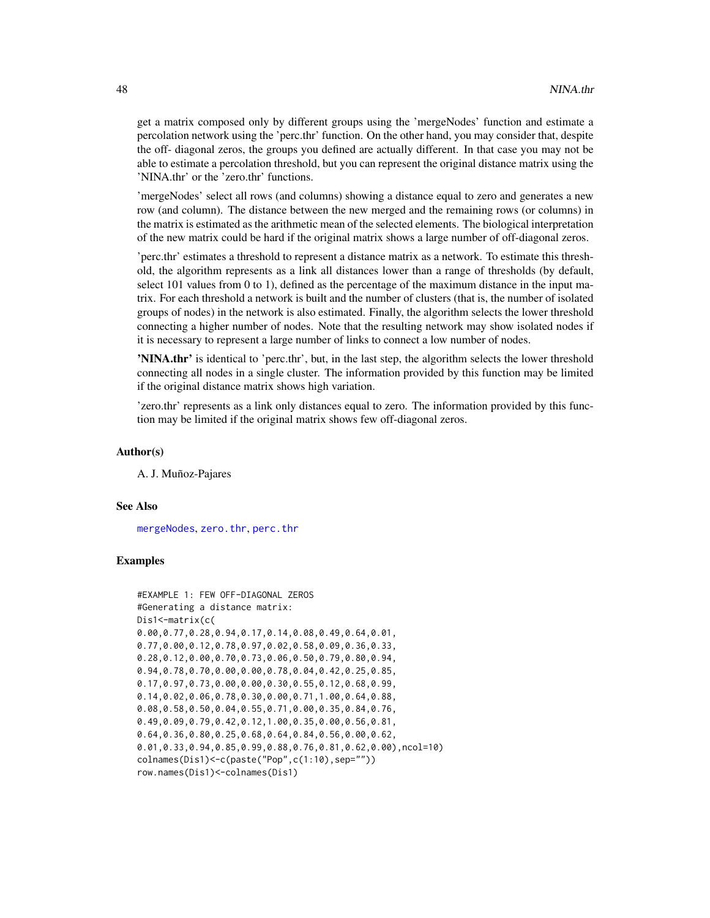get a matrix composed only by different groups using the 'mergeNodes' function and estimate a percolation network using the 'perc.thr' function. On the other hand, you may consider that, despite the off- diagonal zeros, the groups you defined are actually different. In that case you may not be able to estimate a percolation threshold, but you can represent the original distance matrix using the 'NINA.thr' or the 'zero.thr' functions.

'mergeNodes' select all rows (and columns) showing a distance equal to zero and generates a new row (and column). The distance between the new merged and the remaining rows (or columns) in the matrix is estimated as the arithmetic mean of the selected elements. The biological interpretation of the new matrix could be hard if the original matrix shows a large number of off-diagonal zeros.

'perc.thr' estimates a threshold to represent a distance matrix as a network. To estimate this threshold, the algorithm represents as a link all distances lower than a range of thresholds (by default, select 101 values from 0 to 1), defined as the percentage of the maximum distance in the input matrix. For each threshold a network is built and the number of clusters (that is, the number of isolated groups of nodes) in the network is also estimated. Finally, the algorithm selects the lower threshold connecting a higher number of nodes. Note that the resulting network may show isolated nodes if it is necessary to represent a large number of links to connect a low number of nodes.

'NINA.thr' is identical to 'perc.thr', but, in the last step, the algorithm selects the lower threshold connecting all nodes in a single cluster. The information provided by this function may be limited if the original distance matrix shows high variation.

'zero.thr' represents as a link only distances equal to zero. The information provided by this function may be limited if the original matrix shows few off-diagonal zeros.

## Author(s)

A. J. Muñoz-Pajares

## See Also

[mergeNodes](#page-35-0), [zero.thr](#page-76-0), [perc.thr](#page-51-0)

```
#EXAMPLE 1: FEW OFF-DIAGONAL ZEROS
#Generating a distance matrix:
Dis1<-matrix(c(
0.00,0.77,0.28,0.94,0.17,0.14,0.08,0.49,0.64,0.01,
0.77,0.00,0.12,0.78,0.97,0.02,0.58,0.09,0.36,0.33,
0.28,0.12,0.00,0.70,0.73,0.06,0.50,0.79,0.80,0.94,
0.94,0.78,0.70,0.00,0.00,0.78,0.04,0.42,0.25,0.85,
0.17,0.97,0.73,0.00,0.00,0.30,0.55,0.12,0.68,0.99,
0.14,0.02,0.06,0.78,0.30,0.00,0.71,1.00,0.64,0.88,
0.08,0.58,0.50,0.04,0.55,0.71,0.00,0.35,0.84,0.76,
0.49,0.09,0.79,0.42,0.12,1.00,0.35,0.00,0.56,0.81,
0.64,0.36,0.80,0.25,0.68,0.64,0.84,0.56,0.00,0.62,
0.01,0.33,0.94,0.85,0.99,0.88,0.76,0.81,0.62,0.00),ncol=10)
colnames(Dis1)<-c(paste("Pop",c(1:10),sep=""))
row.names(Dis1)<-colnames(Dis1)
```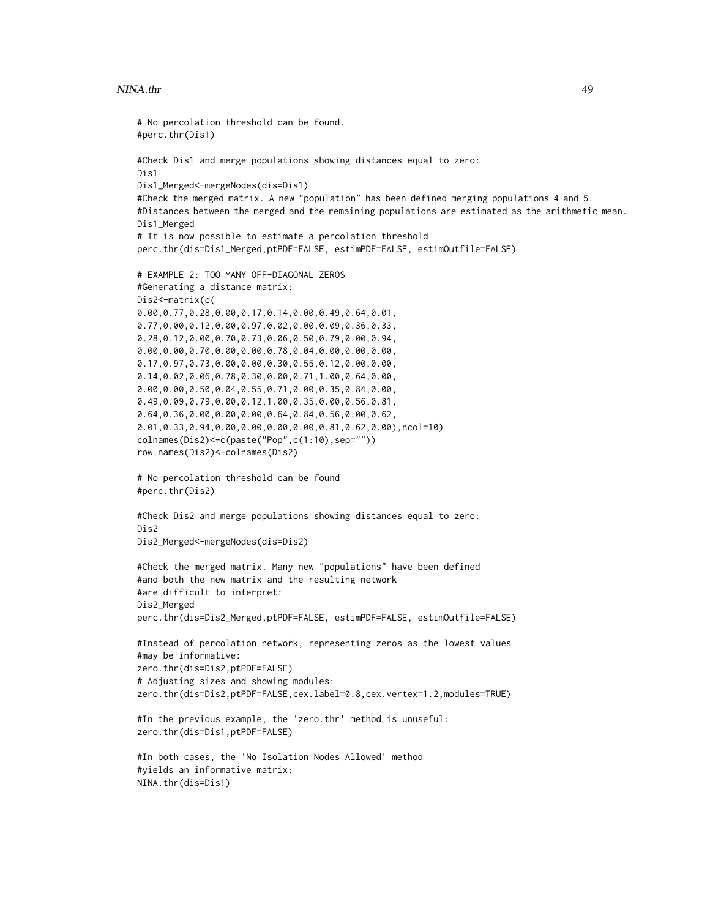## NINA.thr 49

```
# No percolation threshold can be found.
#perc.thr(Dis1)
#Check Dis1 and merge populations showing distances equal to zero:
Dis1
Dis1_Merged<-mergeNodes(dis=Dis1)
#Check the merged matrix. A new "population" has been defined merging populations 4 and 5.
#Distances between the merged and the remaining populations are estimated as the arithmetic mean.
Dis1_Merged
# It is now possible to estimate a percolation threshold
perc.thr(dis=Dis1_Merged,ptPDF=FALSE, estimPDF=FALSE, estimOutfile=FALSE)
# EXAMPLE 2: TOO MANY OFF-DIAGONAL ZEROS
#Generating a distance matrix:
Dis2<-matrix(c(
0.00,0.77,0.28,0.00,0.17,0.14,0.00,0.49,0.64,0.01,
0.77,0.00,0.12,0.00,0.97,0.02,0.00,0.09,0.36,0.33,
0.28,0.12,0.00,0.70,0.73,0.06,0.50,0.79,0.00,0.94,
0.00,0.00,0.70,0.00,0.00,0.78,0.04,0.00,0.00,0.00,
0.17,0.97,0.73,0.00,0.00,0.30,0.55,0.12,0.00,0.00,
0.14,0.02,0.06,0.78,0.30,0.00,0.71,1.00,0.64,0.00,
0.00,0.00,0.50,0.04,0.55,0.71,0.00,0.35,0.84,0.00,
0.49,0.09,0.79,0.00,0.12,1.00,0.35,0.00,0.56,0.81,
0.64,0.36,0.00,0.00,0.00,0.64,0.84,0.56,0.00,0.62,
0.01,0.33,0.94,0.00,0.00,0.00,0.00,0.81,0.62,0.00),ncol=10)
colnames(Dis2)<-c(paste("Pop",c(1:10),sep=""))
row.names(Dis2)<-colnames(Dis2)
# No percolation threshold can be found
#perc.thr(Dis2)
#Check Dis2 and merge populations showing distances equal to zero:
Dis2
Dis2_Merged<-mergeNodes(dis=Dis2)
#Check the merged matrix. Many new "populations" have been defined
#and both the new matrix and the resulting network
#are difficult to interpret:
Dis2_Merged
perc.thr(dis=Dis2_Merged,ptPDF=FALSE, estimPDF=FALSE, estimOutfile=FALSE)
#Instead of percolation network, representing zeros as the lowest values
#may be informative:
zero.thr(dis=Dis2,ptPDF=FALSE)
# Adjusting sizes and showing modules:
zero.thr(dis=Dis2,ptPDF=FALSE,cex.label=0.8,cex.vertex=1.2,modules=TRUE)
#In the previous example, the 'zero.thr' method is unuseful:
zero.thr(dis=Dis1,ptPDF=FALSE)
#In both cases, the 'No Isolation Nodes Allowed' method
#yields an informative matrix:
NINA.thr(dis=Dis1)
```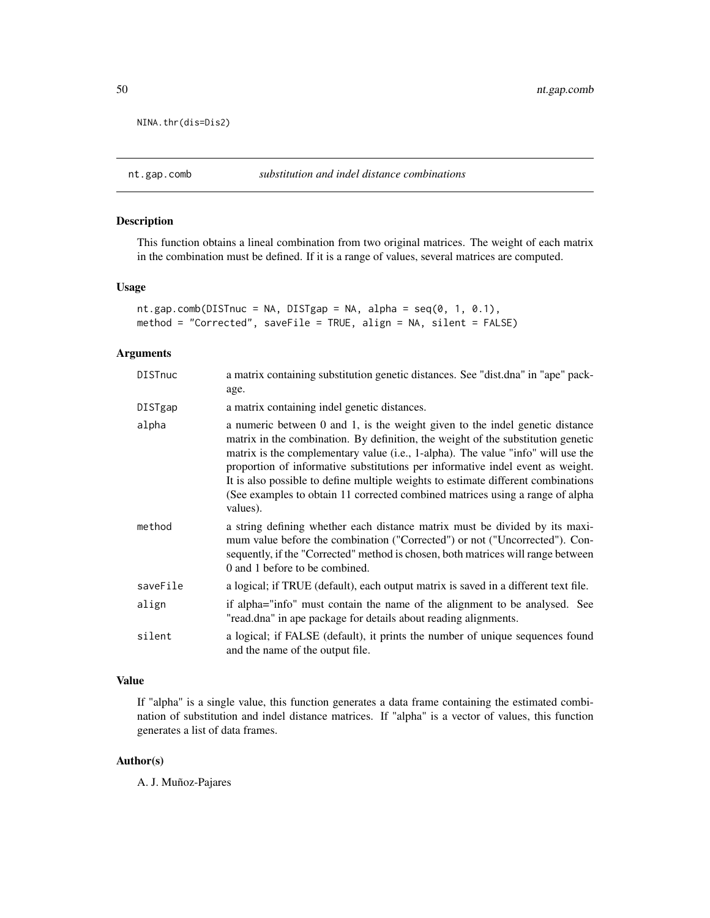NINA.thr(dis=Dis2)

# Description

This function obtains a lineal combination from two original matrices. The weight of each matrix in the combination must be defined. If it is a range of values, several matrices are computed.

#### Usage

```
nt.gap.comb(DISTnuc = NA, DISTgap = NA, alpha = seq(0, 1, 0.1),
method = "Corrected", saveFile = TRUE, align = NA, silent = FALSE)
```
# Arguments

| <b>DISTnuc</b> | a matrix containing substitution genetic distances. See "dist.dna" in "ape" pack-<br>age.                                                                                                                                                                                                                                                                                                                                                                                                                                |
|----------------|--------------------------------------------------------------------------------------------------------------------------------------------------------------------------------------------------------------------------------------------------------------------------------------------------------------------------------------------------------------------------------------------------------------------------------------------------------------------------------------------------------------------------|
| DISTgap        | a matrix containing indel genetic distances.                                                                                                                                                                                                                                                                                                                                                                                                                                                                             |
| alpha          | a numeric between 0 and 1, is the weight given to the indel genetic distance<br>matrix in the combination. By definition, the weight of the substitution genetic<br>matrix is the complementary value (i.e., 1-alpha). The value "info" will use the<br>proportion of informative substitutions per informative indel event as weight.<br>It is also possible to define multiple weights to estimate different combinations<br>(See examples to obtain 11 corrected combined matrices using a range of alpha<br>values). |
| method         | a string defining whether each distance matrix must be divided by its maxi-<br>mum value before the combination ("Corrected") or not ("Uncorrected"). Con-<br>sequently, if the "Corrected" method is chosen, both matrices will range between<br>0 and 1 before to be combined.                                                                                                                                                                                                                                         |
| saveFile       | a logical; if TRUE (default), each output matrix is saved in a different text file.                                                                                                                                                                                                                                                                                                                                                                                                                                      |
| align          | if alpha="info" must contain the name of the alignment to be analysed. See<br>"read.dna" in ape package for details about reading alignments.                                                                                                                                                                                                                                                                                                                                                                            |
| silent         | a logical; if FALSE (default), it prints the number of unique sequences found<br>and the name of the output file.                                                                                                                                                                                                                                                                                                                                                                                                        |

# Value

If "alpha" is a single value, this function generates a data frame containing the estimated combination of substitution and indel distance matrices. If "alpha" is a vector of values, this function generates a list of data frames.

# Author(s)

A. J. Muñoz-Pajares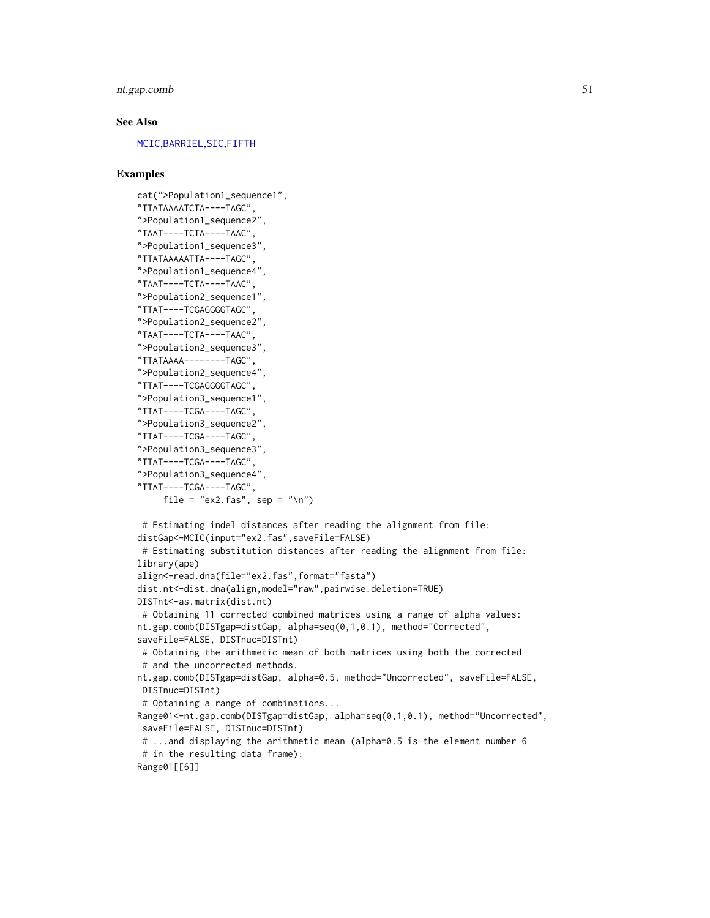# nt.gap.comb 51

## See Also

[MCIC](#page-34-0),[BARRIEL](#page-9-0),[SIC](#page-63-0),[FIFTH](#page-22-0)

```
cat(">Population1_sequence1",
"TTATAAAATCTA----TAGC",
">Population1_sequence2",
"TAAT----TCTA----TAAC",
">Population1_sequence3",
"TTATAAAAATTA----TAGC",
">Population1_sequence4",
"TAAT----TCTA----TAAC",
">Population2_sequence1",
"TTAT----TCGAGGGGTAGC",
">Population2_sequence2",
"TAAT----TCTA----TAAC",
">Population2_sequence3",
"TTATAAAA--------TAGC",
">Population2_sequence4",
"TTAT----TCGAGGGGTAGC",
">Population3_sequence1",
"TTAT----TCGA----TAGC",
">Population3_sequence2",
"TTAT----TCGA----TAGC",
">Population3_sequence3",
"TTAT----TCGA----TAGC",
">Population3_sequence4",
"TTAT----TCGA----TAGC",
     file = "ex2.fas", sep = "\n")
# Estimating indel distances after reading the alignment from file:
distGap<-MCIC(input="ex2.fas",saveFile=FALSE)
# Estimating substitution distances after reading the alignment from file:
library(ape)
align<-read.dna(file="ex2.fas",format="fasta")
dist.nt<-dist.dna(align,model="raw",pairwise.deletion=TRUE)
DISTnt<-as.matrix(dist.nt)
# Obtaining 11 corrected combined matrices using a range of alpha values:
nt.gap.comb(DISTgap=distGap, alpha=seq(0,1,0.1), method="Corrected",
saveFile=FALSE, DISTnuc=DISTnt)
# Obtaining the arithmetic mean of both matrices using both the corrected
 # and the uncorrected methods.
nt.gap.comb(DISTgap=distGap, alpha=0.5, method="Uncorrected", saveFile=FALSE,
DISTnuc=DISTnt)
 # Obtaining a range of combinations...
Range01<-nt.gap.comb(DISTgap=distGap, alpha=seq(0,1,0.1), method="Uncorrected",
 saveFile=FALSE, DISTnuc=DISTnt)
 # ...and displaying the arithmetic mean (alpha=0.5 is the element number 6
# in the resulting data frame):
Range01[[6]]
```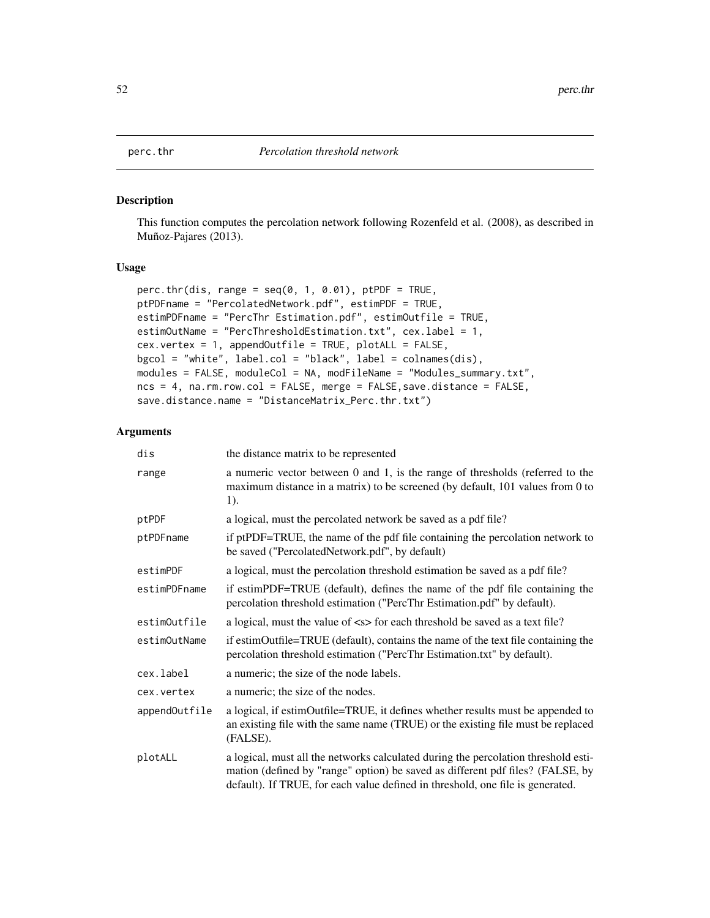#### Description

This function computes the percolation network following Rozenfeld et al. (2008), as described in Muñoz-Pajares (2013).

# Usage

```
perc.thr(dis, range = seq(0, 1, 0.01), ptPDF = TRUE,
ptPDFname = "PercolatedNetwork.pdf", estimPDF = TRUE,
estimPDFname = "PercThr Estimation.pdf", estimOutfile = TRUE,
estimOutName = "PercThresholdEstimation.txt", cex.label = 1,
cex.vertex = 1, appendOutfile = TRUE, plotALL = FALSE,
bgcol = "white", label.col = "black", label = colnames(dis),
modules = FALSE, moduleCol = NA, modFileName = "Modules_summary.txt",
ncs = 4, na.rm.row.col = FALSE, merge = FALSE,save.distance = FALSE,
save.distance.name = "DistanceMatrix_Perc.thr.txt")
```
## Arguments

| dis           | the distance matrix to be represented                                                                                                                                                                                                                  |
|---------------|--------------------------------------------------------------------------------------------------------------------------------------------------------------------------------------------------------------------------------------------------------|
| range         | a numeric vector between 0 and 1, is the range of thresholds (referred to the<br>maximum distance in a matrix) to be screened (by default, 101 values from 0 to<br>1).                                                                                 |
| ptPDF         | a logical, must the percolated network be saved as a pdf file?                                                                                                                                                                                         |
| ptPDFname     | if ptPDF=TRUE, the name of the pdf file containing the percolation network to<br>be saved ("PercolatedNetwork.pdf", by default)                                                                                                                        |
| estimPDF      | a logical, must the percolation threshold estimation be saved as a pdf file?                                                                                                                                                                           |
| estimPDFname  | if estimPDF=TRUE (default), defines the name of the pdf file containing the<br>percolation threshold estimation ("PercThr Estimation.pdf" by default).                                                                                                 |
| estimOutfile  | a logical, must the value of $\langle s \rangle$ for each threshold be saved as a text file?                                                                                                                                                           |
| estimOutName  | if estimOutfile=TRUE (default), contains the name of the text file containing the<br>percolation threshold estimation ("PercThr Estimation.txt" by default).                                                                                           |
| cex.label     | a numeric; the size of the node labels.                                                                                                                                                                                                                |
| cex.vertex    | a numeric; the size of the nodes.                                                                                                                                                                                                                      |
| appendOutfile | a logical, if estimOutfile=TRUE, it defines whether results must be appended to<br>an existing file with the same name (TRUE) or the existing file must be replaced<br>(FALSE).                                                                        |
| plotALL       | a logical, must all the networks calculated during the percolation threshold esti-<br>mation (defined by "range" option) be saved as different pdf files? (FALSE, by<br>default). If TRUE, for each value defined in threshold, one file is generated. |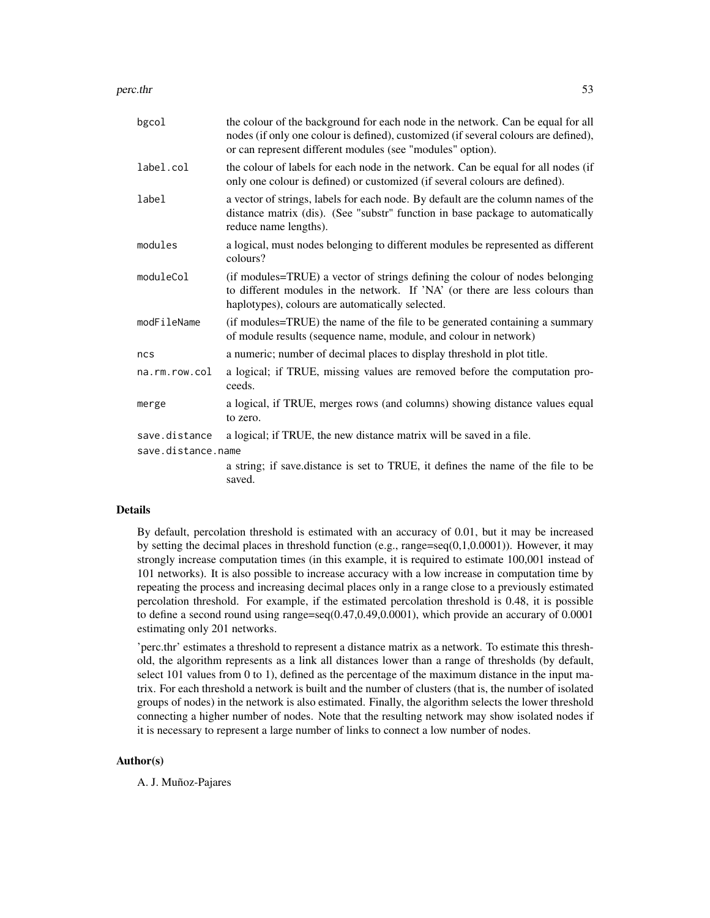perc.thr 53

| bgcol              | the colour of the background for each node in the network. Can be equal for all<br>nodes (if only one colour is defined), customized (if several colours are defined),<br>or can represent different modules (see "modules" option). |  |
|--------------------|--------------------------------------------------------------------------------------------------------------------------------------------------------------------------------------------------------------------------------------|--|
| label.col          | the colour of labels for each node in the network. Can be equal for all nodes (if<br>only one colour is defined) or customized (if several colours are defined).                                                                     |  |
| label              | a vector of strings, labels for each node. By default are the column names of the<br>distance matrix (dis). (See "substr" function in base package to automatically<br>reduce name lengths).                                         |  |
| modules            | a logical, must nodes belonging to different modules be represented as different<br>colours?                                                                                                                                         |  |
| moduleCol          | (if modules=TRUE) a vector of strings defining the colour of nodes belonging<br>to different modules in the network. If 'NA' (or there are less colours than<br>haplotypes), colours are automatically selected.                     |  |
| modFileName        | (if modules=TRUE) the name of the file to be generated containing a summary<br>of module results (sequence name, module, and colour in network)                                                                                      |  |
| ncs                | a numeric; number of decimal places to display threshold in plot title.                                                                                                                                                              |  |
| na.rm.row.col      | a logical; if TRUE, missing values are removed before the computation pro-<br>ceeds.                                                                                                                                                 |  |
| merge              | a logical, if TRUE, merges rows (and columns) showing distance values equal<br>to zero.                                                                                                                                              |  |
| save.distance      | a logical; if TRUE, the new distance matrix will be saved in a file.                                                                                                                                                                 |  |
| save.distance.name |                                                                                                                                                                                                                                      |  |
|                    | a string; if save distance is set to TRUE, it defines the name of the file to be<br>saved.                                                                                                                                           |  |

# Details

By default, percolation threshold is estimated with an accuracy of 0.01, but it may be increased by setting the decimal places in threshold function (e.g., range=seq $(0,1,0.0001)$ ). However, it may strongly increase computation times (in this example, it is required to estimate 100,001 instead of 101 networks). It is also possible to increase accuracy with a low increase in computation time by repeating the process and increasing decimal places only in a range close to a previously estimated percolation threshold. For example, if the estimated percolation threshold is 0.48, it is possible to define a second round using range=seq(0.47,0.49,0.0001), which provide an accurary of 0.0001 estimating only 201 networks.

'perc.thr' estimates a threshold to represent a distance matrix as a network. To estimate this threshold, the algorithm represents as a link all distances lower than a range of thresholds (by default, select 101 values from 0 to 1), defined as the percentage of the maximum distance in the input matrix. For each threshold a network is built and the number of clusters (that is, the number of isolated groups of nodes) in the network is also estimated. Finally, the algorithm selects the lower threshold connecting a higher number of nodes. Note that the resulting network may show isolated nodes if it is necessary to represent a large number of links to connect a low number of nodes.

#### Author(s)

A. J. Muñoz-Pajares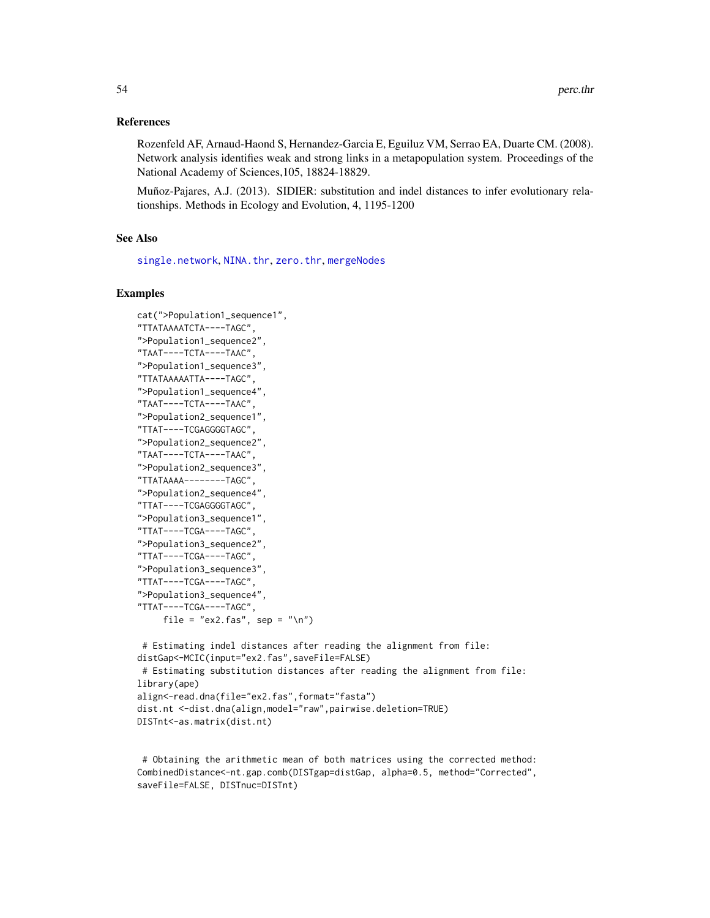## References

Rozenfeld AF, Arnaud-Haond S, Hernandez-Garcia E, Eguiluz VM, Serrao EA, Duarte CM. (2008). Network analysis identifies weak and strong links in a metapopulation system. Proceedings of the National Academy of Sciences,105, 18824-18829.

Muñoz-Pajares, A.J. (2013). SIDIER: substitution and indel distances to infer evolutionary relationships. Methods in Ecology and Evolution, 4, 1195-1200

## See Also

[single.network](#page-68-0), [NINA.thr](#page-45-0), [zero.thr](#page-76-0), [mergeNodes](#page-35-0)

# Examples

```
cat(">Population1_sequence1",
"TTATAAAATCTA----TAGC",
">Population1_sequence2",
"TAAT----TCTA----TAAC",
">Population1_sequence3",
"TTATAAAAATTA----TAGC",
">Population1_sequence4",
"TAAT----TCTA----TAAC",
">Population2_sequence1",
"TTAT----TCGAGGGGTAGC",
">Population2_sequence2",
"TAAT----TCTA----TAAC",
">Population2_sequence3",
"TTATAAAA--------TAGC",
">Population2_sequence4",
"TTAT----TCGAGGGGTAGC",
">Population3_sequence1",
"TTAT----TCGA----TAGC",
">Population3_sequence2",
"TTAT----TCGA----TAGC",
">Population3_sequence3",
"TTAT----TCGA----TAGC",
">Population3_sequence4",
"TTAT----TCGA----TAGC",
     file = "ex2.fas", sep = "\n")
```

```
# Estimating indel distances after reading the alignment from file:
distGap<-MCIC(input="ex2.fas",saveFile=FALSE)
# Estimating substitution distances after reading the alignment from file:
library(ape)
align<-read.dna(file="ex2.fas",format="fasta")
dist.nt <-dist.dna(align,model="raw",pairwise.deletion=TRUE)
DISTnt<-as.matrix(dist.nt)
```
# Obtaining the arithmetic mean of both matrices using the corrected method: CombinedDistance<-nt.gap.comb(DISTgap=distGap, alpha=0.5, method="Corrected", saveFile=FALSE, DISTnuc=DISTnt)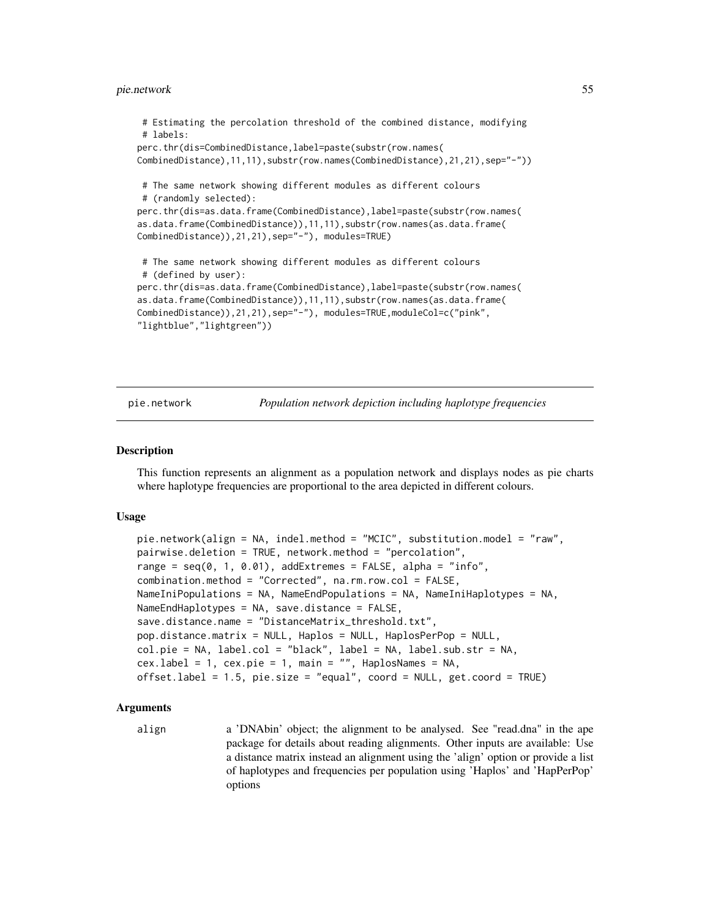## pie.network 55

```
# Estimating the percolation threshold of the combined distance, modifying
# labels:
perc.thr(dis=CombinedDistance,label=paste(substr(row.names(
CombinedDistance),11,11),substr(row.names(CombinedDistance),21,21),sep="-"))
# The same network showing different modules as different colours
# (randomly selected):
perc.thr(dis=as.data.frame(CombinedDistance),label=paste(substr(row.names(
as.data.frame(CombinedDistance)),11,11),substr(row.names(as.data.frame(
CombinedDistance)),21,21),sep="-"), modules=TRUE)
# The same network showing different modules as different colours
# (defined by user):
perc.thr(dis=as.data.frame(CombinedDistance),label=paste(substr(row.names(
as.data.frame(CombinedDistance)),11,11),substr(row.names(as.data.frame(
CombinedDistance)),21,21),sep="-"), modules=TRUE,moduleCol=c("pink",
"lightblue","lightgreen"))
```
pie.network *Population network depiction including haplotype frequencies*

## **Description**

This function represents an alignment as a population network and displays nodes as pie charts where haplotype frequencies are proportional to the area depicted in different colours.

## Usage

```
pie.network(align = NA, indel.method = "MCIC", substitution.model = "raw",
pairwise.deletion = TRUE, network.method = "percolation",
range = seq(0, 1, 0.01), addExtremes = FALSE, alpha = "info",
combination.method = "Corrected", na.rm.row.col = FALSE,
NameIniPopulations = NA, NameEndPopulations = NA, NameIniHaplotypes = NA,
NameEndHaplotypes = NA, save.distance = FALSE,
save.distance.name = "DistanceMatrix_threshold.txt",
pop.distance.matrix = NULL, Haplos = NULL, HaplosPerPop = NULL,
col.pie = NA, label.col = "black", label = NA, label.sub.str = NA,
cex. label = 1, cex. pie = 1, main = "", HaplosNames = NA,
offset.label = 1.5, pie.size = "equal", coord = NULL, get.coord = TRUE)
```
# Arguments

align a 'DNAbin' object; the alignment to be analysed. See "read.dna" in the ape package for details about reading alignments. Other inputs are available: Use a distance matrix instead an alignment using the 'align' option or provide a list of haplotypes and frequencies per population using 'Haplos' and 'HapPerPop' options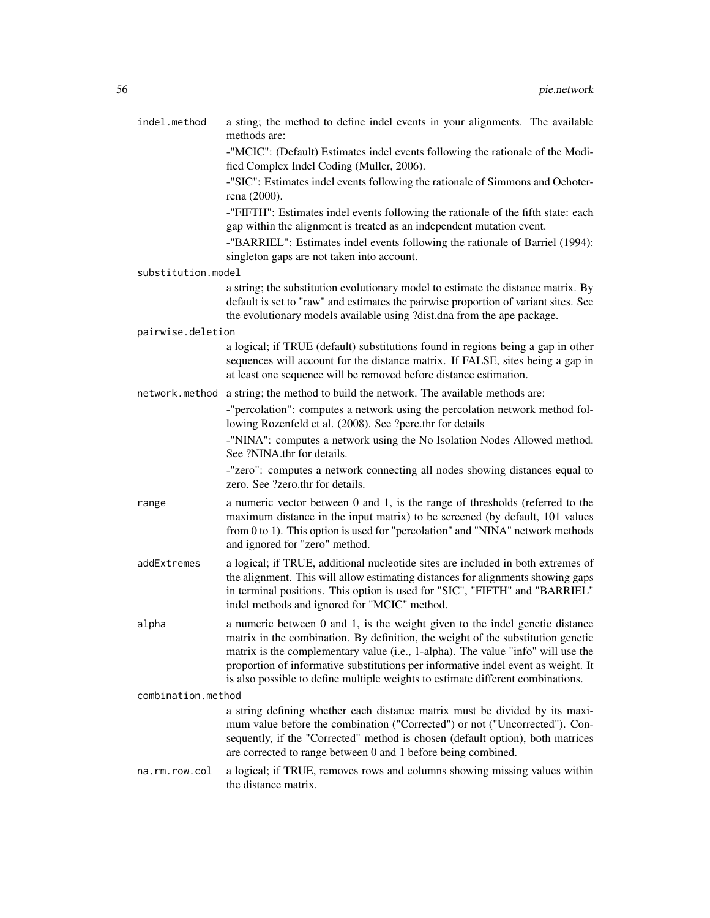| indel.method       | a sting; the method to define indel events in your alignments. The available<br>methods are:                                                                                                                                                                                                                                                                                                                                 |
|--------------------|------------------------------------------------------------------------------------------------------------------------------------------------------------------------------------------------------------------------------------------------------------------------------------------------------------------------------------------------------------------------------------------------------------------------------|
|                    | -"MCIC": (Default) Estimates indel events following the rationale of the Modi-<br>fied Complex Indel Coding (Muller, 2006).                                                                                                                                                                                                                                                                                                  |
|                    | -"SIC": Estimates indel events following the rationale of Simmons and Ochoter-<br>rena (2000).                                                                                                                                                                                                                                                                                                                               |
|                    | -"FIFTH": Estimates indel events following the rationale of the fifth state: each<br>gap within the alignment is treated as an independent mutation event.                                                                                                                                                                                                                                                                   |
|                    | -"BARRIEL": Estimates indel events following the rationale of Barriel (1994):<br>singleton gaps are not taken into account.                                                                                                                                                                                                                                                                                                  |
| substitution.model |                                                                                                                                                                                                                                                                                                                                                                                                                              |
|                    | a string; the substitution evolutionary model to estimate the distance matrix. By<br>default is set to "raw" and estimates the pairwise proportion of variant sites. See<br>the evolutionary models available using ?dist.dna from the ape package.                                                                                                                                                                          |
| pairwise.deletion  |                                                                                                                                                                                                                                                                                                                                                                                                                              |
|                    | a logical; if TRUE (default) substitutions found in regions being a gap in other<br>sequences will account for the distance matrix. If FALSE, sites being a gap in<br>at least one sequence will be removed before distance estimation.                                                                                                                                                                                      |
|                    | network. method a string; the method to build the network. The available methods are:                                                                                                                                                                                                                                                                                                                                        |
|                    | -"percolation": computes a network using the percolation network method fol-<br>lowing Rozenfeld et al. (2008). See ?perc.thr for details                                                                                                                                                                                                                                                                                    |
|                    | -"NINA": computes a network using the No Isolation Nodes Allowed method.<br>See ?NINA.thr for details.                                                                                                                                                                                                                                                                                                                       |
|                    | -"zero": computes a network connecting all nodes showing distances equal to<br>zero. See ?zero.thr for details.                                                                                                                                                                                                                                                                                                              |
| range              | a numeric vector between 0 and 1, is the range of thresholds (referred to the<br>maximum distance in the input matrix) to be screened (by default, 101 values<br>from 0 to 1). This option is used for "percolation" and "NINA" network methods<br>and ignored for "zero" method.                                                                                                                                            |
| addExtremes        | a logical; if TRUE, additional nucleotide sites are included in both extremes of<br>the alignment. This will allow estimating distances for alignments showing gaps<br>in terminal positions. This option is used for "SIC", "FIFTH" and "BARRIEL"<br>indel methods and ignored for "MCIC" method.                                                                                                                           |
| alpha              | a numeric between 0 and 1, is the weight given to the indel genetic distance<br>matrix in the combination. By definition, the weight of the substitution genetic<br>matrix is the complementary value (i.e., 1-alpha). The value "info" will use the<br>proportion of informative substitutions per informative indel event as weight. It<br>is also possible to define multiple weights to estimate different combinations. |
| combination.method |                                                                                                                                                                                                                                                                                                                                                                                                                              |
|                    | a string defining whether each distance matrix must be divided by its maxi-<br>mum value before the combination ("Corrected") or not ("Uncorrected"). Con-<br>sequently, if the "Corrected" method is chosen (default option), both matrices<br>are corrected to range between 0 and 1 before being combined.                                                                                                                |
| na.rm.row.col      | a logical; if TRUE, removes rows and columns showing missing values within<br>the distance matrix.                                                                                                                                                                                                                                                                                                                           |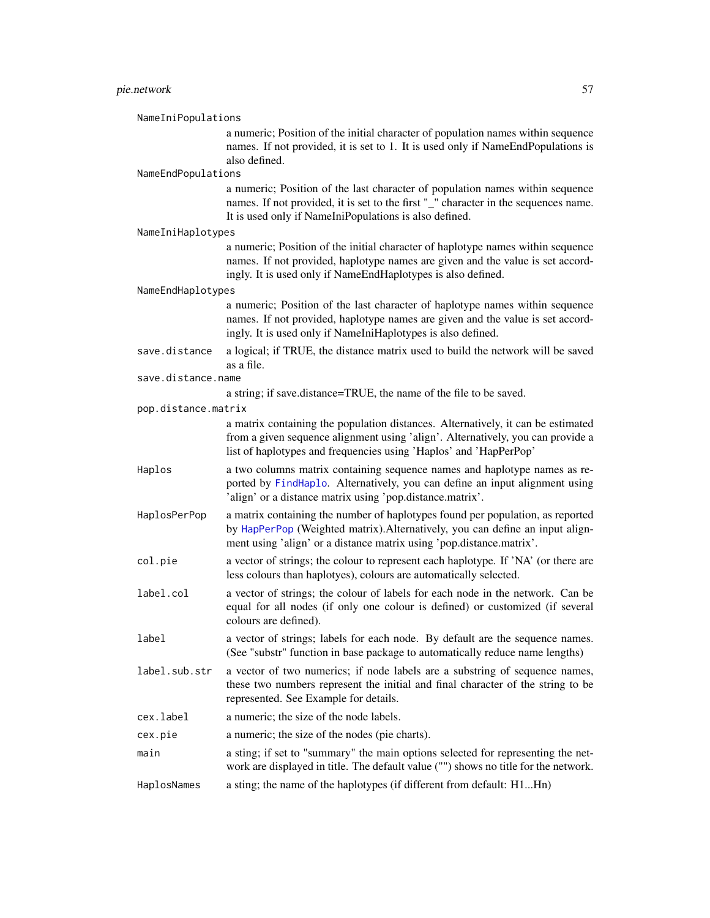## pie.network 57

NameIniPopulations a numeric; Position of the initial character of population names within sequence names. If not provided, it is set to 1. It is used only if NameEndPopulations is also defined. NameEndPopulations a numeric; Position of the last character of population names within sequence names. If not provided, it is set to the first "\_" character in the sequences name. It is used only if NameIniPopulations is also defined. NameIniHaplotypes a numeric; Position of the initial character of haplotype names within sequence names. If not provided, haplotype names are given and the value is set accordingly. It is used only if NameEndHaplotypes is also defined. NameEndHaplotypes a numeric; Position of the last character of haplotype names within sequence names. If not provided, haplotype names are given and the value is set accordingly. It is used only if NameIniHaplotypes is also defined. save.distance a logical; if TRUE, the distance matrix used to build the network will be saved as a file. save.distance.name a string; if save.distance=TRUE, the name of the file to be saved. pop.distance.matrix a matrix containing the population distances. Alternatively, it can be estimated from a given sequence alignment using 'align'. Alternatively, you can provide a list of haplotypes and frequencies using 'Haplos' and 'HapPerPop' Haplos a two columns matrix containing sequence names and haplotype names as reported by [FindHaplo](#page-25-0). Alternatively, you can define an input alignment using 'align' or a distance matrix using 'pop.distance.matrix'. HaplosPerPop a matrix containing the number of haplotypes found per population, as reported by [HapPerPop](#page-30-0) (Weighted matrix).Alternatively, you can define an input alignment using 'align' or a distance matrix using 'pop.distance.matrix'. col.pie a vector of strings; the colour to represent each haplotype. If 'NA' (or there are less colours than haplotyes), colours are automatically selected. label.col a vector of strings; the colour of labels for each node in the network. Can be equal for all nodes (if only one colour is defined) or customized (if several colours are defined). label a vector of strings; labels for each node. By default are the sequence names. (See "substr" function in base package to automatically reduce name lengths) label.sub.str a vector of two numerics; if node labels are a substring of sequence names, these two numbers represent the initial and final character of the string to be represented. See Example for details. cex.label a numeric; the size of the node labels. cex.pie a numeric; the size of the nodes (pie charts). main a sting; if set to "summary" the main options selected for representing the network are displayed in title. The default value ("") shows no title for the network. HaplosNames a sting; the name of the haplotypes (if different from default: H1...Hn)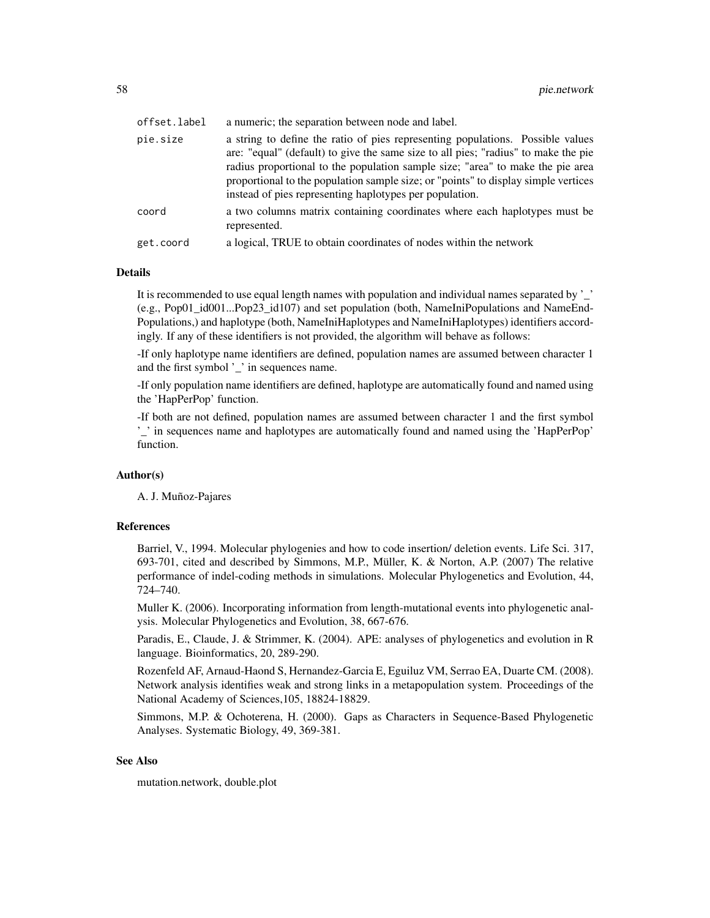| offset.label | a numeric; the separation between node and label.                                                                                                                                                                                                                                                                                                                                                       |
|--------------|---------------------------------------------------------------------------------------------------------------------------------------------------------------------------------------------------------------------------------------------------------------------------------------------------------------------------------------------------------------------------------------------------------|
| pie.size     | a string to define the ratio of pies representing populations. Possible values<br>are: "equal" (default) to give the same size to all pies; "radius" to make the pie<br>radius proportional to the population sample size; "area" to make the pie area<br>proportional to the population sample size; or "points" to display simple vertices<br>instead of pies representing haplotypes per population. |
| coord        | a two columns matrix containing coordinates where each haplotypes must be<br>represented.                                                                                                                                                                                                                                                                                                               |
| get.coord    | a logical, TRUE to obtain coordinates of nodes within the network                                                                                                                                                                                                                                                                                                                                       |

# Details

It is recommended to use equal length names with population and individual names separated by '\_' (e.g., Pop01\_id001...Pop23\_id107) and set population (both, NameIniPopulations and NameEnd-Populations,) and haplotype (both, NameIniHaplotypes and NameIniHaplotypes) identifiers accordingly. If any of these identifiers is not provided, the algorithm will behave as follows:

-If only haplotype name identifiers are defined, population names are assumed between character 1 and the first symbol '\_' in sequences name.

-If only population name identifiers are defined, haplotype are automatically found and named using the 'HapPerPop' function.

-If both are not defined, population names are assumed between character 1 and the first symbol '\_' in sequences name and haplotypes are automatically found and named using the 'HapPerPop' function.

## Author(s)

A. J. Muñoz-Pajares

## References

Barriel, V., 1994. Molecular phylogenies and how to code insertion/ deletion events. Life Sci. 317, 693-701, cited and described by Simmons, M.P., Müller, K. & Norton, A.P. (2007) The relative performance of indel-coding methods in simulations. Molecular Phylogenetics and Evolution, 44, 724–740.

Muller K. (2006). Incorporating information from length-mutational events into phylogenetic analysis. Molecular Phylogenetics and Evolution, 38, 667-676.

Paradis, E., Claude, J. & Strimmer, K. (2004). APE: analyses of phylogenetics and evolution in R language. Bioinformatics, 20, 289-290.

Rozenfeld AF, Arnaud-Haond S, Hernandez-Garcia E, Eguiluz VM, Serrao EA, Duarte CM. (2008). Network analysis identifies weak and strong links in a metapopulation system. Proceedings of the National Academy of Sciences,105, 18824-18829.

Simmons, M.P. & Ochoterena, H. (2000). Gaps as Characters in Sequence-Based Phylogenetic Analyses. Systematic Biology, 49, 369-381.

# See Also

mutation.network, double.plot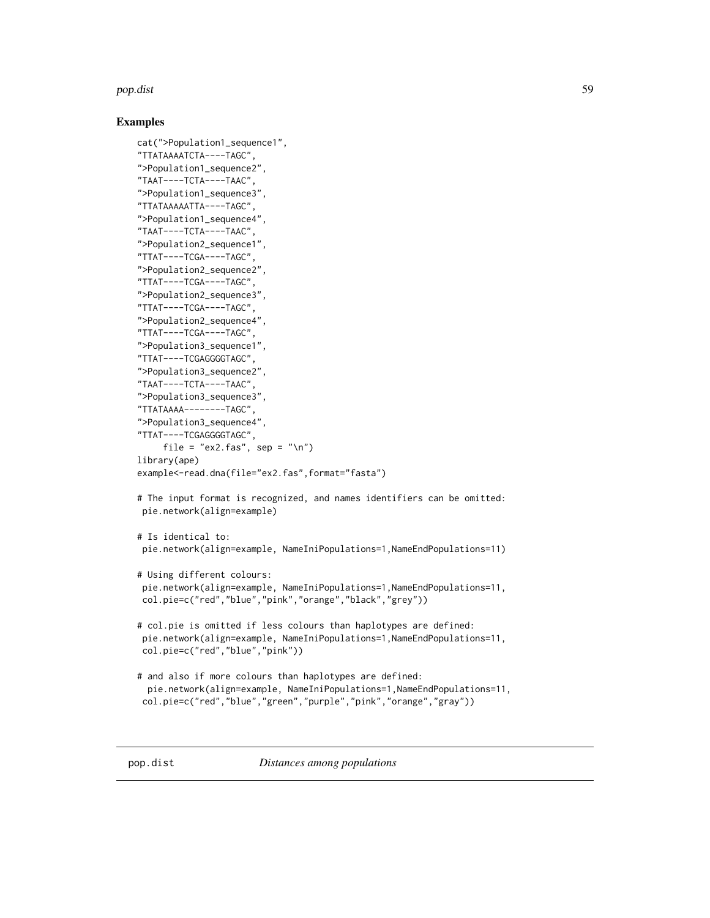## pop.dist 59

```
cat(">Population1_sequence1",
"TTATAAAATCTA----TAGC",
">Population1_sequence2",
"TAAT----TCTA----TAAC",
">Population1_sequence3",
"TTATAAAAATTA----TAGC",
">Population1_sequence4",
"TAAT----TCTA----TAAC",
">Population2_sequence1",
"TTAT----TCGA----TAGC",
">Population2_sequence2",
"TTAT----TCGA----TAGC",
">Population2_sequence3",
"TTAT----TCGA----TAGC",
">Population2_sequence4",
"TTAT----TCGA----TAGC",
">Population3_sequence1",
"TTAT----TCGAGGGGTAGC",
">Population3_sequence2",
"TAAT----TCTA----TAAC",
">Population3_sequence3",
"TTATAAAA--------TAGC",
">Population3_sequence4",
"TTAT----TCGAGGGGTAGC",
     file = "ex2.fas", sep = "\n")
library(ape)
example<-read.dna(file="ex2.fas",format="fasta")
# The input format is recognized, and names identifiers can be omitted:
pie.network(align=example)
# Is identical to:
pie.network(align=example, NameIniPopulations=1,NameEndPopulations=11)
# Using different colours:
 pie.network(align=example, NameIniPopulations=1,NameEndPopulations=11,
col.pie=c("red","blue","pink","orange","black","grey"))
# col.pie is omitted if less colours than haplotypes are defined:
pie.network(align=example, NameIniPopulations=1,NameEndPopulations=11,
 col.pie=c("red","blue","pink"))
# and also if more colours than haplotypes are defined:
 pie.network(align=example, NameIniPopulations=1,NameEndPopulations=11,
 col.pie=c("red","blue","green","purple","pink","orange","gray"))
```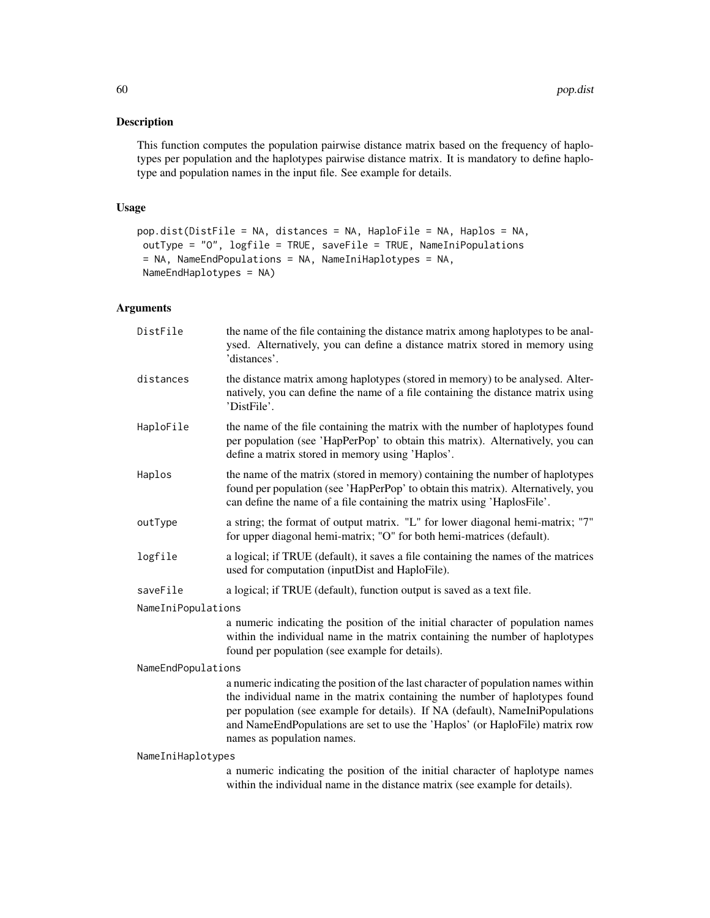# Description

This function computes the population pairwise distance matrix based on the frequency of haplotypes per population and the haplotypes pairwise distance matrix. It is mandatory to define haplotype and population names in the input file. See example for details.

# Usage

```
pop.dist(DistFile = NA, distances = NA, HaploFile = NA, Haplos = NA,
outType = "O", logfile = TRUE, saveFile = TRUE, NameIniPopulations
= NA, NameEndPopulations = NA, NameIniHaplotypes = NA,
NameEndHaplotypes = NA)
```
# Arguments

| DistFile           | the name of the file containing the distance matrix among haplotypes to be anal-<br>ysed. Alternatively, you can define a distance matrix stored in memory using<br>'distances'.                                                                                                                                                                                 |
|--------------------|------------------------------------------------------------------------------------------------------------------------------------------------------------------------------------------------------------------------------------------------------------------------------------------------------------------------------------------------------------------|
| distances          | the distance matrix among haplotypes (stored in memory) to be analysed. Alter-<br>natively, you can define the name of a file containing the distance matrix using<br>'DistFile'.                                                                                                                                                                                |
| HaploFile          | the name of the file containing the matrix with the number of haplotypes found<br>per population (see 'HapPerPop' to obtain this matrix). Alternatively, you can<br>define a matrix stored in memory using 'Haplos'.                                                                                                                                             |
| Haplos             | the name of the matrix (stored in memory) containing the number of haplotypes<br>found per population (see 'HapPerPop' to obtain this matrix). Alternatively, you<br>can define the name of a file containing the matrix using 'HaplosFile'.                                                                                                                     |
| outType            | a string; the format of output matrix. "L" for lower diagonal hemi-matrix; "7"<br>for upper diagonal hemi-matrix; "O" for both hemi-matrices (default).                                                                                                                                                                                                          |
| logfile            | a logical; if TRUE (default), it saves a file containing the names of the matrices<br>used for computation (inputDist and HaploFile).                                                                                                                                                                                                                            |
| saveFile           | a logical; if TRUE (default), function output is saved as a text file.                                                                                                                                                                                                                                                                                           |
| NameIniPopulations |                                                                                                                                                                                                                                                                                                                                                                  |
|                    | a numeric indicating the position of the initial character of population names<br>within the individual name in the matrix containing the number of haplotypes<br>found per population (see example for details).                                                                                                                                                |
| NameEndPopulations |                                                                                                                                                                                                                                                                                                                                                                  |
|                    | a numeric indicating the position of the last character of population names within<br>the individual name in the matrix containing the number of haplotypes found<br>per population (see example for details). If NA (default), NameIniPopulations<br>and NameEndPopulations are set to use the 'Haplos' (or HaploFile) matrix row<br>names as population names. |
| NameIniHaplotypes  |                                                                                                                                                                                                                                                                                                                                                                  |
|                    | a numeric indicating the position of the initial character of haplotype names<br>within the individual name in the distance matrix (see example for details).                                                                                                                                                                                                    |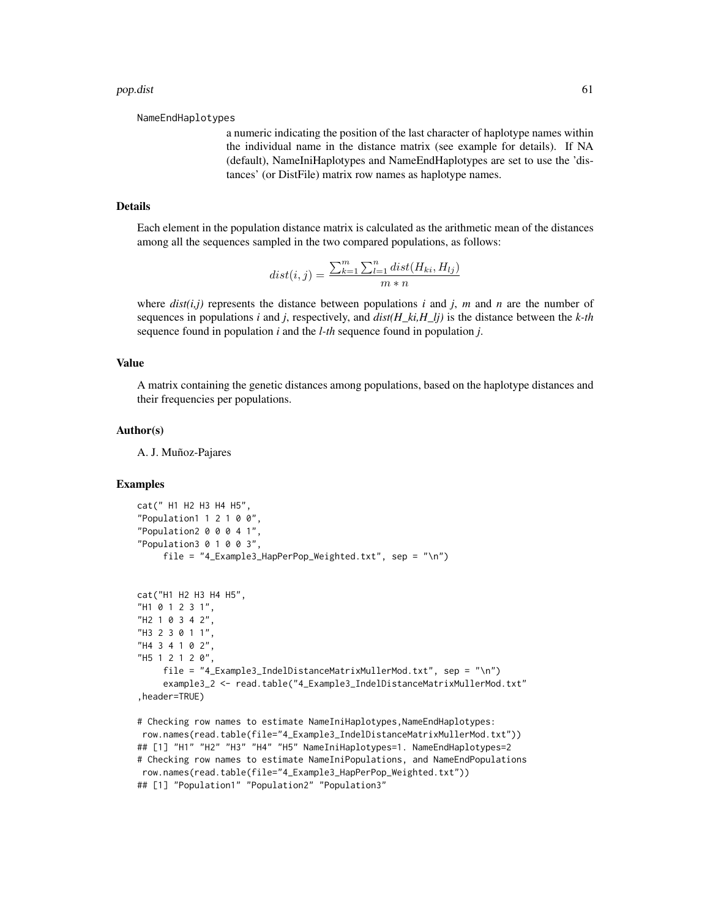NameEndHaplotypes

a numeric indicating the position of the last character of haplotype names within the individual name in the distance matrix (see example for details). If NA (default), NameIniHaplotypes and NameEndHaplotypes are set to use the 'distances' (or DistFile) matrix row names as haplotype names.

# Details

Each element in the population distance matrix is calculated as the arithmetic mean of the distances among all the sequences sampled in the two compared populations, as follows:

$$
dist(i, j) = \frac{\sum_{k=1}^{m} \sum_{l=1}^{n} dist(H_{ki}, H_{lj})}{m*n}
$$

where  $dist(i,j)$  represents the distance between populations  $i$  and  $j$ ,  $m$  and  $n$  are the number of sequences in populations *i* and *j*, respectively, and *dist(H\_ki,H\_lj)* is the distance between the *k-th* sequence found in population *i* and the *l-th* sequence found in population *j*.

## Value

A matrix containing the genetic distances among populations, based on the haplotype distances and their frequencies per populations.

#### Author(s)

A. J. Muñoz-Pajares

```
cat(" H1 H2 H3 H4 H5",
"Population1 1 2 1 0 0","Population2 0 0 0 4 1","Population3 0 1 0 0 3",
     file = "4 Example3 HapPerPop Weighted.txt", sep = "\n\n\incat("H1 H2 H3 H4 H5",
"H1 0 1 2 3 1",
"H2 1 0 3 4 2",
"H3 2 3 0 1 1",
"H4 3 4 1 0 2",
"H5 1 2 1 2 0",
     file = "4_Example3_IndelDistanceMatrixMullerMod.txt", sep = "\n")
     example3_2 <- read.table("4_Example3_IndelDistanceMatrixMullerMod.txt"
,header=TRUE)
# Checking row names to estimate NameIniHaplotypes, NameEndHaplotypes:
```

```
row.names(read.table(file="4_Example3_IndelDistanceMatrixMullerMod.txt"))
## [1] "H1" "H2" "H3" "H4" "H5" NameIniHaplotypes=1. NameEndHaplotypes=2
# Checking row names to estimate NameIniPopulations, and NameEndPopulations
row.names(read.table(file="4_Example3_HapPerPop_Weighted.txt"))
## [1] "Population1" "Population2" "Population3"
```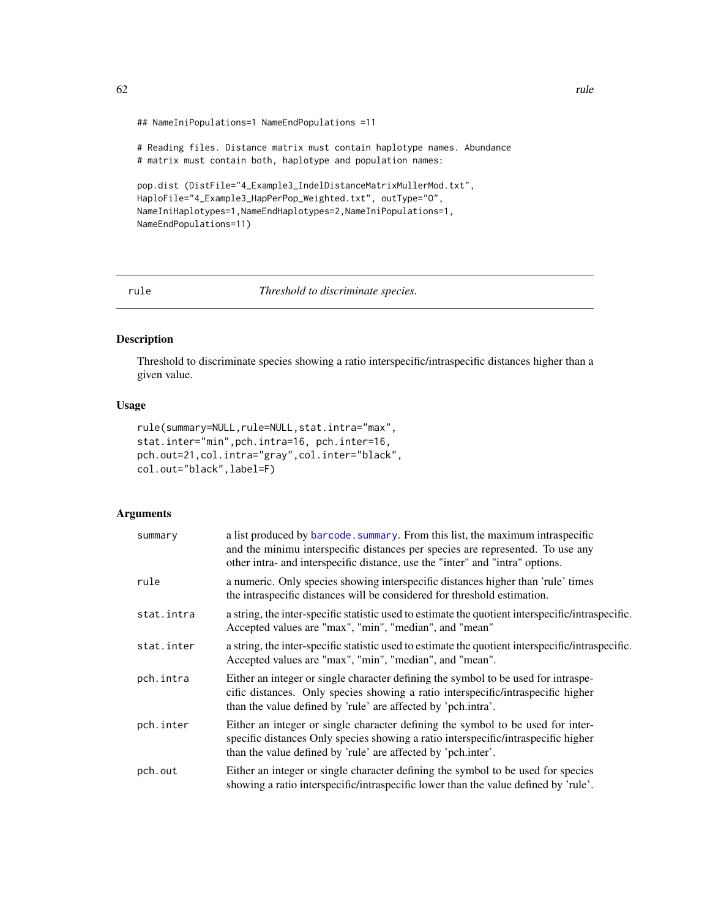```
## NameIniPopulations=1 NameEndPopulations =11
```
# Reading files. Distance matrix must contain haplotype names. Abundance # matrix must contain both, haplotype and population names:

```
pop.dist (DistFile="4_Example3_IndelDistanceMatrixMullerMod.txt",
HaploFile="4_Example3_HapPerPop_Weighted.txt", outType="O",
NameIniHaplotypes=1,NameEndHaplotypes=2,NameIniPopulations=1,
NameEndPopulations=11)
```
rule *Threshold to discriminate species.*

# Description

Threshold to discriminate species showing a ratio interspecific/intraspecific distances higher than a given value.

# Usage

```
rule(summary=NULL,rule=NULL,stat.intra="max",
stat.inter="min",pch.intra=16, pch.inter=16,
pch.out=21,col.intra="gray",col.inter="black",
col.out="black",label=F)
```
## Arguments

| summary    | a list produced by barcode. summary. From this list, the maximum intraspecific<br>and the minimu interspecific distances per species are represented. To use any<br>other intra- and interspecific distance, use the "inter" and "intra" options. |
|------------|---------------------------------------------------------------------------------------------------------------------------------------------------------------------------------------------------------------------------------------------------|
| rule       | a numeric. Only species showing interspecific distances higher than 'rule' times<br>the intraspecific distances will be considered for threshold estimation.                                                                                      |
| stat.intra | a string, the inter-specific statistic used to estimate the quotient interspecific/intraspecific.<br>Accepted values are "max", "min", "median", and "mean"                                                                                       |
| stat.inter | a string, the inter-specific statistic used to estimate the quotient interspecific/intraspecific.<br>Accepted values are "max", "min", "median", and "mean".                                                                                      |
| pch.intra  | Either an integer or single character defining the symbol to be used for intraspe-<br>cific distances. Only species showing a ratio interspecific/intraspecific higher<br>than the value defined by 'rule' are affected by 'pch.intra'.           |
| pch.inter  | Either an integer or single character defining the symbol to be used for inter-<br>specific distances Only species showing a ratio interspecific/intraspecific higher<br>than the value defined by 'rule' are affected by 'pch.inter'.            |
| pch.out    | Either an integer or single character defining the symbol to be used for species<br>showing a ratio interspecific/intraspecific lower than the value defined by 'rule'.                                                                           |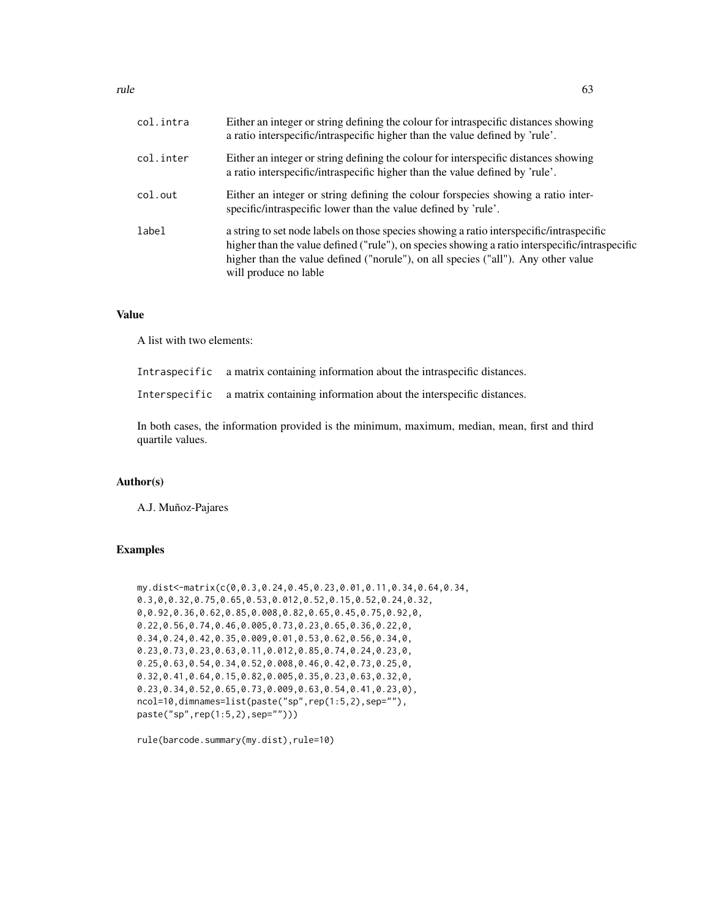| col.intra | Either an integer or string defining the colour for intraspecific distances showing<br>a ratio interspecific/intraspecific higher than the value defined by 'rule'.                                                                                                                                      |
|-----------|----------------------------------------------------------------------------------------------------------------------------------------------------------------------------------------------------------------------------------------------------------------------------------------------------------|
| col.inter | Either an integer or string defining the colour for interspecific distances showing<br>a ratio interspecific/intraspecific higher than the value defined by 'rule'.                                                                                                                                      |
| col.out   | Either an integer or string defining the colour forspecies showing a ratio inter-<br>specific/intraspecific lower than the value defined by 'rule'.                                                                                                                                                      |
| label     | a string to set node labels on those species showing a ratio interspecific/intraspecific<br>higher than the value defined ("rule"), on species showing a ratio interspecific/intraspecific<br>higher than the value defined ("norule"), on all species ("all"). Any other value<br>will produce no lable |

## Value

A list with two elements:

Intraspecific a matrix containing information about the intraspecific distances.

Interspecific a matrix containing information about the interspecific distances.

In both cases, the information provided is the minimum, maximum, median, mean, first and third quartile values.

## Author(s)

A.J. Muñoz-Pajares

## Examples

```
my.dist<-matrix(c(0,0.3,0.24,0.45,0.23,0.01,0.11,0.34,0.64,0.34,
0.3,0,0.32,0.75,0.65,0.53,0.012,0.52,0.15,0.52,0.24,0.32,
0,0.92,0.36,0.62,0.85,0.008,0.82,0.65,0.45,0.75,0.92,0,
0.22,0.56,0.74,0.46,0.005,0.73,0.23,0.65,0.36,0.22,0,
0.34,0.24,0.42,0.35,0.009,0.01,0.53,0.62,0.56,0.34,0,
0.23,0.73,0.23,0.63,0.11,0.012,0.85,0.74,0.24,0.23,0,
0.25,0.63,0.54,0.34,0.52,0.008,0.46,0.42,0.73,0.25,0,
0.32,0.41,0.64,0.15,0.82,0.005,0.35,0.23,0.63,0.32,0,
0.23,0.34,0.52,0.65,0.73,0.009,0.63,0.54,0.41,0.23,0),
ncol=10,dimnames=list(paste("sp",rep(1:5,2),sep=""),
paste("sp",rep(1:5,2),sep="")))
```
rule(barcode.summary(my.dist),rule=10)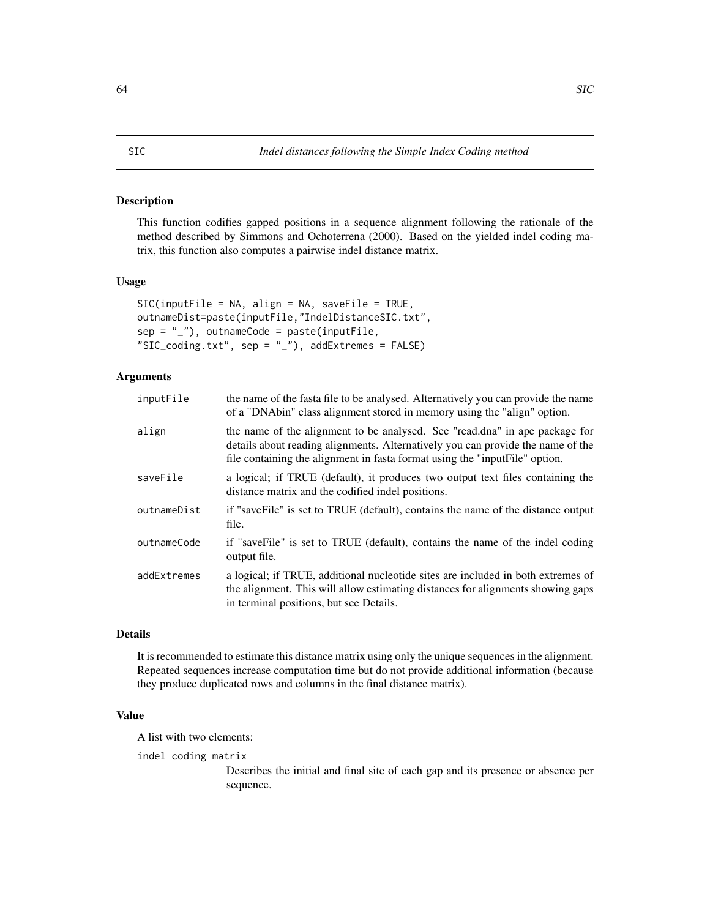## <span id="page-63-0"></span>Description

This function codifies gapped positions in a sequence alignment following the rationale of the method described by Simmons and Ochoterrena (2000). Based on the yielded indel coding matrix, this function also computes a pairwise indel distance matrix.

# Usage

```
SIC(inputFile = NA, align = NA, saveFile = TRUE,
outnameDist=paste(inputFile,"IndelDistanceSIC.txt",
sep = "''), outnameCode = paste(inputFile,
"SIC_coding.txt", sep = "_"), addExtremes = FALSE)
```
# Arguments

| inputFile   | the name of the fasta file to be analysed. Alternatively you can provide the name<br>of a "DNAbin" class alignment stored in memory using the "align" option.                                                                                 |
|-------------|-----------------------------------------------------------------------------------------------------------------------------------------------------------------------------------------------------------------------------------------------|
| align       | the name of the alignment to be analysed. See "read.dna" in ape package for<br>details about reading alignments. Alternatively you can provide the name of the<br>file containing the alignment in fasta format using the "inputFile" option. |
| saveFile    | a logical; if TRUE (default), it produces two output text files containing the<br>distance matrix and the codified indel positions.                                                                                                           |
| outnameDist | if "saveFile" is set to TRUE (default), contains the name of the distance output<br>file.                                                                                                                                                     |
| outnameCode | if "saveFile" is set to TRUE (default), contains the name of the indel coding<br>output file.                                                                                                                                                 |
| addExtremes | a logical; if TRUE, additional nucleotide sites are included in both extremes of<br>the alignment. This will allow estimating distances for alignments showing gaps<br>in terminal positions, but see Details.                                |

# Details

It is recommended to estimate this distance matrix using only the unique sequences in the alignment. Repeated sequences increase computation time but do not provide additional information (because they produce duplicated rows and columns in the final distance matrix).

# Value

A list with two elements:

indel coding matrix

Describes the initial and final site of each gap and its presence or absence per sequence.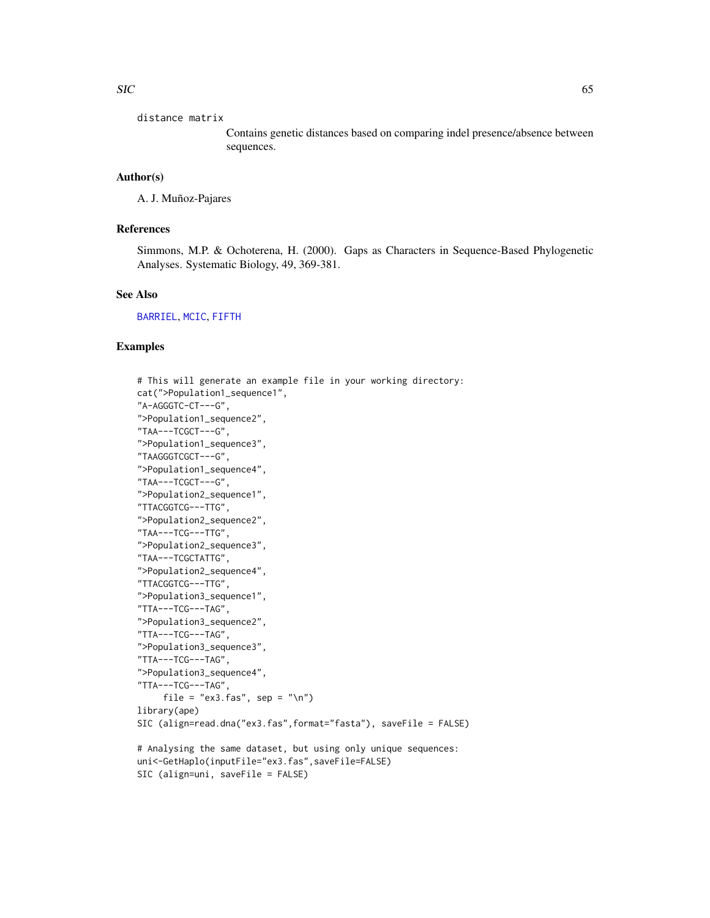distance matrix

Contains genetic distances based on comparing indel presence/absence between sequences.

# Author(s)

A. J. Muñoz-Pajares

# References

Simmons, M.P. & Ochoterena, H. (2000). Gaps as Characters in Sequence-Based Phylogenetic Analyses. Systematic Biology, 49, 369-381.

## See Also

[BARRIEL](#page-9-0), [MCIC](#page-34-0), [FIFTH](#page-22-0)

```
# This will generate an example file in your working directory:
cat(">Population1_sequence1",
"A-AGGGTC-CT---G",
">Population1_sequence2",
"TAA---TCGCT---G",
">Population1_sequence3",
"TAAGGGTCGCT---G",
">Population1_sequence4",
"TAA---TCGCT---G",
">Population2_sequence1",
"TTACGGTCG---TTG",
">Population2_sequence2",
"TAA---TCG---TTG",
">Population2_sequence3",
"TAA---TCGCTATTG",
">Population2_sequence4",
"TTACGGTCG---TTG",
">Population3_sequence1",
"TTA---TCG---TAG",
">Population3_sequence2",
"TTA---TCG---TAG",
">Population3_sequence3",
"TTA---TCG---TAG",
">Population3_sequence4",
"TTA---TCG---TAG",
    file = "ex3.fas", sep = "\n")
library(ape)
SIC (align=read.dna("ex3.fas",format="fasta"), saveFile = FALSE)
# Analysing the same dataset, but using only unique sequences:
uni<-GetHaplo(inputFile="ex3.fas",saveFile=FALSE)
SIC (align=uni, saveFile = FALSE)
```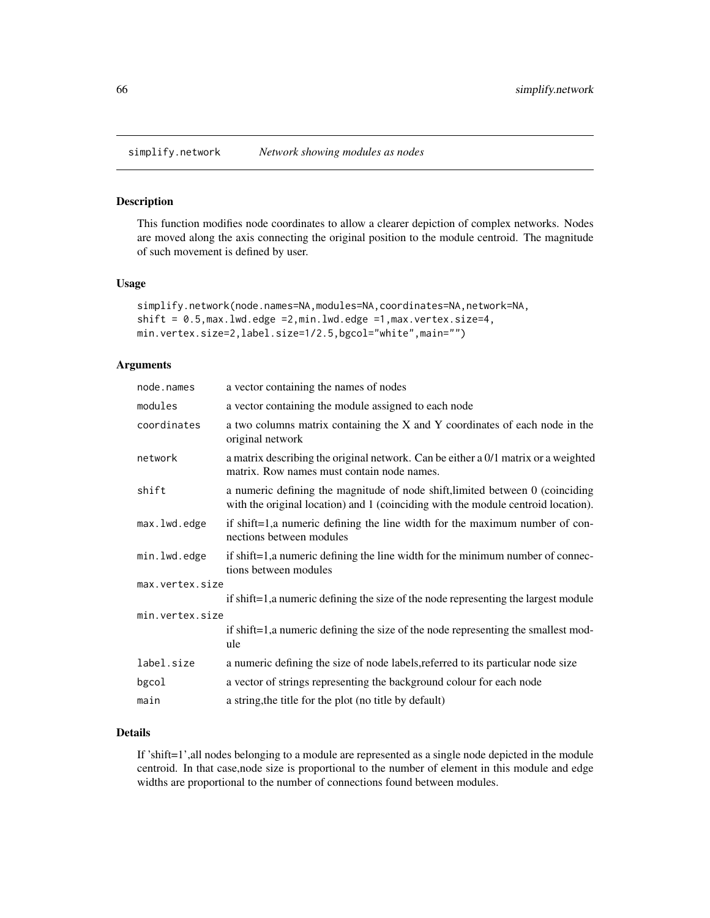## Description

This function modifies node coordinates to allow a clearer depiction of complex networks. Nodes are moved along the axis connecting the original position to the module centroid. The magnitude of such movement is defined by user.

## Usage

```
simplify.network(node.names=NA,modules=NA,coordinates=NA,network=NA,
shift = 0.5,max.lwd.edge =2,min.lwd.edge =1,max.vertex.size=4,
min.vertex.size=2,label.size=1/2.5,bgcol="white",main="")
```
# Arguments

| node.names      | a vector containing the names of nodes                                                                                                                             |  |
|-----------------|--------------------------------------------------------------------------------------------------------------------------------------------------------------------|--|
| modules         | a vector containing the module assigned to each node                                                                                                               |  |
| coordinates     | a two columns matrix containing the X and Y coordinates of each node in the<br>original network                                                                    |  |
| network         | a matrix describing the original network. Can be either a $0/1$ matrix or a weighted<br>matrix. Row names must contain node names.                                 |  |
| shift           | a numeric defining the magnitude of node shift, limited between 0 (coinciding<br>with the original location) and 1 (coinciding with the module centroid location). |  |
| max.lwd.edge    | if shift=1,a numeric defining the line width for the maximum number of con-<br>nections between modules                                                            |  |
| min.lwd.edge    | if shift=1,a numeric defining the line width for the minimum number of connec-<br>tions between modules                                                            |  |
| max.vertex.size |                                                                                                                                                                    |  |
|                 | if shift=1, a numeric defining the size of the node representing the largest module                                                                                |  |
| min.vertex.size |                                                                                                                                                                    |  |
|                 | if shift=1, a numeric defining the size of the node representing the smallest mod-<br>ule                                                                          |  |
| label.size      | a numeric defining the size of node labels, referred to its particular node size                                                                                   |  |
| bgcol           | a vector of strings representing the background colour for each node                                                                                               |  |
| main            | a string, the title for the plot (no title by default)                                                                                                             |  |

# Details

If 'shift=1',all nodes belonging to a module are represented as a single node depicted in the module centroid. In that case,node size is proportional to the number of element in this module and edge widths are proportional to the number of connections found between modules.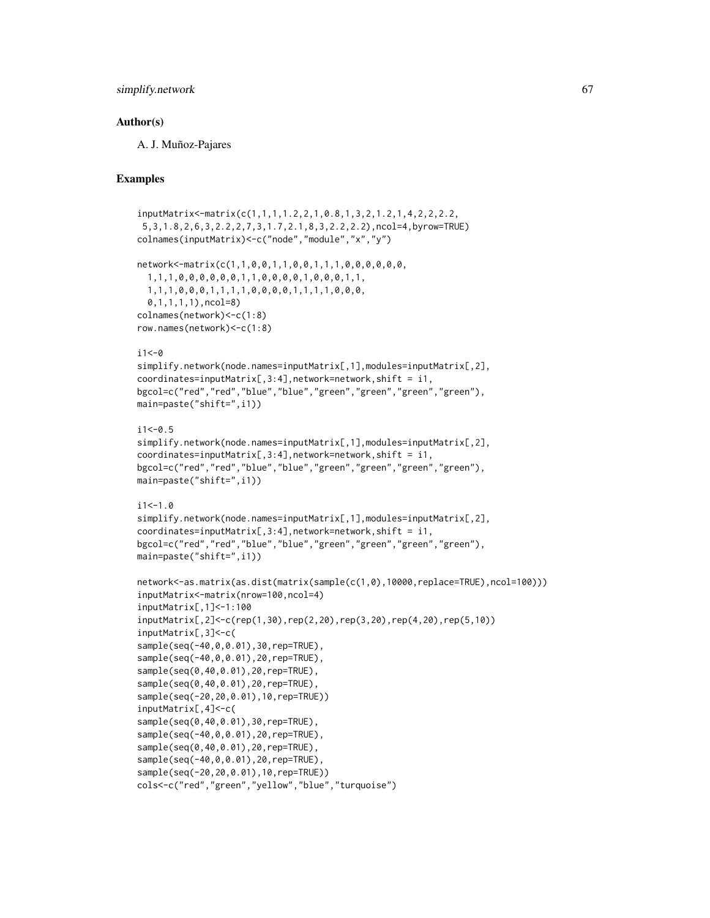## simplify.network 67

# Author(s)

A. J. Muñoz-Pajares

```
inputMatrix<-matrix(c(1,1,1,1.2,2,1,0.8,1,3,2,1.2,1,4,2,2,2.2,
5,3,1.8,2,6,3,2.2,2,7,3,1.7,2.1,8,3,2.2,2.2),ncol=4,byrow=TRUE)
colnames(inputMatrix)<-c("node","module","x","y")
network<-matrix(c(1,1,0,0,1,1,0,0,1,1,1,0,0,0,0,0,0,
 1,1,1,0,0,0,0,0,0,1,1,0,0,0,0,1,0,0,0,1,1,
 1,1,1,0,0,0,1,1,1,1,0,0,0,0,1,1,1,1,0,0,0,
 0,1,1,1,1),ncol=8)
colnames(network)<-c(1:8)
row.names(network)<-c(1:8)
i1<-0simplify.network(node.names=inputMatrix[,1],modules=inputMatrix[,2],
coordinates=inputMatrix[, 3:4], network=network, shift = i1,bgcol=c("red","red","blue","blue","green","green","green","green"),
main=paste("shift=",i1))
i1<-0.5simplify.network(node.names=inputMatrix[,1],modules=inputMatrix[,2],
coordinates=inputMatrix[, 3:4], network=network, shift = i1,bgcol=c("red","red","blue","blue","green","green","green","green"),
main=paste("shift=",i1))
i1 < -1.0simplify.network(node.names=inputMatrix[,1],modules=inputMatrix[,2],
coordinates=inputMatrix[, 3:4], network=network, shift = i1,bgcol=c("red","red","blue","blue","green","green","green","green"),
main=paste("shift=",i1))
network<-as.matrix(as.dist(matrix(sample(c(1,0),10000,replace=TRUE),ncol=100)))
inputMatrix<-matrix(nrow=100,ncol=4)
inputMatrix[,1]<-1:100
inputMatrix[,2]<-c(rep(1,30),rep(2,20),rep(3,20),rep(4,20),rep(5,10))
inputMatrix[,3]<-c(
sample(seq(-40,0,0.01),30,rep=TRUE),
sample(seq(-40,0,0.01),20,rep=TRUE),
sample(seq(0,40,0.01),20,rep=TRUE),
sample(seq(0,40,0.01),20,rep=TRUE),
sample(seq(-20,20,0.01),10,rep=TRUE))
inputMatrix[,4]<-c(
sample(seq(0,40,0.01),30,rep=TRUE),
sample(seq(-40,0,0.01),20,rep=TRUE),
sample(seq(0,40,0.01),20,rep=TRUE),
sample(seq(-40,0,0.01),20,rep=TRUE),
sample(seq(-20,20,0.01),10,rep=TRUE))
cols<-c("red","green","yellow","blue","turquoise")
```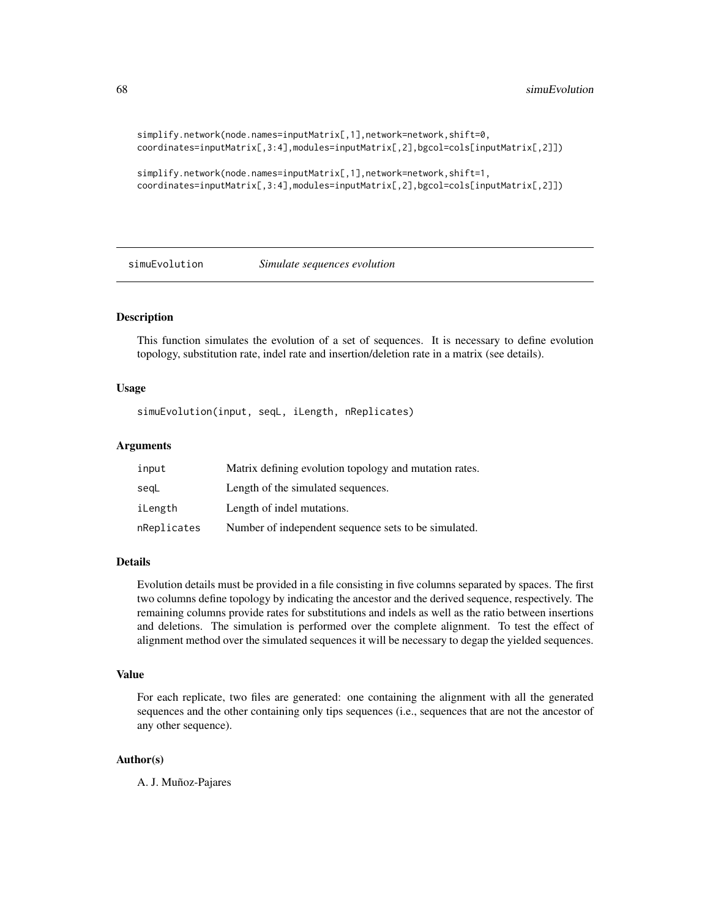```
simplify.network(node.names=inputMatrix[,1],network=network,shift=0,
coordinates=inputMatrix[,3:4],modules=inputMatrix[,2],bgcol=cols[inputMatrix[,2]])
```

```
simplify.network(node.names=inputMatrix[,1],network=network,shift=1,
coordinates=inputMatrix[,3:4],modules=inputMatrix[,2],bgcol=cols[inputMatrix[,2]])
```
simuEvolution *Simulate sequences evolution*

## Description

This function simulates the evolution of a set of sequences. It is necessary to define evolution topology, substitution rate, indel rate and insertion/deletion rate in a matrix (see details).

## Usage

simuEvolution(input, seqL, iLength, nReplicates)

## Arguments

| input       | Matrix defining evolution topology and mutation rates. |
|-------------|--------------------------------------------------------|
| segL        | Length of the simulated sequences.                     |
| iLength     | Length of indel mutations.                             |
| nReplicates | Number of independent sequence sets to be simulated.   |

# Details

Evolution details must be provided in a file consisting in five columns separated by spaces. The first two columns define topology by indicating the ancestor and the derived sequence, respectively. The remaining columns provide rates for substitutions and indels as well as the ratio between insertions and deletions. The simulation is performed over the complete alignment. To test the effect of alignment method over the simulated sequences it will be necessary to degap the yielded sequences.

## Value

For each replicate, two files are generated: one containing the alignment with all the generated sequences and the other containing only tips sequences (i.e., sequences that are not the ancestor of any other sequence).

# Author(s)

A. J. Muñoz-Pajares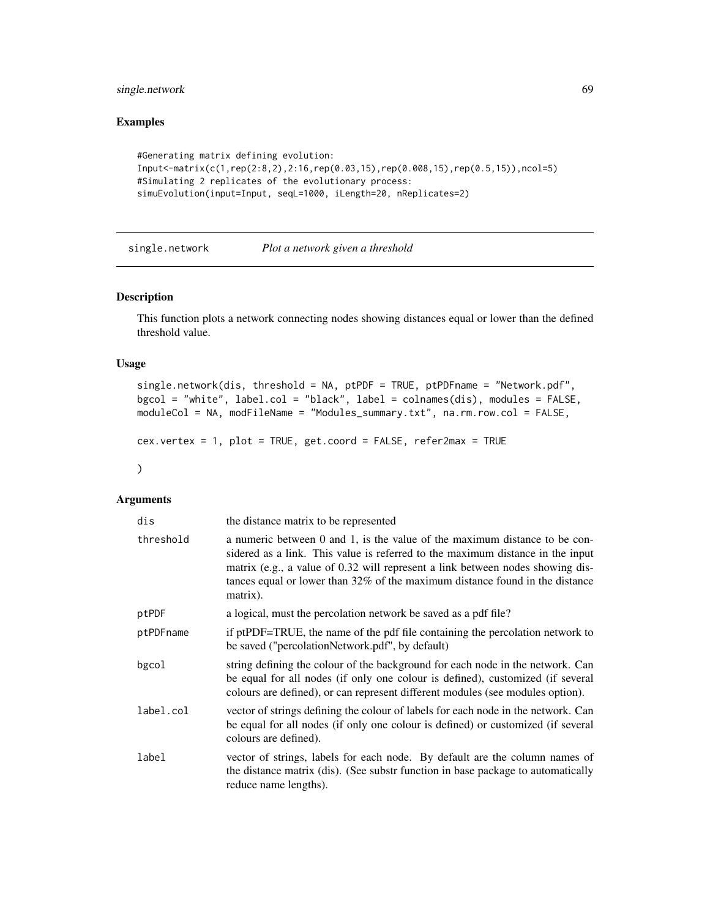# single.network 69

# Examples

```
#Generating matrix defining evolution:
Input<-matrix(c(1,rep(2:8,2),2:16,rep(0.03,15),rep(0.008,15),rep(0.5,15)),ncol=5)
#Simulating 2 replicates of the evolutionary process:
simuEvolution(input=Input, seqL=1000, iLength=20, nReplicates=2)
```
<span id="page-68-0"></span>single.network *Plot a network given a threshold*

## Description

This function plots a network connecting nodes showing distances equal or lower than the defined threshold value.

# Usage

```
single.network(dis, threshold = NA, ptPDF = TRUE, ptPDFname = "Network.pdf",
bgcol = "white", label.col = "black", label = colnames(dis), modules = FALSE,
moduleCol = NA, modFileName = "Modules_summary.txt", na.rm.row.col = FALSE,
cex.vertex = 1, plot = TRUE, get.coord = FALSE, refer2max = TRUE
```

```
)
```
# Arguments

| dis       | the distance matrix to be represented                                                                                                                                                                                                                                                                                                         |
|-----------|-----------------------------------------------------------------------------------------------------------------------------------------------------------------------------------------------------------------------------------------------------------------------------------------------------------------------------------------------|
| threshold | a numeric between 0 and 1, is the value of the maximum distance to be con-<br>sidered as a link. This value is referred to the maximum distance in the input<br>matrix (e.g., a value of 0.32 will represent a link between nodes showing dis-<br>tances equal or lower than $32\%$ of the maximum distance found in the distance<br>matrix). |
| ptPDF     | a logical, must the percolation network be saved as a pdf file?                                                                                                                                                                                                                                                                               |
| ptPDFname | if ptPDF=TRUE, the name of the pdf file containing the percolation network to<br>be saved ("percolationNetwork.pdf", by default)                                                                                                                                                                                                              |
| bgcol     | string defining the colour of the background for each node in the network. Can<br>be equal for all nodes (if only one colour is defined), customized (if several<br>colours are defined), or can represent different modules (see modules option).                                                                                            |
| label.col | vector of strings defining the colour of labels for each node in the network. Can<br>be equal for all nodes (if only one colour is defined) or customized (if several<br>colours are defined).                                                                                                                                                |
| label     | vector of strings, labels for each node. By default are the column names of<br>the distance matrix (dis). (See substr function in base package to automatically<br>reduce name lengths).                                                                                                                                                      |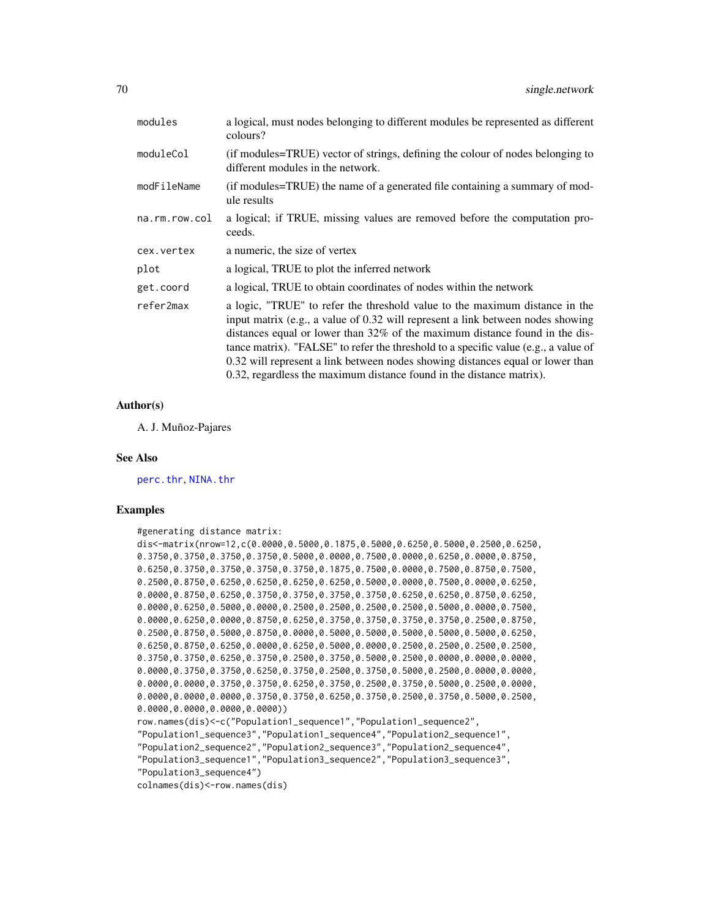| modules       | a logical, must nodes belonging to different modules be represented as different<br>colours?                                                                                                                                                                                                                                                                                                                                                                                                   |
|---------------|------------------------------------------------------------------------------------------------------------------------------------------------------------------------------------------------------------------------------------------------------------------------------------------------------------------------------------------------------------------------------------------------------------------------------------------------------------------------------------------------|
| moduleCol     | (if modules=TRUE) vector of strings, defining the colour of nodes belonging to<br>different modules in the network.                                                                                                                                                                                                                                                                                                                                                                            |
| modFileName   | (if modules=TRUE) the name of a generated file containing a summary of mod-<br>ule results                                                                                                                                                                                                                                                                                                                                                                                                     |
| na.rm.row.col | a logical; if TRUE, missing values are removed before the computation pro-<br>ceeds.                                                                                                                                                                                                                                                                                                                                                                                                           |
| cex.vertex    | a numeric, the size of vertex                                                                                                                                                                                                                                                                                                                                                                                                                                                                  |
| plot          | a logical, TRUE to plot the inferred network                                                                                                                                                                                                                                                                                                                                                                                                                                                   |
| get.coord     | a logical, TRUE to obtain coordinates of nodes within the network                                                                                                                                                                                                                                                                                                                                                                                                                              |
| refer2max     | a logic, "TRUE" to refer the threshold value to the maximum distance in the<br>input matrix (e.g., a value of 0.32 will represent a link between nodes showing<br>distances equal or lower than 32% of the maximum distance found in the dis-<br>tance matrix). "FALSE" to refer the threshold to a specific value (e.g., a value of<br>0.32 will represent a link between nodes showing distances equal or lower than<br>0.32, regardless the maximum distance found in the distance matrix). |

#### Author(s)

A. J. Muñoz-Pajares

#### See Also

[perc.thr](#page-51-0), [NINA.thr](#page-45-0)

```
#generating distance matrix:
dis<-matrix(nrow=12,c(0.0000,0.5000,0.1875,0.5000,0.6250,0.5000,0.2500,0.6250,
0.3750,0.3750,0.3750,0.3750,0.5000,0.0000,0.7500,0.0000,0.6250,0.0000,0.8750,
0.6250,0.3750,0.3750,0.3750,0.3750,0.1875,0.7500,0.0000,0.7500,0.8750,0.7500,
0.2500,0.8750,0.6250,0.6250,0.6250,0.6250,0.5000,0.0000,0.7500,0.0000,0.6250,
0.0000,0.8750,0.6250,0.3750,0.3750,0.3750,0.3750,0.6250,0.6250,0.8750,0.6250,
0.0000,0.6250,0.5000,0.0000,0.2500,0.2500,0.2500,0.2500,0.5000,0.0000,0.7500,
0.0000,0.6250,0.0000,0.8750,0.6250,0.3750,0.3750,0.3750,0.3750,0.2500,0.8750,
0.2500,0.8750,0.5000,0.8750,0.0000,0.5000,0.5000,0.5000,0.5000,0.5000,0.6250,
0.6250,0.8750,0.6250,0.0000,0.6250,0.5000,0.0000,0.2500,0.2500,0.2500,0.2500,
0.3750,0.3750,0.6250,0.3750,0.2500,0.3750,0.5000,0.2500,0.0000,0.0000,0.0000,
0.0000,0.3750,0.3750,0.6250,0.3750,0.2500,0.3750,0.5000,0.2500,0.0000,0.0000,
0.0000,0.0000,0.3750,0.3750,0.6250,0.3750,0.2500,0.3750,0.5000,0.2500,0.0000,
0.0000,0.0000,0.0000,0.3750,0.3750,0.6250,0.3750,0.2500,0.3750,0.5000,0.2500,
0.0000,0.0000,0.0000,0.0000))
row.names(dis)<-c("Population1_sequence1","Population1_sequence2",
"Population1_sequence3","Population1_sequence4","Population2_sequence1",
"Population2_sequence2","Population2_sequence3","Population2_sequence4",
"Population3_sequence1","Population3_sequence2","Population3_sequence3",
"Population3_sequence4")
colnames(dis)<-row.names(dis)
```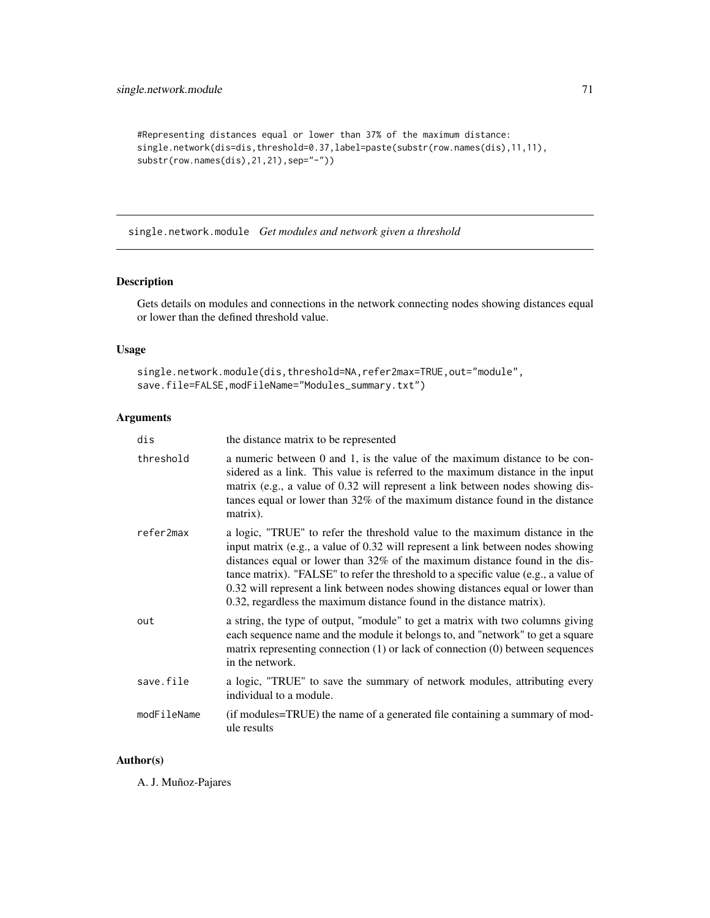```
#Representing distances equal or lower than 37% of the maximum distance:
single.network(dis=dis,threshold=0.37,label=paste(substr(row.names(dis),11,11),
substr(row.names(dis), 21, 21), sep="-"))
```
single.network.module *Get modules and network given a threshold*

# Description

Gets details on modules and connections in the network connecting nodes showing distances equal or lower than the defined threshold value.

## Usage

```
single.network.module(dis,threshold=NA,refer2max=TRUE,out="module",
save.file=FALSE,modFileName="Modules_summary.txt")
```
# Arguments

| dis         | the distance matrix to be represented                                                                                                                                                                                                                                                                                                                                                                                                                                                          |
|-------------|------------------------------------------------------------------------------------------------------------------------------------------------------------------------------------------------------------------------------------------------------------------------------------------------------------------------------------------------------------------------------------------------------------------------------------------------------------------------------------------------|
| threshold   | a numeric between 0 and 1, is the value of the maximum distance to be con-<br>sidered as a link. This value is referred to the maximum distance in the input<br>matrix (e.g., a value of 0.32 will represent a link between nodes showing dis-<br>tances equal or lower than 32% of the maximum distance found in the distance<br>matrix).                                                                                                                                                     |
| refer2max   | a logic, "TRUE" to refer the threshold value to the maximum distance in the<br>input matrix (e.g., a value of 0.32 will represent a link between nodes showing<br>distances equal or lower than 32% of the maximum distance found in the dis-<br>tance matrix). "FALSE" to refer the threshold to a specific value (e.g., a value of<br>0.32 will represent a link between nodes showing distances equal or lower than<br>0.32, regardless the maximum distance found in the distance matrix). |
| out         | a string, the type of output, "module" to get a matrix with two columns giving<br>each sequence name and the module it belongs to, and "network" to get a square<br>matrix representing connection $(1)$ or lack of connection $(0)$ between sequences<br>in the network.                                                                                                                                                                                                                      |
| save.file   | a logic, "TRUE" to save the summary of network modules, attributing every<br>individual to a module.                                                                                                                                                                                                                                                                                                                                                                                           |
| modFileName | (if modules=TRUE) the name of a generated file containing a summary of mod-<br>ule results                                                                                                                                                                                                                                                                                                                                                                                                     |

# Author(s)

A. J. Muñoz-Pajares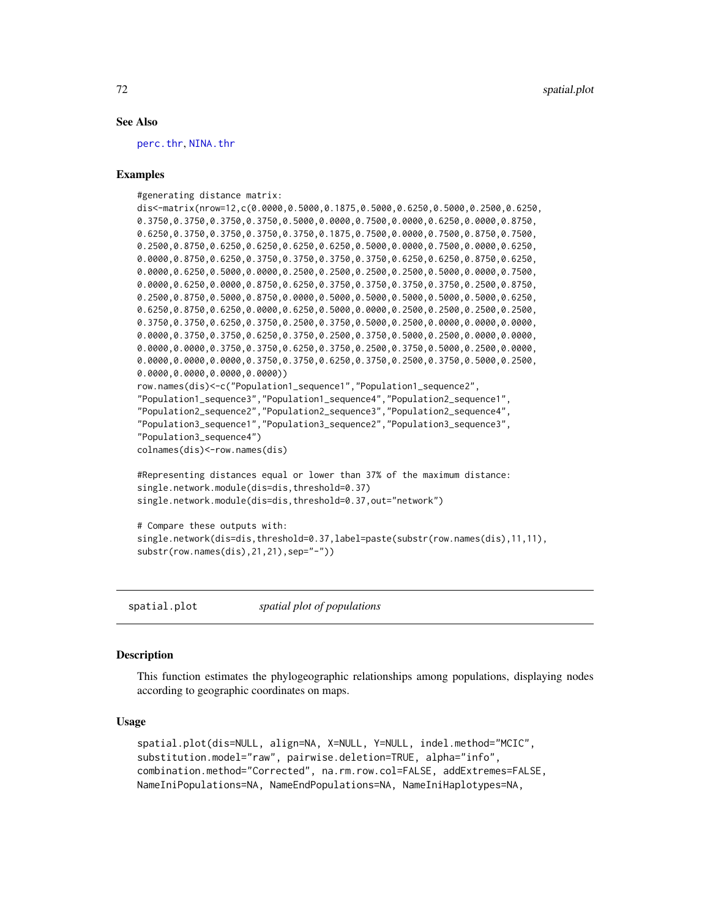## See Also

[perc.thr](#page-51-0), [NINA.thr](#page-45-0)

## Examples

#generating distance matrix:

```
dis<-matrix(nrow=12,c(0.0000,0.5000,0.1875,0.5000,0.6250,0.5000,0.2500,0.6250,
0.3750,0.3750,0.3750,0.3750,0.5000,0.0000,0.7500,0.0000,0.6250,0.0000,0.8750,
0.6250,0.3750,0.3750,0.3750,0.3750,0.1875,0.7500,0.0000,0.7500,0.8750,0.7500,
0.2500,0.8750,0.6250,0.6250,0.6250,0.6250,0.5000,0.0000,0.7500,0.0000,0.6250,
0.0000,0.8750,0.6250,0.3750,0.3750,0.3750,0.3750,0.6250,0.6250,0.8750,0.6250,
0.0000,0.6250,0.5000,0.0000,0.2500,0.2500,0.2500,0.2500,0.5000,0.0000,0.7500,
0.0000,0.6250,0.0000,0.8750,0.6250,0.3750,0.3750,0.3750,0.3750,0.2500,0.8750,
0.2500,0.8750,0.5000,0.8750,0.0000,0.5000,0.5000,0.5000,0.5000,0.5000,0.6250,
0.6250,0.8750,0.6250,0.0000,0.6250,0.5000,0.0000,0.2500,0.2500,0.2500,0.2500,
0.3750,0.3750,0.6250,0.3750,0.2500,0.3750,0.5000,0.2500,0.0000,0.0000,0.0000,
0.0000,0.3750,0.3750,0.6250,0.3750,0.2500,0.3750,0.5000,0.2500,0.0000,0.0000,
0.0000,0.0000,0.3750,0.3750,0.6250,0.3750,0.2500,0.3750,0.5000,0.2500,0.0000,
0.0000,0.0000,0.0000,0.3750,0.3750,0.6250,0.3750,0.2500,0.3750,0.5000,0.2500,
0.0000,0.0000,0.0000,0.0000))
row.names(dis)<-c("Population1_sequence1","Population1_sequence2",
"Population1_sequence3","Population1_sequence4","Population2_sequence1",
"Population2_sequence2","Population2_sequence3","Population2_sequence4",
"Population3_sequence1","Population3_sequence2","Population3_sequence3",
"Population3_sequence4")
colnames(dis)<-row.names(dis)
#Representing distances equal or lower than 37% of the maximum distance:
```

```
single.network.module(dis=dis,threshold=0.37)
single.network.module(dis=dis,threshold=0.37,out="network")
```

```
# Compare these outputs with:
single.network(dis=dis,threshold=0.37,label=paste(substr(row.names(dis),11,11),
substr(row.names(dis),21,21),sep="-"))
```
spatial.plot *spatial plot of populations*

## Description

This function estimates the phylogeographic relationships among populations, displaying nodes according to geographic coordinates on maps.

## Usage

```
spatial.plot(dis=NULL, align=NA, X=NULL, Y=NULL, indel.method="MCIC",
substitution.model="raw", pairwise.deletion=TRUE, alpha="info",
combination.method="Corrected", na.rm.row.col=FALSE, addExtremes=FALSE,
NameIniPopulations=NA, NameEndPopulations=NA, NameIniHaplotypes=NA,
```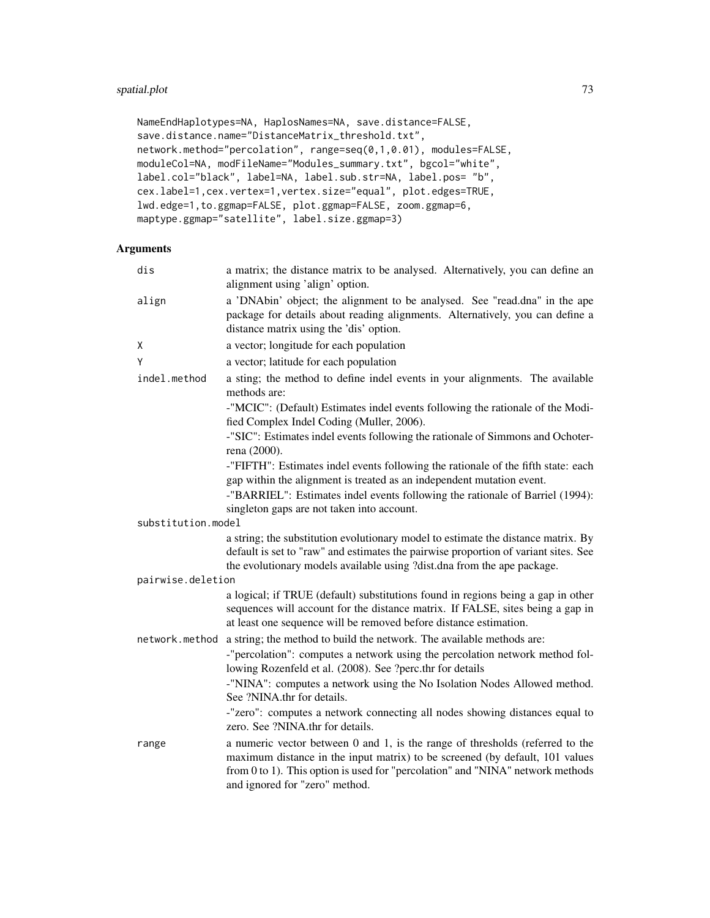```
NameEndHaplotypes=NA, HaplosNames=NA, save.distance=FALSE,
save.distance.name="DistanceMatrix_threshold.txt",
network.method="percolation", range=seq(0,1,0.01), modules=FALSE,
moduleCol=NA, modFileName="Modules_summary.txt", bgcol="white",
label.col="black", label=NA, label.sub.str=NA, label.pos= "b",
cex.label=1,cex.vertex=1,vertex.size="equal", plot.edges=TRUE,
lwd.edge=1,to.ggmap=FALSE, plot.ggmap=FALSE, zoom.ggmap=6,
maptype.ggmap="satellite", label.size.ggmap=3)
```
## Arguments

| dis                | a matrix; the distance matrix to be analysed. Alternatively, you can define an<br>alignment using 'align' option.                                                                                                                                                                                                                                                                                           |
|--------------------|-------------------------------------------------------------------------------------------------------------------------------------------------------------------------------------------------------------------------------------------------------------------------------------------------------------------------------------------------------------------------------------------------------------|
| align              | a 'DNAbin' object; the alignment to be analysed. See "read.dna" in the ape<br>package for details about reading alignments. Alternatively, you can define a<br>distance matrix using the 'dis' option.                                                                                                                                                                                                      |
| X                  | a vector; longitude for each population                                                                                                                                                                                                                                                                                                                                                                     |
| Y                  | a vector; latitude for each population                                                                                                                                                                                                                                                                                                                                                                      |
| indel.method       | a sting; the method to define indel events in your alignments. The available<br>methods are:                                                                                                                                                                                                                                                                                                                |
|                    | -"MCIC": (Default) Estimates indel events following the rationale of the Modi-<br>fied Complex Indel Coding (Muller, 2006).                                                                                                                                                                                                                                                                                 |
|                    | -"SIC": Estimates indel events following the rationale of Simmons and Ochoter-<br>rena (2000).                                                                                                                                                                                                                                                                                                              |
|                    | -"FIFTH": Estimates indel events following the rationale of the fifth state: each<br>gap within the alignment is treated as an independent mutation event.<br>-"BARRIEL": Estimates indel events following the rationale of Barriel (1994):<br>singleton gaps are not taken into account.                                                                                                                   |
| substitution.model |                                                                                                                                                                                                                                                                                                                                                                                                             |
|                    | a string; the substitution evolutionary model to estimate the distance matrix. By<br>default is set to "raw" and estimates the pairwise proportion of variant sites. See<br>the evolutionary models available using ?dist.dna from the ape package.                                                                                                                                                         |
| pairwise.deletion  |                                                                                                                                                                                                                                                                                                                                                                                                             |
|                    | a logical; if TRUE (default) substitutions found in regions being a gap in other<br>sequences will account for the distance matrix. If FALSE, sites being a gap in<br>at least one sequence will be removed before distance estimation.                                                                                                                                                                     |
| network.method     | a string; the method to build the network. The available methods are:<br>-"percolation": computes a network using the percolation network method fol-<br>lowing Rozenfeld et al. (2008). See ?perc.thr for details<br>-"NINA": computes a network using the No Isolation Nodes Allowed method.<br>See ?NINA.thr for details.<br>-"zero": computes a network connecting all nodes showing distances equal to |
|                    | zero. See ?NINA.thr for details.                                                                                                                                                                                                                                                                                                                                                                            |
| range              | a numeric vector between 0 and 1, is the range of thresholds (referred to the<br>maximum distance in the input matrix) to be screened (by default, 101 values<br>from 0 to 1). This option is used for "percolation" and "NINA" network methods<br>and ignored for "zero" method.                                                                                                                           |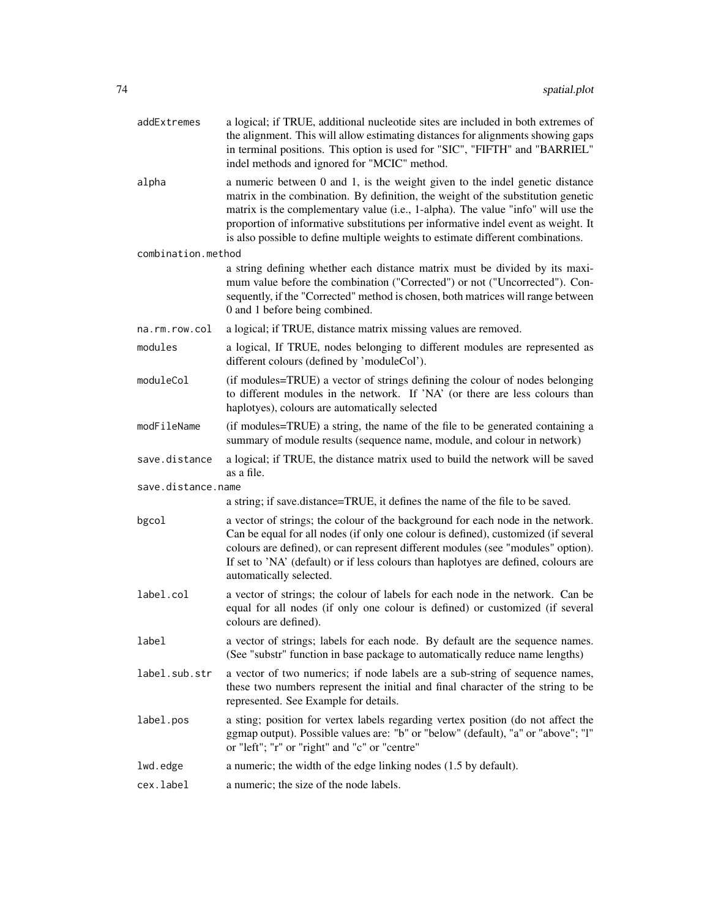| addExtremes        | a logical; if TRUE, additional nucleotide sites are included in both extremes of<br>the alignment. This will allow estimating distances for alignments showing gaps<br>in terminal positions. This option is used for "SIC", "FIFTH" and "BARRIEL"<br>indel methods and ignored for "MCIC" method.                                                                                                                           |
|--------------------|------------------------------------------------------------------------------------------------------------------------------------------------------------------------------------------------------------------------------------------------------------------------------------------------------------------------------------------------------------------------------------------------------------------------------|
| alpha              | a numeric between 0 and 1, is the weight given to the indel genetic distance<br>matrix in the combination. By definition, the weight of the substitution genetic<br>matrix is the complementary value (i.e., 1-alpha). The value "info" will use the<br>proportion of informative substitutions per informative indel event as weight. It<br>is also possible to define multiple weights to estimate different combinations. |
| combination.method |                                                                                                                                                                                                                                                                                                                                                                                                                              |
|                    | a string defining whether each distance matrix must be divided by its maxi-<br>mum value before the combination ("Corrected") or not ("Uncorrected"). Con-<br>sequently, if the "Corrected" method is chosen, both matrices will range between<br>0 and 1 before being combined.                                                                                                                                             |
| na.rm.row.col      | a logical; if TRUE, distance matrix missing values are removed.                                                                                                                                                                                                                                                                                                                                                              |
| modules            | a logical, If TRUE, nodes belonging to different modules are represented as<br>different colours (defined by 'moduleCol').                                                                                                                                                                                                                                                                                                   |
| moduleCol          | (if modules=TRUE) a vector of strings defining the colour of nodes belonging<br>to different modules in the network. If 'NA' (or there are less colours than<br>haplotyes), colours are automatically selected                                                                                                                                                                                                               |
| modFileName        | (if modules=TRUE) a string, the name of the file to be generated containing a<br>summary of module results (sequence name, module, and colour in network)                                                                                                                                                                                                                                                                    |
| save.distance      | a logical; if TRUE, the distance matrix used to build the network will be saved<br>as a file.                                                                                                                                                                                                                                                                                                                                |
| save.distance.name |                                                                                                                                                                                                                                                                                                                                                                                                                              |
|                    | a string; if save.distance=TRUE, it defines the name of the file to be saved.                                                                                                                                                                                                                                                                                                                                                |
| bgcol              | a vector of strings; the colour of the background for each node in the network.<br>Can be equal for all nodes (if only one colour is defined), customized (if several<br>colours are defined), or can represent different modules (see "modules" option).<br>If set to 'NA' (default) or if less colours than haplotyes are defined, colours are<br>automatically selected.                                                  |
| label.col          | a vector of strings; the colour of labels for each node in the network. Can be<br>equal for all nodes (if only one colour is defined) or customized (if several<br>colours are defined).                                                                                                                                                                                                                                     |
| label              | a vector of strings; labels for each node. By default are the sequence names.<br>(See "substr" function in base package to automatically reduce name lengths)                                                                                                                                                                                                                                                                |
| label.sub.str      | a vector of two numerics; if node labels are a sub-string of sequence names,<br>these two numbers represent the initial and final character of the string to be<br>represented. See Example for details.                                                                                                                                                                                                                     |
| label.pos          | a sting; position for vertex labels regarding vertex position (do not affect the<br>ggmap output). Possible values are: "b" or "below" (default), "a" or "above"; "l"<br>or "left"; "r" or "right" and "c" or "centre"                                                                                                                                                                                                       |
| lwd.edge           | a numeric; the width of the edge linking nodes (1.5 by default).                                                                                                                                                                                                                                                                                                                                                             |
| cex.label          | a numeric; the size of the node labels.                                                                                                                                                                                                                                                                                                                                                                                      |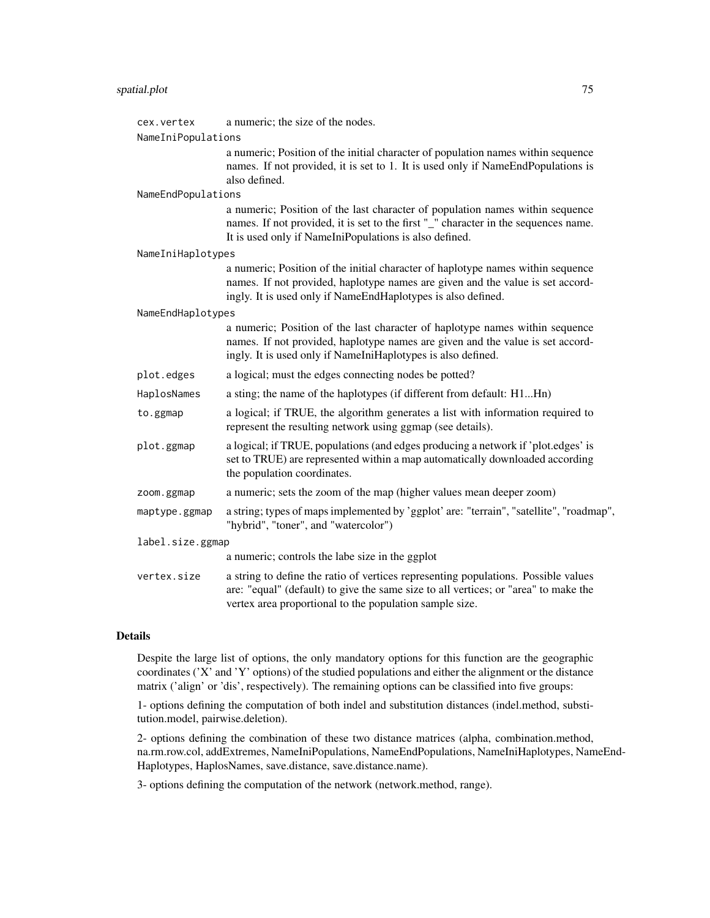## spatial.plot 75

| cex.vertex         | a numeric; the size of the nodes.                                                                                                                                                                                                    |  |
|--------------------|--------------------------------------------------------------------------------------------------------------------------------------------------------------------------------------------------------------------------------------|--|
| NameIniPopulations |                                                                                                                                                                                                                                      |  |
|                    | a numeric; Position of the initial character of population names within sequence<br>names. If not provided, it is set to 1. It is used only if NameEndPopulations is<br>also defined.                                                |  |
| NameEndPopulations |                                                                                                                                                                                                                                      |  |
|                    | a numeric; Position of the last character of population names within sequence<br>names. If not provided, it is set to the first "_" character in the sequences name.<br>It is used only if NameIniPopulations is also defined.       |  |
| NameIniHaplotypes  |                                                                                                                                                                                                                                      |  |
|                    | a numeric; Position of the initial character of haplotype names within sequence<br>names. If not provided, haplotype names are given and the value is set accord-<br>ingly. It is used only if NameEndHaplotypes is also defined.    |  |
| NameEndHaplotypes  |                                                                                                                                                                                                                                      |  |
|                    | a numeric; Position of the last character of haplotype names within sequence<br>names. If not provided, haplotype names are given and the value is set accord-<br>ingly. It is used only if NameIniHaplotypes is also defined.       |  |
| plot.edges         | a logical; must the edges connecting nodes be potted?                                                                                                                                                                                |  |
| HaplosNames        | a sting; the name of the haplotypes (if different from default: H1Hn)                                                                                                                                                                |  |
| to.ggmap           | a logical; if TRUE, the algorithm generates a list with information required to<br>represent the resulting network using ggmap (see details).                                                                                        |  |
| plot.ggmap         | a logical; if TRUE, populations (and edges producing a network if 'plot.edges' is<br>set to TRUE) are represented within a map automatically downloaded according<br>the population coordinates.                                     |  |
| zoom.ggmap         | a numeric; sets the zoom of the map (higher values mean deeper zoom)                                                                                                                                                                 |  |
| maptype.ggmap      | a string; types of maps implemented by 'ggplot' are: "terrain", "satellite", "roadmap",<br>"hybrid", "toner", and "watercolor")                                                                                                      |  |
| label.size.ggmap   |                                                                                                                                                                                                                                      |  |
|                    | a numeric; controls the labe size in the ggplot                                                                                                                                                                                      |  |
| vertex.size        | a string to define the ratio of vertices representing populations. Possible values<br>are: "equal" (default) to give the same size to all vertices; or "area" to make the<br>vertex area proportional to the population sample size. |  |

## Details

Despite the large list of options, the only mandatory options for this function are the geographic coordinates ('X' and 'Y' options) of the studied populations and either the alignment or the distance matrix ('align' or 'dis', respectively). The remaining options can be classified into five groups:

1- options defining the computation of both indel and substitution distances (indel.method, substitution.model, pairwise.deletion).

2- options defining the combination of these two distance matrices (alpha, combination.method, na.rm.row.col, addExtremes, NameIniPopulations, NameEndPopulations, NameIniHaplotypes, NameEnd-Haplotypes, HaplosNames, save.distance, save.distance.name).

3- options defining the computation of the network (network.method, range).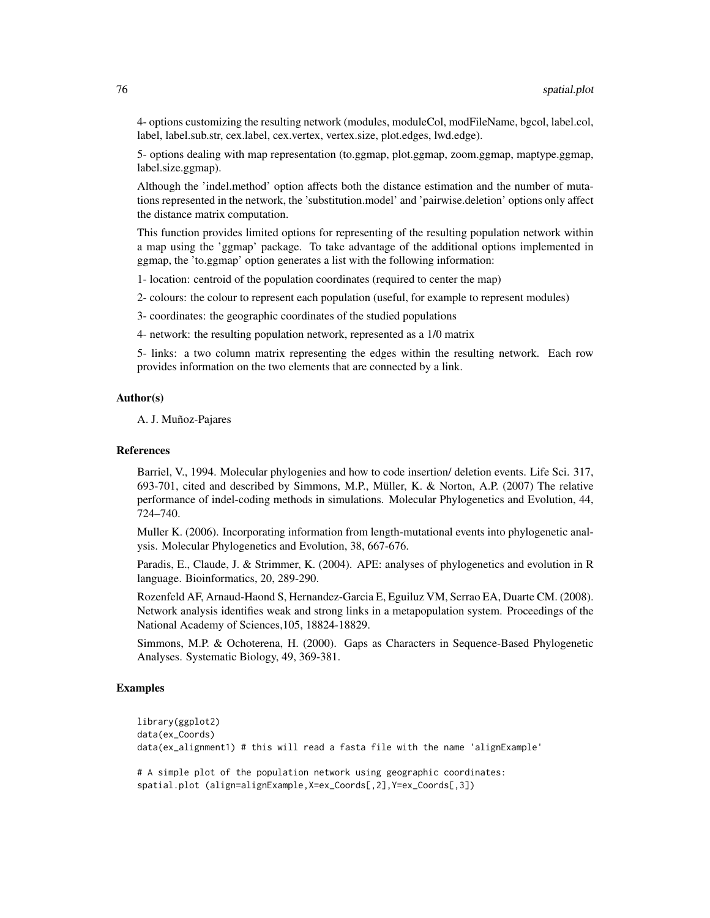4- options customizing the resulting network (modules, moduleCol, modFileName, bgcol, label.col, label, label.sub.str, cex.label, cex.vertex, vertex.size, plot.edges, lwd.edge).

5- options dealing with map representation (to.ggmap, plot.ggmap, zoom.ggmap, maptype.ggmap, label.size.ggmap).

Although the 'indel.method' option affects both the distance estimation and the number of mutations represented in the network, the 'substitution.model' and 'pairwise.deletion' options only affect the distance matrix computation.

This function provides limited options for representing of the resulting population network within a map using the 'ggmap' package. To take advantage of the additional options implemented in ggmap, the 'to.ggmap' option generates a list with the following information:

1- location: centroid of the population coordinates (required to center the map)

2- colours: the colour to represent each population (useful, for example to represent modules)

3- coordinates: the geographic coordinates of the studied populations

4- network: the resulting population network, represented as a 1/0 matrix

5- links: a two column matrix representing the edges within the resulting network. Each row provides information on the two elements that are connected by a link.

#### Author(s)

A. J. Muñoz-Pajares

#### References

Barriel, V., 1994. Molecular phylogenies and how to code insertion/ deletion events. Life Sci. 317, 693-701, cited and described by Simmons, M.P., Müller, K. & Norton, A.P. (2007) The relative performance of indel-coding methods in simulations. Molecular Phylogenetics and Evolution, 44, 724–740.

Muller K. (2006). Incorporating information from length-mutational events into phylogenetic analysis. Molecular Phylogenetics and Evolution, 38, 667-676.

Paradis, E., Claude, J. & Strimmer, K. (2004). APE: analyses of phylogenetics and evolution in R language. Bioinformatics, 20, 289-290.

Rozenfeld AF, Arnaud-Haond S, Hernandez-Garcia E, Eguiluz VM, Serrao EA, Duarte CM. (2008). Network analysis identifies weak and strong links in a metapopulation system. Proceedings of the National Academy of Sciences,105, 18824-18829.

Simmons, M.P. & Ochoterena, H. (2000). Gaps as Characters in Sequence-Based Phylogenetic Analyses. Systematic Biology, 49, 369-381.

## Examples

```
library(ggplot2)
data(ex_Coords)
data(ex_alignment1) # this will read a fasta file with the name 'alignExample'
```

```
# A simple plot of the population network using geographic coordinates:
spatial.plot (align=alignExample,X=ex_Coords[,2],Y=ex_Coords[,3])
```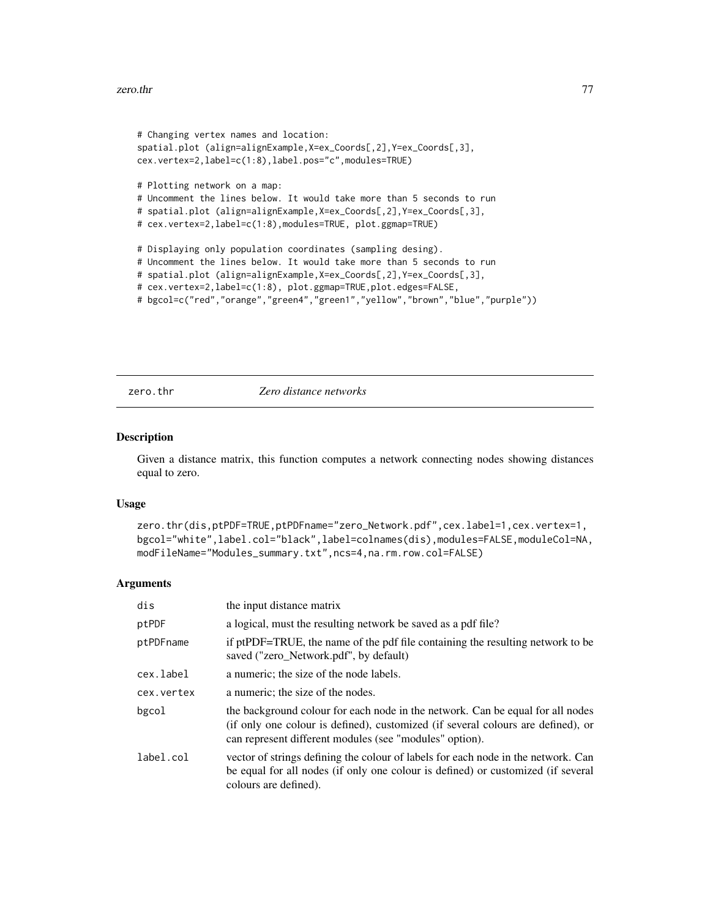#### <span id="page-76-0"></span>zero.thr 77

```
# Changing vertex names and location:
spatial.plot (align=alignExample,X=ex_Coords[,2],Y=ex_Coords[,3],
cex.vertex=2,label=c(1:8),label.pos="c",modules=TRUE)
# Plotting network on a map:
# Uncomment the lines below. It would take more than 5 seconds to run
# spatial.plot (align=alignExample,X=ex_Coords[,2],Y=ex_Coords[,3],
# cex.vertex=2,label=c(1:8),modules=TRUE, plot.ggmap=TRUE)
# Displaying only population coordinates (sampling desing).
# Uncomment the lines below. It would take more than 5 seconds to run
# spatial.plot (align=alignExample,X=ex_Coords[,2],Y=ex_Coords[,3],
# cex.vertex=2,label=c(1:8), plot.ggmap=TRUE,plot.edges=FALSE,
# bgcol=c("red","orange","green4","green1","yellow","brown","blue","purple"))
```
zero.thr *Zero distance networks*

#### **Description**

Given a distance matrix, this function computes a network connecting nodes showing distances equal to zero.

#### Usage

```
zero.thr(dis,ptPDF=TRUE,ptPDFname="zero_Network.pdf",cex.label=1,cex.vertex=1,
bgcol="white",label.col="black",label=colnames(dis),modules=FALSE,moduleCol=NA,
modFileName="Modules_summary.txt",ncs=4,na.rm.row.col=FALSE)
```
#### Arguments

| dis        | the input distance matrix                                                                                                                                                                                                     |
|------------|-------------------------------------------------------------------------------------------------------------------------------------------------------------------------------------------------------------------------------|
| ptPDF      | a logical, must the resulting network be saved as a pdf file?                                                                                                                                                                 |
| ptPDFname  | if ptPDF=TRUE, the name of the pdf file containing the resulting network to be<br>saved ("zero_Network.pdf", by default)                                                                                                      |
| cex.label  | a numeric; the size of the node labels.                                                                                                                                                                                       |
| cex.vertex | a numeric; the size of the nodes.                                                                                                                                                                                             |
| bgcol      | the background colour for each node in the network. Can be equal for all nodes<br>(if only one colour is defined), customized (if several colours are defined), or<br>can represent different modules (see "modules" option). |
| label.col  | vector of strings defining the colour of labels for each node in the network. Can<br>be equal for all nodes (if only one colour is defined) or customized (if several<br>colours are defined).                                |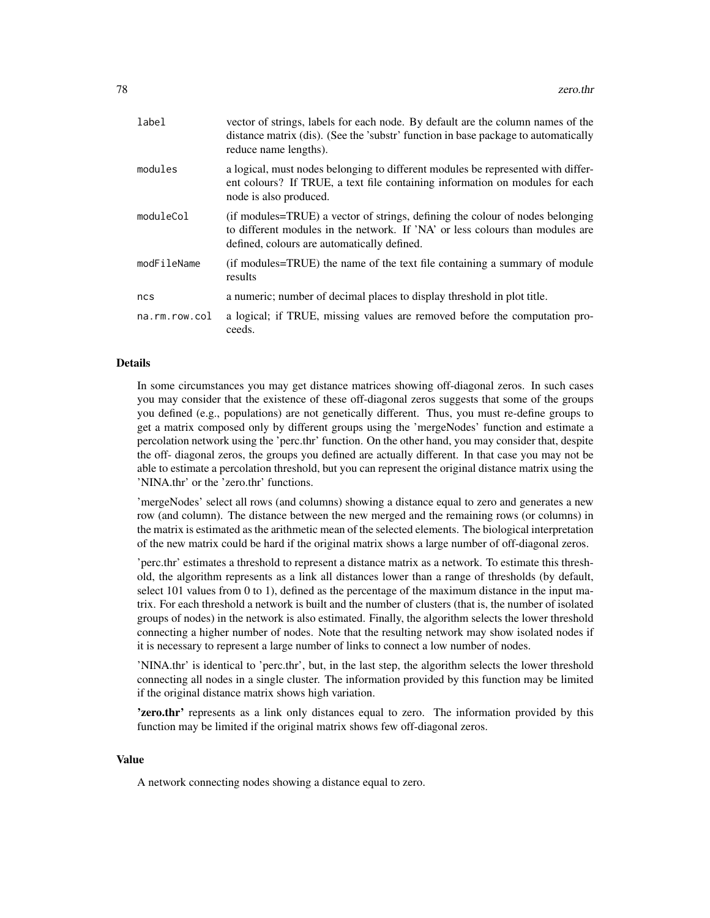| label         | vector of strings, labels for each node. By default are the column names of the<br>distance matrix (dis). (See the 'substr' function in base package to automatically<br>reduce name lengths).                |
|---------------|---------------------------------------------------------------------------------------------------------------------------------------------------------------------------------------------------------------|
| modules       | a logical, must nodes belonging to different modules be represented with differ-<br>ent colours? If TRUE, a text file containing information on modules for each<br>node is also produced.                    |
| moduleCol     | (if modules=TRUE) a vector of strings, defining the colour of nodes belonging<br>to different modules in the network. If 'NA' or less colours than modules are<br>defined, colours are automatically defined. |
| modFileName   | (if modules=TRUE) the name of the text file containing a summary of module<br>results                                                                                                                         |
| ncs           | a numeric; number of decimal places to display threshold in plot title.                                                                                                                                       |
| na.rm.row.col | a logical; if TRUE, missing values are removed before the computation pro-<br>ceeds.                                                                                                                          |

#### Details

In some circumstances you may get distance matrices showing off-diagonal zeros. In such cases you may consider that the existence of these off-diagonal zeros suggests that some of the groups you defined (e.g., populations) are not genetically different. Thus, you must re-define groups to get a matrix composed only by different groups using the 'mergeNodes' function and estimate a percolation network using the 'perc.thr' function. On the other hand, you may consider that, despite the off- diagonal zeros, the groups you defined are actually different. In that case you may not be able to estimate a percolation threshold, but you can represent the original distance matrix using the 'NINA.thr' or the 'zero.thr' functions.

'mergeNodes' select all rows (and columns) showing a distance equal to zero and generates a new row (and column). The distance between the new merged and the remaining rows (or columns) in the matrix is estimated as the arithmetic mean of the selected elements. The biological interpretation of the new matrix could be hard if the original matrix shows a large number of off-diagonal zeros.

'perc.thr' estimates a threshold to represent a distance matrix as a network. To estimate this threshold, the algorithm represents as a link all distances lower than a range of thresholds (by default, select 101 values from 0 to 1), defined as the percentage of the maximum distance in the input matrix. For each threshold a network is built and the number of clusters (that is, the number of isolated groups of nodes) in the network is also estimated. Finally, the algorithm selects the lower threshold connecting a higher number of nodes. Note that the resulting network may show isolated nodes if it is necessary to represent a large number of links to connect a low number of nodes.

'NINA.thr' is identical to 'perc.thr', but, in the last step, the algorithm selects the lower threshold connecting all nodes in a single cluster. The information provided by this function may be limited if the original distance matrix shows high variation.

**'zero.thr'** represents as a link only distances equal to zero. The information provided by this function may be limited if the original matrix shows few off-diagonal zeros.

## Value

A network connecting nodes showing a distance equal to zero.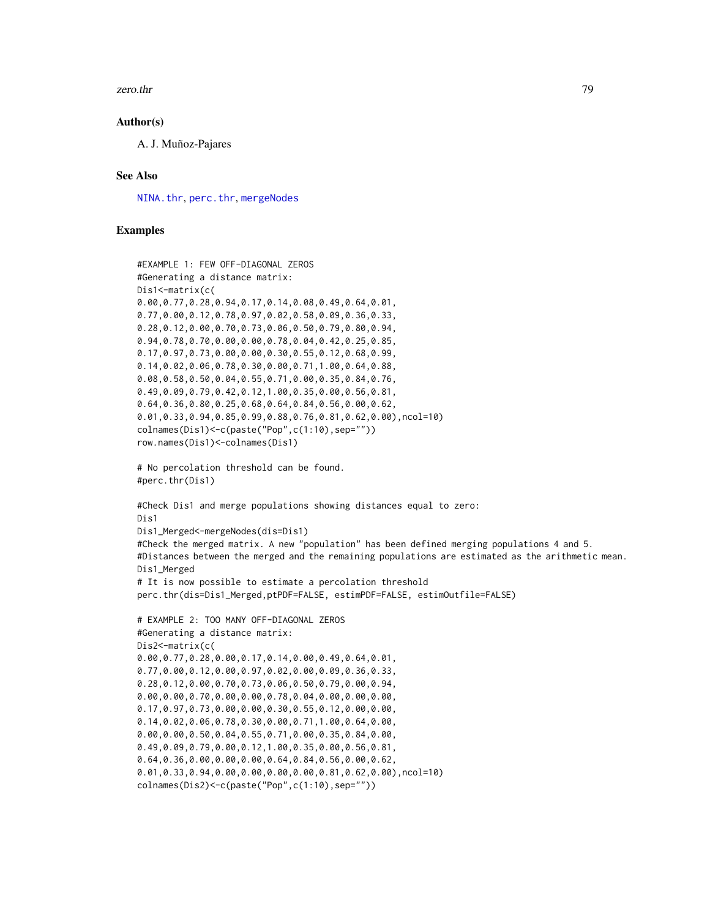#### <span id="page-78-0"></span>zero.thr 79

#### Author(s)

A. J. Muñoz-Pajares

#### See Also

[NINA.thr](#page-45-0), [perc.thr](#page-51-0), [mergeNodes](#page-35-0)

## Examples

```
#EXAMPLE 1: FEW OFF-DIAGONAL ZEROS
#Generating a distance matrix:
Dis1<-matrix(c(
0.00,0.77,0.28,0.94,0.17,0.14,0.08,0.49,0.64,0.01,
0.77,0.00,0.12,0.78,0.97,0.02,0.58,0.09,0.36,0.33,
0.28,0.12,0.00,0.70,0.73,0.06,0.50,0.79,0.80,0.94,
0.94,0.78,0.70,0.00,0.00,0.78,0.04,0.42,0.25,0.85,
0.17,0.97,0.73,0.00,0.00,0.30,0.55,0.12,0.68,0.99,
0.14,0.02,0.06,0.78,0.30,0.00,0.71,1.00,0.64,0.88,
0.08,0.58,0.50,0.04,0.55,0.71,0.00,0.35,0.84,0.76,
0.49,0.09,0.79,0.42,0.12,1.00,0.35,0.00,0.56,0.81,
0.64,0.36,0.80,0.25,0.68,0.64,0.84,0.56,0.00,0.62,
0.01,0.33,0.94,0.85,0.99,0.88,0.76,0.81,0.62,0.00),ncol=10)
colnames(Dis1)<-c(paste("Pop",c(1:10),sep=""))
row.names(Dis1)<-colnames(Dis1)
# No percolation threshold can be found.
#perc.thr(Dis1)
#Check Dis1 and merge populations showing distances equal to zero:
Dis1
Dis1_Merged<-mergeNodes(dis=Dis1)
#Check the merged matrix. A new "population" has been defined merging populations 4 and 5.
#Distances between the merged and the remaining populations are estimated as the arithmetic mean.
Dis1_Merged
# It is now possible to estimate a percolation threshold
perc.thr(dis=Dis1_Merged,ptPDF=FALSE, estimPDF=FALSE, estimOutfile=FALSE)
# EXAMPLE 2: TOO MANY OFF-DIAGONAL ZEROS
#Generating a distance matrix:
Dis2<-matrix(c(
0.00,0.77,0.28,0.00,0.17,0.14,0.00,0.49,0.64,0.01,
0.77,0.00,0.12,0.00,0.97,0.02,0.00,0.09,0.36,0.33,
0.28,0.12,0.00,0.70,0.73,0.06,0.50,0.79,0.00,0.94,
0.00,0.00,0.70,0.00,0.00,0.78,0.04,0.00,0.00,0.00,
0.17,0.97,0.73,0.00,0.00,0.30,0.55,0.12,0.00,0.00,
0.14,0.02,0.06,0.78,0.30,0.00,0.71,1.00,0.64,0.00,
0.00,0.00,0.50,0.04,0.55,0.71,0.00,0.35,0.84,0.00,
0.49,0.09,0.79,0.00,0.12,1.00,0.35,0.00,0.56,0.81,
0.64,0.36,0.00,0.00,0.00,0.64,0.84,0.56,0.00,0.62,
0.01,0.33,0.94,0.00,0.00,0.00,0.00,0.81,0.62,0.00),ncol=10)
```

```
colnames(Dis2)<-c(paste("Pop",c(1:10),sep=""))
```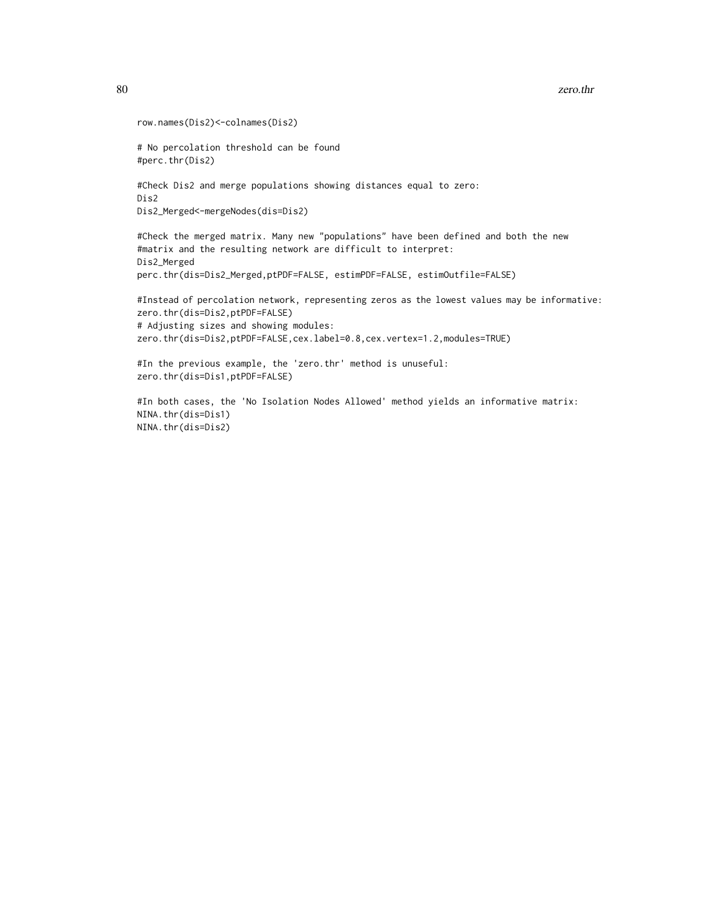```
row.names(Dis2)<-colnames(Dis2)
# No percolation threshold can be found
#perc.thr(Dis2)
#Check Dis2 and merge populations showing distances equal to zero:
Dis2
Dis2_Merged<-mergeNodes(dis=Dis2)
#Check the merged matrix. Many new "populations" have been defined and both the new
#matrix and the resulting network are difficult to interpret:
Dis2_Merged
perc.thr(dis=Dis2_Merged,ptPDF=FALSE, estimPDF=FALSE, estimOutfile=FALSE)
#Instead of percolation network, representing zeros as the lowest values may be informative:
zero.thr(dis=Dis2,ptPDF=FALSE)
# Adjusting sizes and showing modules:
zero.thr(dis=Dis2,ptPDF=FALSE,cex.label=0.8,cex.vertex=1.2,modules=TRUE)
#In the previous example, the 'zero.thr' method is unuseful:
zero.thr(dis=Dis1,ptPDF=FALSE)
#In both cases, the 'No Isolation Nodes Allowed' method yields an informative matrix:
NINA.thr(dis=Dis1)
NINA.thr(dis=Dis2)
```